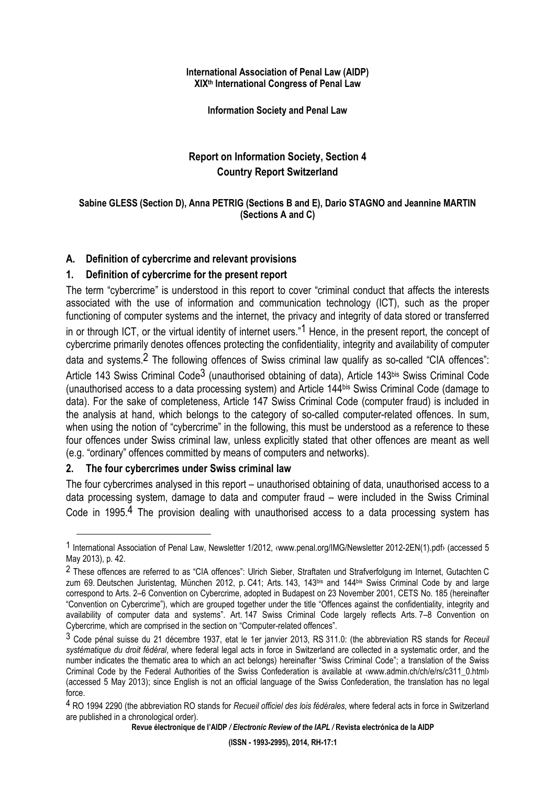#### **International Association of Penal Law (AIDP) XIXth International Congress of Penal Law**

**Information Society and Penal Law** 

## **Report on Information Society, Section 4 Country Report Switzerland**

### **Sabine GLESS (Section D), Anna PETRIG (Sections B and E), Dario STAGNO and Jeannine MARTIN (Sections A and C)**

### **A. Definition of cybercrime and relevant provisions**

## **1. Definition of cybercrime for the present report**

The term "cybercrime" is understood in this report to cover "criminal conduct that affects the interests associated with the use of information and communication technology (ICT), such as the proper functioning of computer systems and the internet, the privacy and integrity of data stored or transferred in or through ICT, or the virtual identity of internet users."<sup>1</sup> Hence, in the present report, the concept of cybercrime primarily denotes offences protecting the confidentiality, integrity and availability of computer data and systems.<sup>2</sup> The following offences of Swiss criminal law qualify as so-called "CIA offences": Article 143 Swiss Criminal Code<sup>3</sup> (unauthorised obtaining of data), Article 143bis Swiss Criminal Code (unauthorised access to a data processing system) and Article 144bis Swiss Criminal Code (damage to data). For the sake of completeness, Article 147 Swiss Criminal Code (computer fraud) is included in the analysis at hand, which belongs to the category of so-called computer-related offences. In sum, when using the notion of "cybercrime" in the following, this must be understood as a reference to these four offences under Swiss criminal law, unless explicitly stated that other offences are meant as well (e.g. "ordinary" offences committed by means of computers and networks).

### **2. The four cybercrimes under Swiss criminal law**

 $\overline{a}$ 

The four cybercrimes analysed in this report – unauthorised obtaining of data, unauthorised access to a data processing system, damage to data and computer fraud – were included in the Swiss Criminal Code in 1995.<sup>4</sup> The provision dealing with unauthorised access to a data processing system has

**Revue électronique de l'AIDP** */ Electronic Review of the IAPL /* **Revista electrónica de la AIDP** 

<sup>1</sup> International Association of Penal Law, Newsletter 1/2012, ‹www.penal.org/IMG/Newsletter 2012-2EN(1).pdf› (accessed 5 May 2013), p. 42.

<sup>2</sup> These offences are referred to as "CIA offences": Ulrich Sieber, Straftaten und Strafverfolgung im Internet, Gutachten C zum 69. Deutschen Juristentag, München 2012, p. C41; Arts. 143, 143bis and 144bis Swiss Criminal Code by and large correspond to Arts. 2–6 Convention on Cybercrime, adopted in Budapest on 23 November 2001, CETS No. 185 (hereinafter "Convention on Cybercrime"), which are grouped together under the title "Offences against the confidentiality, integrity and availability of computer data and systems". Art. 147 Swiss Criminal Code largely reflects Arts. 7–8 Convention on Cybercrime, which are comprised in the section on "Computer-related offences".

<sup>3</sup> Code pénal suisse du 21 décembre 1937, etat le 1er janvier 2013, RS 311.0: (the abbreviation RS stands for *Receuil systématique du droit fédéral*, where federal legal acts in force in Switzerland are collected in a systematic order, and the number indicates the thematic area to which an act belongs) hereinafter "Swiss Criminal Code"; a translation of the Swiss Criminal Code by the Federal Authorities of the Swiss Confederation is available at ‹www.admin.ch/ch/e/rs/c311\_0.html› (accessed 5 May 2013); since English is not an official language of the Swiss Confederation, the translation has no legal force.

<sup>4</sup> RO 1994 2290 (the abbreviation RO stands for *Recueil officiel des lois fédérales*, where federal acts in force in Switzerland are published in a chronological order).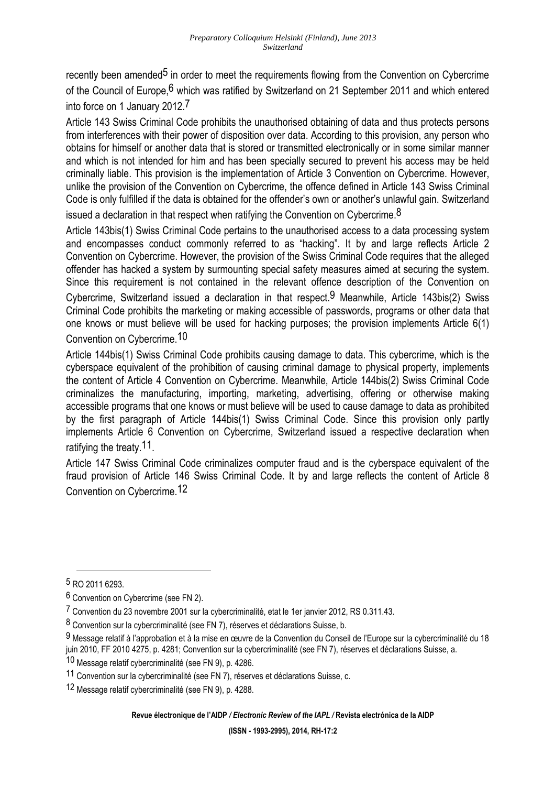recently been amended<sup>5</sup> in order to meet the requirements flowing from the Convention on Cybercrime of the Council of Europe, <sup>6</sup> which was ratified by Switzerland on 21 September 2011 and which entered into force on 1 January 2012.7

Article 143 Swiss Criminal Code prohibits the unauthorised obtaining of data and thus protects persons from interferences with their power of disposition over data. According to this provision, any person who obtains for himself or another data that is stored or transmitted electronically or in some similar manner and which is not intended for him and has been specially secured to prevent his access may be held criminally liable. This provision is the implementation of Article 3 Convention on Cybercrime. However, unlike the provision of the Convention on Cybercrime, the offence defined in Article 143 Swiss Criminal Code is only fulfilled if the data is obtained for the offender's own or another's unlawful gain. Switzerland

issued a declaration in that respect when ratifying the Convention on Cybercrime.<sup>8</sup>

Article 143bis(1) Swiss Criminal Code pertains to the unauthorised access to a data processing system and encompasses conduct commonly referred to as "hacking". It by and large reflects Article 2 Convention on Cybercrime. However, the provision of the Swiss Criminal Code requires that the alleged offender has hacked a system by surmounting special safety measures aimed at securing the system. Since this requirement is not contained in the relevant offence description of the Convention on Cybercrime, Switzerland issued a declaration in that respect.9 Meanwhile, Article 143bis(2) Swiss Criminal Code prohibits the marketing or making accessible of passwords, programs or other data that one knows or must believe will be used for hacking purposes; the provision implements Article 6(1) Convention on Cybercrime.10

Article 144bis(1) Swiss Criminal Code prohibits causing damage to data. This cybercrime, which is the cyberspace equivalent of the prohibition of causing criminal damage to physical property, implements the content of Article 4 Convention on Cybercrime. Meanwhile, Article 144bis(2) Swiss Criminal Code criminalizes the manufacturing, importing, marketing, advertising, offering or otherwise making accessible programs that one knows or must believe will be used to cause damage to data as prohibited by the first paragraph of Article 144bis(1) Swiss Criminal Code. Since this provision only partly implements Article 6 Convention on Cybercrime, Switzerland issued a respective declaration when ratifying the treaty.11.

Article 147 Swiss Criminal Code criminalizes computer fraud and is the cyberspace equivalent of the fraud provision of Article 146 Swiss Criminal Code. It by and large reflects the content of Article 8 Convention on Cybercrime.12

 $\overline{a}$ 

**Revue électronique de l'AIDP** */ Electronic Review of the IAPL /* **Revista electrónica de la AIDP** 

<sup>5</sup> RO 2011 6293.

<sup>6</sup> Convention on Cybercrime (see FN 2).

<sup>7</sup> Convention du 23 novembre 2001 sur la cybercriminalité, etat le 1er janvier 2012, RS 0.311.43.

<sup>8</sup> Convention sur la cybercriminalité (see FN 7), réserves et déclarations Suisse, b.

<sup>9</sup> Message relatif à l'approbation et à la mise en œuvre de la Convention du Conseil de l'Europe sur la cybercriminalité du 18 juin 2010, FF 2010 4275, p. 4281; Convention sur la cybercriminalité (see FN 7), réserves et déclarations Suisse, a.

<sup>10</sup> Message relatif cybercriminalité (see FN 9), p. 4286.

<sup>11</sup> Convention sur la cybercriminalité (see FN 7), réserves et déclarations Suisse, c.

<sup>12</sup> Message relatif cybercriminalité (see FN 9), p. 4288.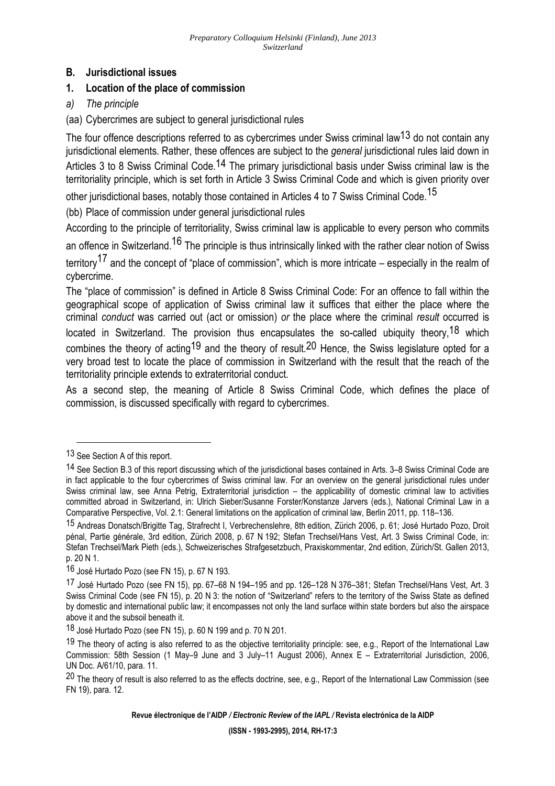## **B. Jurisdictional issues**

## **1. Location of the place of commission**

- *a) The principle*
- (aa) Cybercrimes are subject to general jurisdictional rules

The four offence descriptions referred to as cybercrimes under Swiss criminal law<sup>13</sup> do not contain any jurisdictional elements. Rather, these offences are subject to the *general* jurisdictional rules laid down in Articles 3 to 8 Swiss Criminal Code.<sup>14</sup> The primary jurisdictional basis under Swiss criminal law is the territoriality principle, which is set forth in Article 3 Swiss Criminal Code and which is given priority over

other jurisdictional bases, notably those contained in Articles 4 to 7 Swiss Criminal Code.<sup>15</sup>

(bb) Place of commission under general jurisdictional rules

According to the principle of territoriality, Swiss criminal law is applicable to every person who commits

an offence in Switzerland.<sup>16</sup> The principle is thus intrinsically linked with the rather clear notion of Swiss

territory<sup>17</sup> and the concept of "place of commission", which is more intricate – especially in the realm of cybercrime.

The "place of commission" is defined in Article 8 Swiss Criminal Code: For an offence to fall within the geographical scope of application of Swiss criminal law it suffices that either the place where the criminal *conduct* was carried out (act or omission) *or* the place where the criminal *result* occurred is located in Switzerland. The provision thus encapsulates the so-called ubiquity theory.<sup>18</sup> which combines the theory of acting<sup>19</sup> and the theory of result.<sup>20</sup> Hence, the Swiss legislature opted for a very broad test to locate the place of commission in Switzerland with the result that the reach of the territoriality principle extends to extraterritorial conduct.

As a second step, the meaning of Article 8 Swiss Criminal Code, which defines the place of commission, is discussed specifically with regard to cybercrimes.

<sup>13</sup> See Section A of this report.

<sup>14</sup> See Section B.3 of this report discussing which of the jurisdictional bases contained in Arts. 3–8 Swiss Criminal Code are in fact applicable to the four cybercrimes of Swiss criminal law. For an overview on the general jurisdictional rules under Swiss criminal law, see Anna Petrig, Extraterritorial jurisdiction – the applicability of domestic criminal law to activities committed abroad in Switzerland, in: Ulrich Sieber/Susanne Forster/Konstanze Jarvers (eds.), National Criminal Law in a Comparative Perspective, Vol. 2.1: General limitations on the application of criminal law, Berlin 2011, pp. 118–136.

<sup>15</sup> Andreas Donatsch/Brigitte Tag, Strafrecht I, Verbrechenslehre, 8th edition, Zürich 2006, p. 61; José Hurtado Pozo, Droit pénal, Partie générale, 3rd edition, Zürich 2008, p. 67 N 192; Stefan Trechsel/Hans Vest, Art. 3 Swiss Criminal Code, in: Stefan Trechsel/Mark Pieth (eds.), Schweizerisches Strafgesetzbuch, Praxiskommentar, 2nd edition, Zürich/St. Gallen 2013, p. 20 N 1.

<sup>16</sup> José Hurtado Pozo (see FN 15), p. 67 N 193.

<sup>17</sup> José Hurtado Pozo (see FN 15), pp. 67–68 N 194–195 and pp. 126–128 N 376–381; Stefan Trechsel/Hans Vest, Art. 3 Swiss Criminal Code (see FN 15), p. 20 N 3: the notion of "Switzerland" refers to the territory of the Swiss State as defined by domestic and international public law; it encompasses not only the land surface within state borders but also the airspace above it and the subsoil beneath it.

<sup>18</sup> José Hurtado Pozo (see FN 15), p. 60 N 199 and p. 70 N 201.

<sup>19</sup> The theory of acting is also referred to as the objective territoriality principle: see, e.g., Report of the International Law Commission: 58th Session (1 May–9 June and 3 July–11 August 2006), Annex E – Extraterritorial Jurisdiction, 2006, UN Doc. A/61/10, para. 11.

<sup>&</sup>lt;sup>20</sup> The theory of result is also referred to as the effects doctrine, see, e.g., Report of the International Law Commission (see FN 19), para. 12.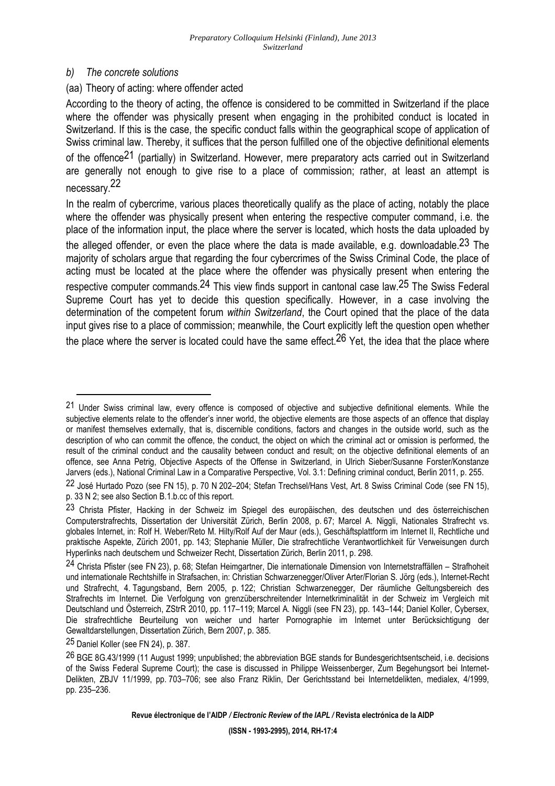### *b) The concrete solutions*

## (aa) Theory of acting: where offender acted

According to the theory of acting, the offence is considered to be committed in Switzerland if the place where the offender was physically present when engaging in the prohibited conduct is located in Switzerland. If this is the case, the specific conduct falls within the geographical scope of application of Swiss criminal law. Thereby, it suffices that the person fulfilled one of the objective definitional elements of the offence<sup>21</sup> (partially) in Switzerland. However, mere preparatory acts carried out in Switzerland are generally not enough to give rise to a place of commission; rather, at least an attempt is necessary.<sup>22</sup>

In the realm of cybercrime, various places theoretically qualify as the place of acting, notably the place where the offender was physically present when entering the respective computer command, i.e. the place of the information input, the place where the server is located, which hosts the data uploaded by the alleged offender, or even the place where the data is made available, e.g. downloadable.<sup>23</sup> The majority of scholars argue that regarding the four cybercrimes of the Swiss Criminal Code, the place of acting must be located at the place where the offender was physically present when entering the respective computer commands.24 This view finds support in cantonal case law.25 The Swiss Federal Supreme Court has yet to decide this question specifically. However, in a case involving the determination of the competent forum *within Switzerland*, the Court opined that the place of the data input gives rise to a place of commission; meanwhile, the Court explicitly left the question open whether the place where the server is located could have the same effect.<sup>26</sup> Yet, the idea that the place where

<sup>&</sup>lt;sup>21</sup> Under Swiss criminal law, every offence is composed of objective and subjective definitional elements. While the subjective elements relate to the offender's inner world, the objective elements are those aspects of an offence that display or manifest themselves externally, that is, discernible conditions, factors and changes in the outside world, such as the description of who can commit the offence, the conduct, the object on which the criminal act or omission is performed, the result of the criminal conduct and the causality between conduct and result; on the objective definitional elements of an offence, see Anna Petrig, Objective Aspects of the Offense in Switzerland, in Ulrich Sieber/Susanne Forster/Konstanze Jarvers (eds.), National Criminal Law in a Comparative Perspective, Vol. 3.1: Defining criminal conduct, Berlin 2011, p. 255.

<sup>22</sup> José Hurtado Pozo (see FN 15), p. 70 N 202–204; Stefan Trechsel/Hans Vest, Art. 8 Swiss Criminal Code (see FN 15), p. 33 N 2; see also Section B.1.b.cc of this report.

<sup>23</sup> Christa Pfister, Hacking in der Schweiz im Spiegel des europäischen, des deutschen und des österreichischen Computerstrafrechts, Dissertation der Universität Zürich, Berlin 2008, p. 67; Marcel A. Niggli, Nationales Strafrecht vs. globales Internet, in: Rolf H. Weber/Reto M. Hilty/Rolf Auf der Maur (eds.), Geschäftsplattform im Internet II, Rechtliche und praktische Aspekte, Zürich 2001, pp. 143; Stephanie Müller, Die strafrechtliche Verantwortlichkeit für Verweisungen durch Hyperlinks nach deutschem und Schweizer Recht, Dissertation Zürich, Berlin 2011, p. 298.

<sup>24</sup> Christa Pfister (see FN 23), p. 68; Stefan Heimgartner, Die internationale Dimension von Internetstraffällen – Strafhoheit und internationale Rechtshilfe in Strafsachen, in: Christian Schwarzenegger/Oliver Arter/Florian S. Jörg (eds.), Internet-Recht und Strafrecht, 4. Tagungsband, Bern 2005, p. 122; Christian Schwarzenegger, Der räumliche Geltungsbereich des Strafrechts im Internet. Die Verfolgung von grenzüberschreitender Internetkriminalität in der Schweiz im Vergleich mit Deutschland und Österreich, ZStrR 2010, pp. 117–119; Marcel A. Niggli (see FN 23), pp. 143–144; Daniel Koller, Cybersex, Die strafrechtliche Beurteilung von weicher und harter Pornographie im Internet unter Berücksichtigung der Gewaltdarstellungen, Dissertation Zürich, Bern 2007, p. 385.

<sup>25</sup> Daniel Koller (see FN 24), p. 387.

<sup>26</sup> BGE 8G.43/1999 (11 August 1999; unpublished; the abbreviation BGE stands for Bundesgerichtsentscheid, i.e. decisions of the Swiss Federal Supreme Court); the case is discussed in Philippe Weissenberger, Zum Begehungsort bei Internet-Delikten, ZBJV 11/1999, pp. 703–706; see also Franz Riklin, Der Gerichtsstand bei Internetdelikten, medialex, 4/1999, pp. 235–236.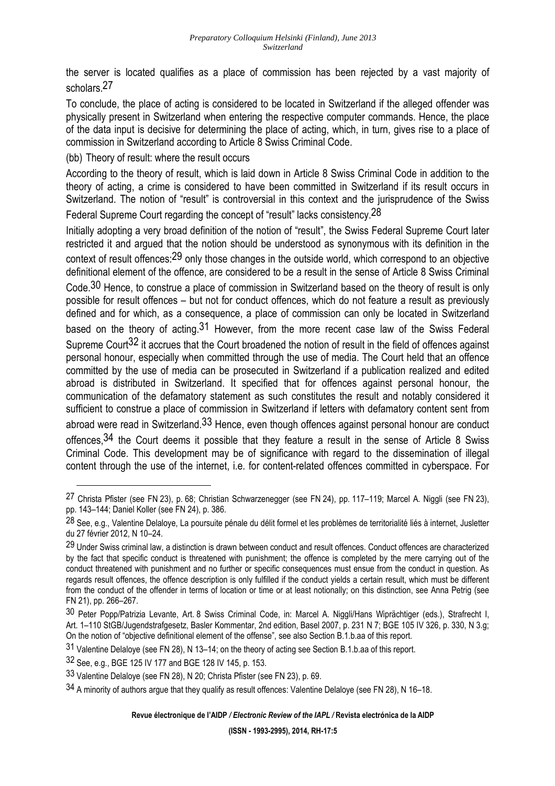the server is located qualifies as a place of commission has been rejected by a vast majority of scholars<sup>27</sup>

To conclude, the place of acting is considered to be located in Switzerland if the alleged offender was physically present in Switzerland when entering the respective computer commands. Hence, the place of the data input is decisive for determining the place of acting, which, in turn, gives rise to a place of commission in Switzerland according to Article 8 Swiss Criminal Code.

(bb) Theory of result: where the result occurs

According to the theory of result, which is laid down in Article 8 Swiss Criminal Code in addition to the theory of acting, a crime is considered to have been committed in Switzerland if its result occurs in Switzerland. The notion of "result" is controversial in this context and the jurisprudence of the Swiss

Federal Supreme Court regarding the concept of "result" lacks consistency.<sup>28</sup>

Initially adopting a very broad definition of the notion of "result", the Swiss Federal Supreme Court later restricted it and argued that the notion should be understood as synonymous with its definition in the context of result offences:29 only those changes in the outside world, which correspond to an objective definitional element of the offence, are considered to be a result in the sense of Article 8 Swiss Criminal

Code.<sup>30</sup> Hence, to construe a place of commission in Switzerland based on the theory of result is only possible for result offences – but not for conduct offences, which do not feature a result as previously defined and for which, as a consequence, a place of commission can only be located in Switzerland based on the theory of acting.<sup>31</sup> However, from the more recent case law of the Swiss Federal Supreme Court<sup>32</sup> it accrues that the Court broadened the notion of result in the field of offences against personal honour, especially when committed through the use of media. The Court held that an offence committed by the use of media can be prosecuted in Switzerland if a publication realized and edited abroad is distributed in Switzerland. It specified that for offences against personal honour, the communication of the defamatory statement as such constitutes the result and notably considered it sufficient to construe a place of commission in Switzerland if letters with defamatory content sent from abroad were read in Switzerland.<sup>33</sup> Hence, even though offences against personal honour are conduct offences,  $34$  the Court deems it possible that they feature a result in the sense of Article 8 Swiss Criminal Code. This development may be of significance with regard to the dissemination of illegal content through the use of the internet, i.e. for content-related offences committed in cyberspace. For

<sup>27</sup> Christa Pfister (see FN 23), p. 68; Christian Schwarzenegger (see FN 24), pp. 117–119; Marcel A. Niggli (see FN 23), pp. 143–144; Daniel Koller (see FN 24), p. 386.

<sup>28</sup> See, e.g., Valentine Delaloye, La poursuite pénale du délit formel et les problèmes de territorialité liés à internet, Jusletter du 27 février 2012, N 10–24.

<sup>&</sup>lt;sup>29</sup> Under Swiss criminal law, a distinction is drawn between conduct and result offences. Conduct offences are characterized by the fact that specific conduct is threatened with punishment; the offence is completed by the mere carrying out of the conduct threatened with punishment and no further or specific consequences must ensue from the conduct in question. As regards result offences, the offence description is only fulfilled if the conduct yields a certain result, which must be different from the conduct of the offender in terms of location or time or at least notionally; on this distinction, see Anna Petrig (see FN 21), pp. 266–267.

<sup>30</sup> Peter Popp/Patrizia Levante, Art. 8 Swiss Criminal Code, in: Marcel A. Niggli/Hans Wiprächtiger (eds.), Strafrecht I, Art. 1–110 StGB/Jugendstrafgesetz, Basler Kommentar, 2nd edition, Basel 2007, p. 231 N 7; BGE 105 IV 326, p. 330, N 3.g; On the notion of "objective definitional element of the offense", see also Section B.1.b.aa of this report.

<sup>31</sup> Valentine Delaloye (see FN 28), N 13–14; on the theory of acting see Section B.1.b.aa of this report.

<sup>32</sup> See, e.g., BGE 125 IV 177 and BGE 128 IV 145, p. 153.

<sup>33</sup> Valentine Delaloye (see FN 28), N 20; Christa Pfister (see FN 23), p. 69.

<sup>34</sup> A minority of authors argue that they qualify as result offences: Valentine Delaloye (see FN 28), N 16–18.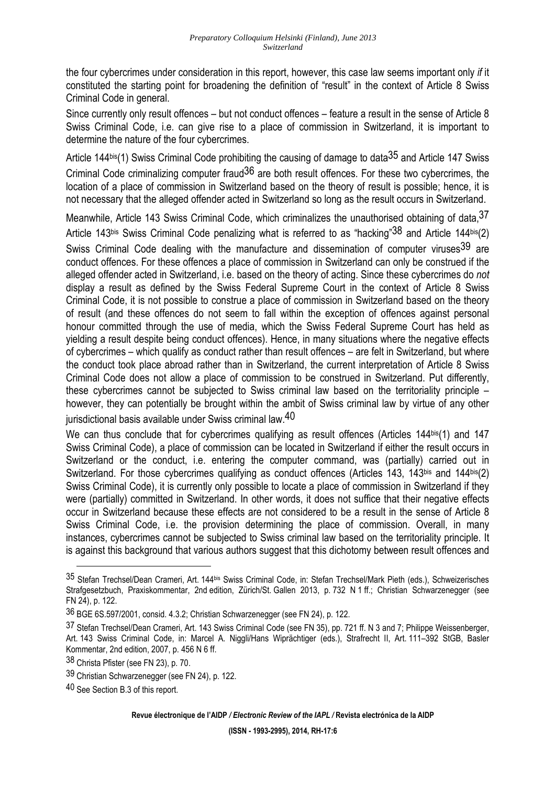the four cybercrimes under consideration in this report, however, this case law seems important only *if* it constituted the starting point for broadening the definition of "result" in the context of Article 8 Swiss Criminal Code in general.

Since currently only result offences – but not conduct offences – feature a result in the sense of Article 8 Swiss Criminal Code, i.e. can give rise to a place of commission in Switzerland, it is important to determine the nature of the four cybercrimes.

Article 144bis(1) Swiss Criminal Code prohibiting the causing of damage to data<sup>35</sup> and Article 147 Swiss Criminal Code criminalizing computer fraud36 are both result offences. For these two cybercrimes, the location of a place of commission in Switzerland based on the theory of result is possible; hence, it is not necessary that the alleged offender acted in Switzerland so long as the result occurs in Switzerland.

Meanwhile, Article 143 Swiss Criminal Code, which criminalizes the unauthorised obtaining of data, 3/ Article 143bis Swiss Criminal Code penalizing what is referred to as "hacking" 38 and Article 144bis(2) Swiss Criminal Code dealing with the manufacture and dissemination of computer viruses<sup>39</sup> are conduct offences. For these offences a place of commission in Switzerland can only be construed if the alleged offender acted in Switzerland, i.e. based on the theory of acting. Since these cybercrimes do *not* display a result as defined by the Swiss Federal Supreme Court in the context of Article 8 Swiss Criminal Code, it is not possible to construe a place of commission in Switzerland based on the theory of result (and these offences do not seem to fall within the exception of offences against personal honour committed through the use of media, which the Swiss Federal Supreme Court has held as yielding a result despite being conduct offences). Hence, in many situations where the negative effects of cybercrimes – which qualify as conduct rather than result offences – are felt in Switzerland, but where the conduct took place abroad rather than in Switzerland, the current interpretation of Article 8 Swiss Criminal Code does not allow a place of commission to be construed in Switzerland. Put differently, these cybercrimes cannot be subjected to Swiss criminal law based on the territoriality principle – however, they can potentially be brought within the ambit of Swiss criminal law by virtue of any other jurisdictional basis available under Swiss criminal law.<sup>40</sup>

We can thus conclude that for cybercrimes qualifying as result offences (Articles 144bis(1) and 147 Swiss Criminal Code), a place of commission can be located in Switzerland if either the result occurs in Switzerland or the conduct, i.e. entering the computer command, was (partially) carried out in Switzerland. For those cybercrimes qualifying as conduct offences (Articles 143, 143bis and 144bis(2) Swiss Criminal Code), it is currently only possible to locate a place of commission in Switzerland if they were (partially) committed in Switzerland. In other words, it does not suffice that their negative effects occur in Switzerland because these effects are not considered to be a result in the sense of Article 8 Swiss Criminal Code, i.e. the provision determining the place of commission. Overall, in many instances, cybercrimes cannot be subjected to Swiss criminal law based on the territoriality principle. It is against this background that various authors suggest that this dichotomy between result offences and

<sup>35</sup> Stefan Trechsel/Dean Crameri, Art. 144bis Swiss Criminal Code, in: Stefan Trechsel/Mark Pieth (eds.), Schweizerisches Strafgesetzbuch, Praxiskommentar, 2nd edition, Zürich/St. Gallen 2013, p. 732 N 1 ff.; Christian Schwarzenegger (see FN 24), p. 122.

<sup>36</sup> BGE 6S.597/2001, consid. 4.3.2; Christian Schwarzenegger (see FN 24), p. 122.

<sup>37</sup> Stefan Trechsel/Dean Crameri, Art. 143 Swiss Criminal Code (see FN 35), pp. 721 ff. N 3 and 7; Philippe Weissenberger, Art. 143 Swiss Criminal Code, in: Marcel A. Niggli/Hans Wiprächtiger (eds.), Strafrecht II, Art. 111–392 StGB, Basler Kommentar, 2nd edition, 2007, p. 456 N 6 ff.

<sup>38</sup> Christa Pfister (see FN 23), p. 70.

<sup>39</sup> Christian Schwarzenegger (see FN 24), p. 122.

<sup>40</sup> See Section B.3 of this report.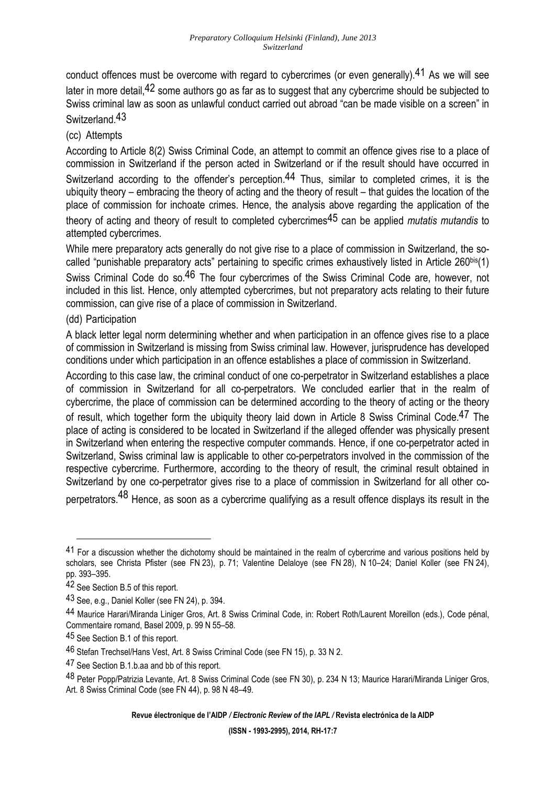conduct offences must be overcome with regard to cybercrimes (or even generally).<sup>41</sup> As we will see later in more detail, <sup>42</sup> some authors go as far as to suggest that any cybercrime should be subjected to Swiss criminal law as soon as unlawful conduct carried out abroad "can be made visible on a screen" in Switzerland 43

## (cc) Attempts

According to Article 8(2) Swiss Criminal Code, an attempt to commit an offence gives rise to a place of commission in Switzerland if the person acted in Switzerland or if the result should have occurred in Switzerland according to the offender's perception.<sup>44</sup> Thus, similar to completed crimes, it is the ubiquity theory – embracing the theory of acting and the theory of result – that guides the location of the place of commission for inchoate crimes. Hence, the analysis above regarding the application of the theory of acting and theory of result to completed cybercrimes45 can be applied *mutatis mutandis* to attempted cybercrimes.

While mere preparatory acts generally do not give rise to a place of commission in Switzerland, the socalled "punishable preparatory acts" pertaining to specific crimes exhaustively listed in Article 260bis(1) Swiss Criminal Code do so.<sup>46</sup> The four cybercrimes of the Swiss Criminal Code are, however, not included in this list. Hence, only attempted cybercrimes, but not preparatory acts relating to their future commission, can give rise of a place of commission in Switzerland.

### (dd) Participation

A black letter legal norm determining whether and when participation in an offence gives rise to a place of commission in Switzerland is missing from Swiss criminal law. However, jurisprudence has developed conditions under which participation in an offence establishes a place of commission in Switzerland.

According to this case law, the criminal conduct of one co-perpetrator in Switzerland establishes a place of commission in Switzerland for all co-perpetrators. We concluded earlier that in the realm of cybercrime, the place of commission can be determined according to the theory of acting or the theory of result, which together form the ubiquity theory laid down in Article 8 Swiss Criminal Code.<sup>47</sup> The place of acting is considered to be located in Switzerland if the alleged offender was physically present in Switzerland when entering the respective computer commands. Hence, if one co-perpetrator acted in Switzerland, Swiss criminal law is applicable to other co-perpetrators involved in the commission of the respective cybercrime. Furthermore, according to the theory of result, the criminal result obtained in Switzerland by one co-perpetrator gives rise to a place of commission in Switzerland for all other coperpetrators.<sup>48</sup> Hence, as soon as a cybercrime qualifying as a result offence displays its result in the

<sup>41</sup> For a discussion whether the dichotomy should be maintained in the realm of cybercrime and various positions held by scholars, see Christa Pfister (see FN 23), p. 71; Valentine Delaloye (see FN 28), N 10–24; Daniel Koller (see FN 24), pp. 393–395.

<sup>42</sup> See Section B.5 of this report.

<sup>43</sup> See, e.g., Daniel Koller (see FN 24), p. 394.

<sup>44</sup> Maurice Harari/Miranda Liniger Gros, Art. 8 Swiss Criminal Code, in: Robert Roth/Laurent Moreillon (eds.), Code pénal, Commentaire romand, Basel 2009, p. 99 N 55–58.

<sup>45</sup> See Section B.1 of this report.

<sup>46</sup> Stefan Trechsel/Hans Vest, Art. 8 Swiss Criminal Code (see FN 15), p. 33 N 2.

<sup>47</sup> See Section B.1.b.aa and bb of this report.

<sup>48</sup> Peter Popp/Patrizia Levante, Art. 8 Swiss Criminal Code (see FN 30), p. 234 N 13; Maurice Harari/Miranda Liniger Gros, Art. 8 Swiss Criminal Code (see FN 44), p. 98 N 48–49.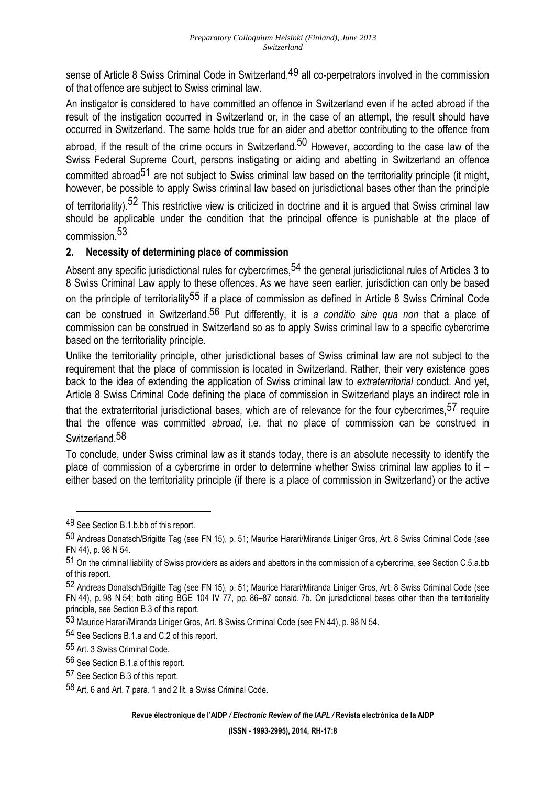sense of Article 8 Swiss Criminal Code in Switzerland, <sup>49</sup> all co-perpetrators involved in the commission of that offence are subject to Swiss criminal law.

An instigator is considered to have committed an offence in Switzerland even if he acted abroad if the result of the instigation occurred in Switzerland or, in the case of an attempt, the result should have occurred in Switzerland. The same holds true for an aider and abettor contributing to the offence from

abroad, if the result of the crime occurs in Switzerland.<sup>50</sup> However, according to the case law of the Swiss Federal Supreme Court, persons instigating or aiding and abetting in Switzerland an offence committed abroad<sup>51</sup> are not subject to Swiss criminal law based on the territoriality principle (it might, however, be possible to apply Swiss criminal law based on jurisdictional bases other than the principle

of territoriality).<sup>52</sup> This restrictive view is criticized in doctrine and it is argued that Swiss criminal law should be applicable under the condition that the principal offence is punishable at the place of commission.53

## **2. Necessity of determining place of commission**

Absent any specific jurisdictional rules for cybercrimes,<sup>54</sup> the general jurisdictional rules of Articles 3 to 8 Swiss Criminal Law apply to these offences. As we have seen earlier, jurisdiction can only be based on the principle of territoriality<sup>55</sup> if a place of commission as defined in Article 8 Swiss Criminal Code can be construed in Switzerland.56 Put differently, it is *a conditio sine qua non* that a place of commission can be construed in Switzerland so as to apply Swiss criminal law to a specific cybercrime based on the territoriality principle.

Unlike the territoriality principle, other jurisdictional bases of Swiss criminal law are not subject to the requirement that the place of commission is located in Switzerland. Rather, their very existence goes back to the idea of extending the application of Swiss criminal law to *extraterritorial* conduct. And yet, Article 8 Swiss Criminal Code defining the place of commission in Switzerland plays an indirect role in

that the extraterritorial jurisdictional bases, which are of relevance for the four cybercrimes,<sup>57</sup> require that the offence was committed *abroad*, i.e. that no place of commission can be construed in Switzerland.58

To conclude, under Swiss criminal law as it stands today, there is an absolute necessity to identify the place of commission of a cybercrime in order to determine whether Swiss criminal law applies to it – either based on the territoriality principle (if there is a place of commission in Switzerland) or the active

<sup>49</sup> See Section B.1.b.bb of this report.

<sup>50</sup> Andreas Donatsch/Brigitte Tag (see FN 15), p. 51; Maurice Harari/Miranda Liniger Gros, Art. 8 Swiss Criminal Code (see FN 44), p. 98 N 54.

<sup>51</sup> On the criminal liability of Swiss providers as aiders and abettors in the commission of a cybercrime, see Section C.5.a.bb of this report.

<sup>52</sup> Andreas Donatsch/Brigitte Tag (see FN 15), p. 51; Maurice Harari/Miranda Liniger Gros, Art. 8 Swiss Criminal Code (see FN 44), p. 98 N 54; both citing BGE 104 IV 77, pp. 86–87 consid. 7b. On jurisdictional bases other than the territoriality principle, see Section B.3 of this report.

<sup>53</sup> Maurice Harari/Miranda Liniger Gros, Art. 8 Swiss Criminal Code (see FN 44), p. 98 N 54.

<sup>54</sup> See Sections B.1.a and C.2 of this report.

<sup>55</sup> Art. 3 Swiss Criminal Code.

<sup>56</sup> See Section B.1.a of this report.

<sup>57</sup> See Section B.3 of this report.

<sup>58</sup> Art. 6 and Art. 7 para. 1 and 2 lit. a Swiss Criminal Code.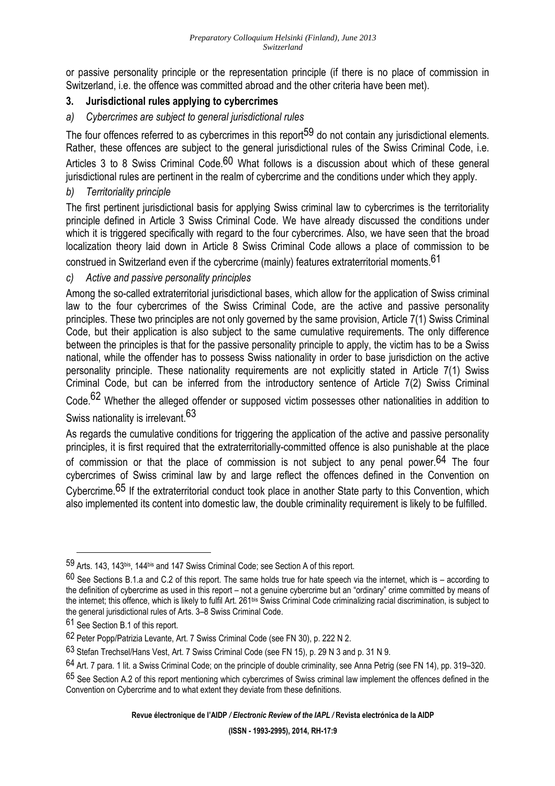or passive personality principle or the representation principle (if there is no place of commission in Switzerland, i.e. the offence was committed abroad and the other criteria have been met).

## **3. Jurisdictional rules applying to cybercrimes**

*a) Cybercrimes are subject to general jurisdictional rules* 

The four offences referred to as cybercrimes in this report<sup>59</sup> do not contain any jurisdictional elements. Rather, these offences are subject to the general jurisdictional rules of the Swiss Criminal Code, i.e. Articles 3 to 8 Swiss Criminal Code.<sup>60</sup> What follows is a discussion about which of these general jurisdictional rules are pertinent in the realm of cybercrime and the conditions under which they apply.

## *b) Territoriality principle*

The first pertinent jurisdictional basis for applying Swiss criminal law to cybercrimes is the territoriality principle defined in Article 3 Swiss Criminal Code. We have already discussed the conditions under which it is triggered specifically with regard to the four cybercrimes. Also, we have seen that the broad localization theory laid down in Article 8 Swiss Criminal Code allows a place of commission to be

construed in Switzerland even if the cybercrime (mainly) features extraterritorial moments.61

## *c) Active and passive personality principles*

Among the so-called extraterritorial jurisdictional bases, which allow for the application of Swiss criminal law to the four cybercrimes of the Swiss Criminal Code, are the active and passive personality principles. These two principles are not only governed by the same provision, Article 7(1) Swiss Criminal Code, but their application is also subject to the same cumulative requirements. The only difference between the principles is that for the passive personality principle to apply, the victim has to be a Swiss national, while the offender has to possess Swiss nationality in order to base jurisdiction on the active personality principle. These nationality requirements are not explicitly stated in Article 7(1) Swiss Criminal Code, but can be inferred from the introductory sentence of Article 7(2) Swiss Criminal Code.<sup>62</sup> Whether the alleged offender or supposed victim possesses other nationalities in addition to

# Swiss nationality is irrelevant.<sup>63</sup>

As regards the cumulative conditions for triggering the application of the active and passive personality principles, it is first required that the extraterritorially-committed offence is also punishable at the place of commission or that the place of commission is not subject to any penal power.<sup>64</sup> The four cybercrimes of Swiss criminal law by and large reflect the offences defined in the Convention on Cybercrime.65 If the extraterritorial conduct took place in another State party to this Convention, which also implemented its content into domestic law, the double criminality requirement is likely to be fulfilled.

 $\overline{a}$ 

**Revue électronique de l'AIDP** */ Electronic Review of the IAPL /* **Revista electrónica de la AIDP** 

<sup>59</sup> Arts. 143, 143bis, 144bis and 147 Swiss Criminal Code; see Section A of this report.

 $60$  See Sections B.1.a and C.2 of this report. The same holds true for hate speech via the internet, which is – according to the definition of cybercrime as used in this report – not a genuine cybercrime but an "ordinary" crime committed by means of the internet; this offence, which is likely to fulfil Art. 261bis Swiss Criminal Code criminalizing racial discrimination, is subject to the general jurisdictional rules of Arts. 3–8 Swiss Criminal Code.

<sup>61</sup> See Section B.1 of this report.

<sup>62</sup> Peter Popp/Patrizia Levante, Art. 7 Swiss Criminal Code (see FN 30), p. 222 N 2.

<sup>63</sup> Stefan Trechsel/Hans Vest, Art. 7 Swiss Criminal Code (see FN 15), p. 29 N 3 and p. 31 N 9.

<sup>64</sup> Art. 7 para. 1 lit. a Swiss Criminal Code; on the principle of double criminality, see Anna Petrig (see FN 14), pp. 319–320.

<sup>65</sup> See Section A.2 of this report mentioning which cybercrimes of Swiss criminal law implement the offences defined in the Convention on Cybercrime and to what extent they deviate from these definitions.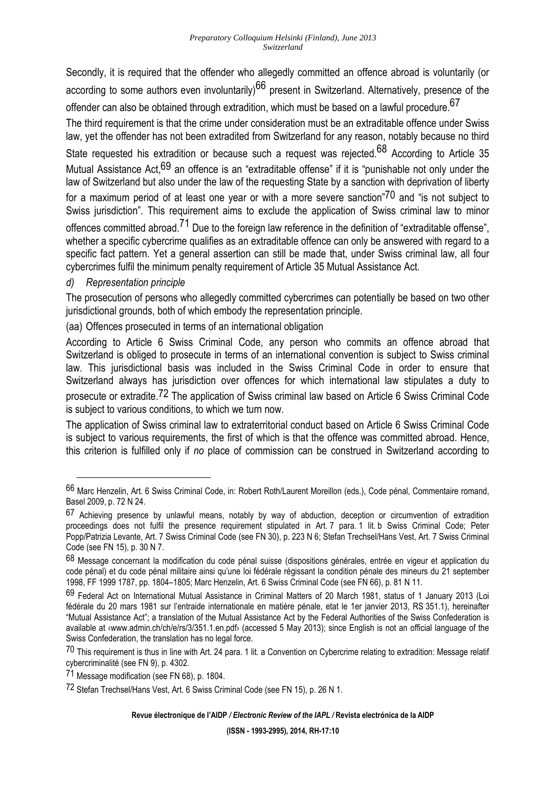Secondly, it is required that the offender who allegedly committed an offence abroad is voluntarily (or according to some authors even involuntarily)<sup>66</sup> present in Switzerland. Alternatively, presence of the offender can also be obtained through extradition, which must be based on a lawful procedure.  $^{67}$ 

The third requirement is that the crime under consideration must be an extraditable offence under Swiss law, yet the offender has not been extradited from Switzerland for any reason, notably because no third

State requested his extradition or because such a request was rejected.<sup>68</sup> According to Article 35 Mutual Assistance Act,69 an offence is an "extraditable offense" if it is "punishable not only under the law of Switzerland but also under the law of the requesting State by a sanction with deprivation of liberty for a maximum period of at least one year or with a more severe sanction"<sup>70</sup> and "is not subiect to Swiss jurisdiction". This requirement aims to exclude the application of Swiss criminal law to minor

offences committed abroad.<sup>71</sup> Due to the foreign law reference in the definition of "extraditable offense", whether a specific cybercrime qualifies as an extraditable offence can only be answered with regard to a specific fact pattern. Yet a general assertion can still be made that, under Swiss criminal law, all four cybercrimes fulfil the minimum penalty requirement of Article 35 Mutual Assistance Act.

*d) Representation principle* 

l

The prosecution of persons who allegedly committed cybercrimes can potentially be based on two other jurisdictional grounds, both of which embody the representation principle.

(aa) Offences prosecuted in terms of an international obligation

According to Article 6 Swiss Criminal Code, any person who commits an offence abroad that Switzerland is obliged to prosecute in terms of an international convention is subject to Swiss criminal law. This jurisdictional basis was included in the Swiss Criminal Code in order to ensure that Switzerland always has jurisdiction over offences for which international law stipulates a duty to prosecute or extradite.72 The application of Swiss criminal law based on Article 6 Swiss Criminal Code is subject to various conditions, to which we turn now.

The application of Swiss criminal law to extraterritorial conduct based on Article 6 Swiss Criminal Code is subject to various requirements, the first of which is that the offence was committed abroad. Hence, this criterion is fulfilled only if *no* place of commission can be construed in Switzerland according to

<sup>66</sup> Marc Henzelin, Art. 6 Swiss Criminal Code, in: Robert Roth/Laurent Moreillon (eds.), Code pénal, Commentaire romand, Basel 2009, p. 72 N 24.

<sup>67</sup> Achieving presence by unlawful means, notably by way of abduction, deception or circumvention of extradition proceedings does not fulfil the presence requirement stipulated in Art. 7 para. 1 lit. b Swiss Criminal Code; Peter Popp/Patrizia Levante, Art. 7 Swiss Criminal Code (see FN 30), p. 223 N 6; Stefan Trechsel/Hans Vest, Art. 7 Swiss Criminal Code (see FN 15), p. 30 N 7.

<sup>68</sup> Message concernant la modification du code pénal suisse (dispositions générales, entrée en vigeur et application du code pénal) et du code pénal militaire ainsi qu'une loi fédérale régissant la condition pénale des mineurs du 21 september 1998, FF 1999 1787, pp. 1804–1805; Marc Henzelin, Art. 6 Swiss Criminal Code (see FN 66), p. 81 N 11.

<sup>69</sup> Federal Act on International Mutual Assistance in Criminal Matters of 20 March 1981, status of 1 January 2013 (Loi fédérale du 20 mars 1981 sur l'entraide internationale en matière pénale, etat le 1er janvier 2013, RS 351.1), hereinafter "Mutual Assistance Act"; a translation of the Mutual Assistance Act by the Federal Authorities of the Swiss Confederation is available at ‹www.admin.ch/ch/e/rs/3/351.1.en.pdf› (accessed 5 May 2013); since English is not an official language of the Swiss Confederation, the translation has no legal force.

<sup>70</sup> This requirement is thus in line with Art. 24 para. 1 lit. a Convention on Cybercrime relating to extradition: Message relatif cybercriminalité (see FN 9), p. 4302.

<sup>71</sup> Message modification (see FN 68), p. 1804.

<sup>72</sup> Stefan Trechsel/Hans Vest, Art. 6 Swiss Criminal Code (see FN 15), p. 26 N 1.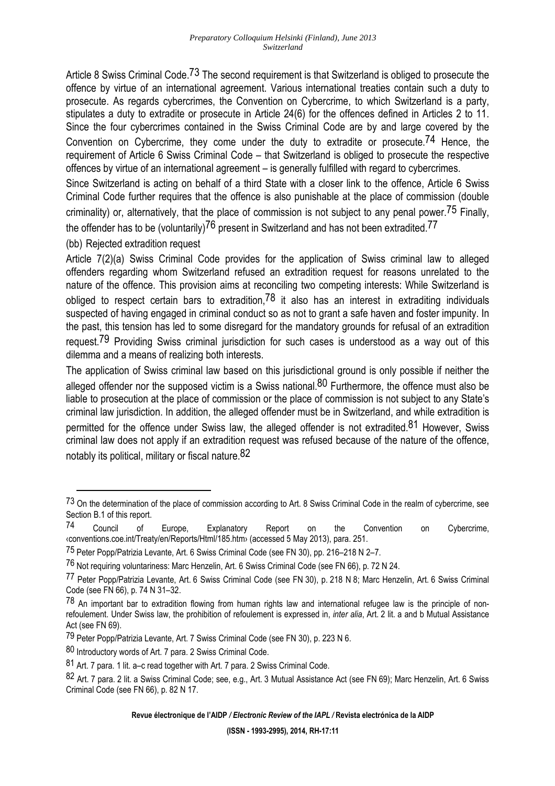Article 8 Swiss Criminal Code.<sup>73</sup> The second requirement is that Switzerland is obliged to prosecute the offence by virtue of an international agreement. Various international treaties contain such a duty to prosecute. As regards cybercrimes, the Convention on Cybercrime, to which Switzerland is a party, stipulates a duty to extradite or prosecute in Article 24(6) for the offences defined in Articles 2 to 11. Since the four cybercrimes contained in the Swiss Criminal Code are by and large covered by the

Convention on Cybercrime, they come under the duty to extradite or prosecute.<sup>74</sup> Hence, the requirement of Article 6 Swiss Criminal Code – that Switzerland is obliged to prosecute the respective offences by virtue of an international agreement – is generally fulfilled with regard to cybercrimes.

Since Switzerland is acting on behalf of a third State with a closer link to the offence, Article 6 Swiss Criminal Code further requires that the offence is also punishable at the place of commission (double criminality) or, alternatively, that the place of commission is not subject to any penal power.<sup>75</sup> Finally, the offender has to be (voluntarily)<sup>76</sup> present in Switzerland and has not been extradited.<sup>77</sup>

(bb) Rejected extradition request

 $\overline{a}$ 

Article 7(2)(a) Swiss Criminal Code provides for the application of Swiss criminal law to alleged offenders regarding whom Switzerland refused an extradition request for reasons unrelated to the nature of the offence. This provision aims at reconciling two competing interests: While Switzerland is obliged to respect certain bars to extradition,  $78$  it also has an interest in extraditing individuals suspected of having engaged in criminal conduct so as not to grant a safe haven and foster impunity. In the past, this tension has led to some disregard for the mandatory grounds for refusal of an extradition request.<sup>79</sup> Providing Swiss criminal jurisdiction for such cases is understood as a way out of this dilemma and a means of realizing both interests.

The application of Swiss criminal law based on this jurisdictional ground is only possible if neither the alleged offender nor the supposed victim is a Swiss national.<sup>80</sup> Furthermore, the offence must also be liable to prosecution at the place of commission or the place of commission is not subject to any State's criminal law jurisdiction. In addition, the alleged offender must be in Switzerland, and while extradition is permitted for the offence under Swiss law, the alleged offender is not extradited.<sup>81</sup> However, Swiss criminal law does not apply if an extradition request was refused because of the nature of the offence, notably its political, military or fiscal nature.82

<sup>&</sup>lt;sup>73</sup> On the determination of the place of commission according to Art. 8 Swiss Criminal Code in the realm of cybercrime, see Section B.1 of this report.

<sup>74</sup> Council of Europe, Explanatory Report on the Convention on Cybercrime, ‹conventions.coe.int/Treaty/en/Reports/Html/185.htm› (accessed 5 May 2013), para. 251.

<sup>75</sup> Peter Popp/Patrizia Levante, Art. 6 Swiss Criminal Code (see FN 30), pp. 216–218 N 2–7.

<sup>76</sup> Not requiring voluntariness: Marc Henzelin, Art. 6 Swiss Criminal Code (see FN 66), p. 72 N 24.

<sup>77</sup> Peter Popp/Patrizia Levante, Art. 6 Swiss Criminal Code (see FN 30), p. 218 N 8; Marc Henzelin, Art. 6 Swiss Criminal Code (see FN 66), p. 74 N 31–32.

 $78$  An important bar to extradition flowing from human rights law and international refugee law is the principle of nonrefoulement. Under Swiss law, the prohibition of refoulement is expressed in, *inter alia*, Art. 2 lit. a and b Mutual Assistance Act (see FN 69).

<sup>79</sup> Peter Popp/Patrizia Levante, Art. 7 Swiss Criminal Code (see FN 30), p. 223 N 6.

<sup>80</sup> Introductory words of Art. 7 para. 2 Swiss Criminal Code.

<sup>81</sup> Art. 7 para. 1 lit. a–c read together with Art. 7 para. 2 Swiss Criminal Code.

<sup>82</sup> Art. 7 para. 2 lit. a Swiss Criminal Code; see, e.g., Art. 3 Mutual Assistance Act (see FN 69); Marc Henzelin, Art. 6 Swiss Criminal Code (see FN 66), p. 82 N 17.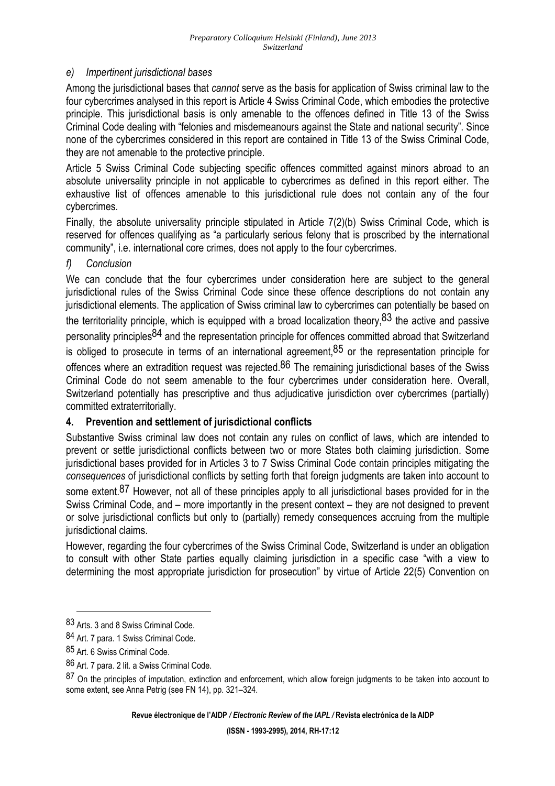### *e) Impertinent jurisdictional bases*

Among the jurisdictional bases that *cannot* serve as the basis for application of Swiss criminal law to the four cybercrimes analysed in this report is Article 4 Swiss Criminal Code, which embodies the protective principle. This jurisdictional basis is only amenable to the offences defined in Title 13 of the Swiss Criminal Code dealing with "felonies and misdemeanours against the State and national security". Since none of the cybercrimes considered in this report are contained in Title 13 of the Swiss Criminal Code, they are not amenable to the protective principle.

Article 5 Swiss Criminal Code subjecting specific offences committed against minors abroad to an absolute universality principle in not applicable to cybercrimes as defined in this report either. The exhaustive list of offences amenable to this jurisdictional rule does not contain any of the four cybercrimes.

Finally, the absolute universality principle stipulated in Article 7(2)(b) Swiss Criminal Code, which is reserved for offences qualifying as "a particularly serious felony that is proscribed by the international community", i.e. international core crimes, does not apply to the four cybercrimes.

### *f) Conclusion*

We can conclude that the four cybercrimes under consideration here are subject to the general jurisdictional rules of the Swiss Criminal Code since these offence descriptions do not contain any jurisdictional elements. The application of Swiss criminal law to cybercrimes can potentially be based on the territoriality principle, which is equipped with a broad localization theory,  $83$  the active and passive personality principles84 and the representation principle for offences committed abroad that Switzerland is obliged to prosecute in terms of an international agreement,  $85$  or the representation principle for

offences where an extradition request was rejected.<sup>86</sup> The remaining jurisdictional bases of the Swiss Criminal Code do not seem amenable to the four cybercrimes under consideration here. Overall, Switzerland potentially has prescriptive and thus adjudicative jurisdiction over cybercrimes (partially) committed extraterritorially.

### **4. Prevention and settlement of jurisdictional conflicts**

Substantive Swiss criminal law does not contain any rules on conflict of laws, which are intended to prevent or settle jurisdictional conflicts between two or more States both claiming jurisdiction. Some jurisdictional bases provided for in Articles 3 to 7 Swiss Criminal Code contain principles mitigating the *consequences* of jurisdictional conflicts by setting forth that foreign judgments are taken into account to some extent.<sup>87</sup> However, not all of these principles apply to all jurisdictional bases provided for in the Swiss Criminal Code, and – more importantly in the present context – they are not designed to prevent or solve jurisdictional conflicts but only to (partially) remedy consequences accruing from the multiple jurisdictional claims.

However, regarding the four cybercrimes of the Swiss Criminal Code, Switzerland is under an obligation to consult with other State parties equally claiming jurisdiction in a specific case "with a view to determining the most appropriate jurisdiction for prosecution" by virtue of Article 22(5) Convention on

 $\overline{a}$ 

**Revue électronique de l'AIDP** */ Electronic Review of the IAPL /* **Revista electrónica de la AIDP** 

<sup>83</sup> Arts. 3 and 8 Swiss Criminal Code.

<sup>84</sup> Art. 7 para. 1 Swiss Criminal Code.

<sup>85</sup> Art. 6 Swiss Criminal Code.

<sup>86</sup> Art. 7 para. 2 lit. a Swiss Criminal Code.

<sup>87</sup> On the principles of imputation, extinction and enforcement, which allow foreign judgments to be taken into account to some extent, see Anna Petrig (see FN 14), pp. 321–324.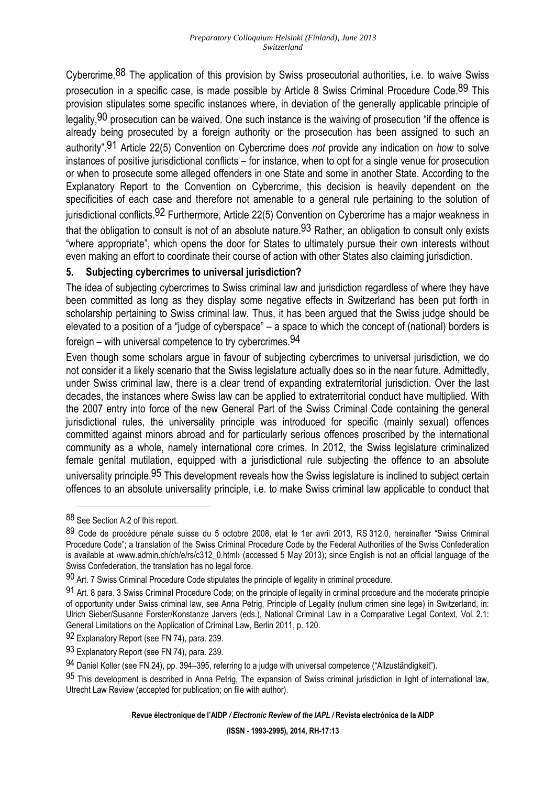Cybercrime.88 The application of this provision by Swiss prosecutorial authorities, i.e. to waive Swiss prosecution in a specific case, is made possible by Article 8 Swiss Criminal Procedure Code.<sup>89</sup> This provision stipulates some specific instances where, in deviation of the generally applicable principle of legality, <sup>90</sup> prosecution can be waived. One such instance is the waiving of prosecution "if the offence is already being prosecuted by a foreign authority or the prosecution has been assigned to such an authority".91 Article 22(5) Convention on Cybercrime does *not* provide any indication on *how* to solve instances of positive jurisdictional conflicts – for instance, when to opt for a single venue for prosecution or when to prosecute some alleged offenders in one State and some in another State. According to the Explanatory Report to the Convention on Cybercrime, this decision is heavily dependent on the specificities of each case and therefore not amenable to a general rule pertaining to the solution of jurisdictional conflicts.92 Furthermore, Article 22(5) Convention on Cybercrime has a major weakness in that the obligation to consult is not of an absolute nature.<sup>93</sup> Rather, an obligation to consult only exists "where appropriate", which opens the door for States to ultimately pursue their own interests without even making an effort to coordinate their course of action with other States also claiming jurisdiction.

### **5. Subjecting cybercrimes to universal jurisdiction?**

The idea of subjecting cybercrimes to Swiss criminal law and jurisdiction regardless of where they have been committed as long as they display some negative effects in Switzerland has been put forth in scholarship pertaining to Swiss criminal law. Thus, it has been argued that the Swiss judge should be elevated to a position of a "judge of cyberspace" – a space to which the concept of (national) borders is foreign – with universal competence to try cybercrimes.  $94$ 

Even though some scholars argue in favour of subjecting cybercrimes to universal jurisdiction, we do not consider it a likely scenario that the Swiss legislature actually does so in the near future. Admittedly, under Swiss criminal law, there is a clear trend of expanding extraterritorial jurisdiction. Over the last decades, the instances where Swiss law can be applied to extraterritorial conduct have multiplied. With the 2007 entry into force of the new General Part of the Swiss Criminal Code containing the general jurisdictional rules, the universality principle was introduced for specific (mainly sexual) offences committed against minors abroad and for particularly serious offences proscribed by the international community as a whole, namely international core crimes. In 2012, the Swiss legislature criminalized female genital mutilation, equipped with a jurisdictional rule subjecting the offence to an absolute universality principle.<sup>95</sup> This development reveals how the Swiss legislature is inclined to subject certain offences to an absolute universality principle, i.e. to make Swiss criminal law applicable to conduct that

 $\overline{a}$ 

<sup>88</sup> See Section A.2 of this report.

<sup>89</sup> Code de procédure pénale suisse du 5 octobre 2008, etat le 1er avril 2013, RS 312.0, hereinafter "Swiss Criminal Procedure Code"; a translation of the Swiss Criminal Procedure Code by the Federal Authorities of the Swiss Confederation is available at «www.admin.ch/ch/e/rs/c312\_0.html» (accessed 5 May 2013); since English is not an official language of the Swiss Confederation, the translation has no legal force.

<sup>90</sup> Art. 7 Swiss Criminal Procedure Code stipulates the principle of legality in criminal procedure.

<sup>91</sup> Art. 8 para. 3 Swiss Criminal Procedure Code; on the principle of legality in criminal procedure and the moderate principle of opportunity under Swiss criminal law, see Anna Petrig, Principle of Legality (nullum crimen sine lege) in Switzerland, in: Ulrich Sieber/Susanne Forster/Konstanze Jarvers (eds.), National Criminal Law in a Comparative Legal Context, Vol. 2.1: General Limitations on the Application of Criminal Law, Berlin 2011, p. 120.

<sup>92</sup> Explanatory Report (see FN 74), para. 239.

<sup>93</sup> Explanatory Report (see FN 74), para. 239.

<sup>94</sup> Daniel Koller (see FN 24), pp. 394–395, referring to a judge with universal competence ("Allzuständigkeit").

<sup>95</sup> This development is described in Anna Petrig, The expansion of Swiss criminal jurisdiction in light of international law, Utrecht Law Review (accepted for publication; on file with author).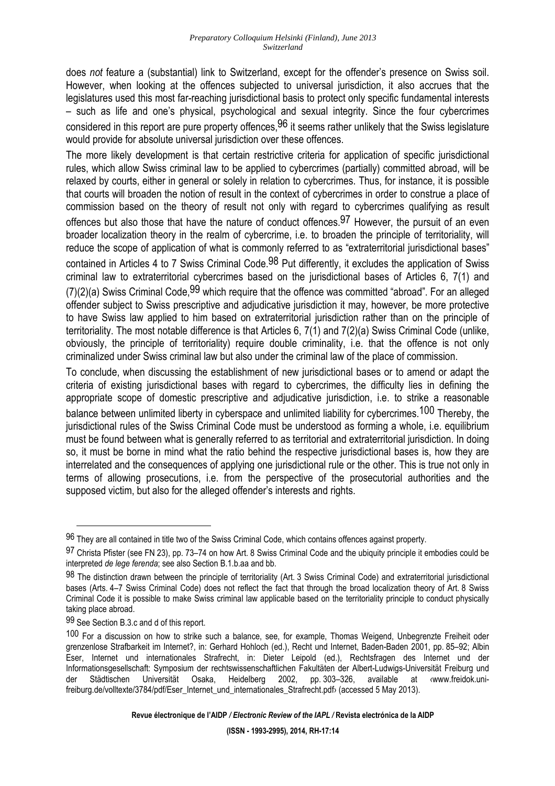does *not* feature a (substantial) link to Switzerland, except for the offender's presence on Swiss soil. However, when looking at the offences subjected to universal jurisdiction, it also accrues that the legislatures used this most far-reaching jurisdictional basis to protect only specific fundamental interests – such as life and one's physical, psychological and sexual integrity. Since the four cybercrimes considered in this report are pure property offences.<sup>96</sup> it seems rather unlikely that the Swiss legislature would provide for absolute universal jurisdiction over these offences.

The more likely development is that certain restrictive criteria for application of specific jurisdictional rules, which allow Swiss criminal law to be applied to cybercrimes (partially) committed abroad, will be relaxed by courts, either in general or solely in relation to cybercrimes. Thus, for instance, it is possible that courts will broaden the notion of result in the context of cybercrimes in order to construe a place of commission based on the theory of result not only with regard to cybercrimes qualifying as result offences but also those that have the nature of conduct offences.<sup>97</sup> However, the pursuit of an even broader localization theory in the realm of cybercrime, i.e. to broaden the principle of territoriality, will reduce the scope of application of what is commonly referred to as "extraterritorial jurisdictional bases" contained in Articles 4 to 7 Swiss Criminal Code.<sup>98</sup> Put differently, it excludes the application of Swiss criminal law to extraterritorial cybercrimes based on the jurisdictional bases of Articles 6, 7(1) and  $(7)(2)(a)$  Swiss Criminal Code  $99$  which require that the offence was committed "abroad". For an alleged offender subject to Swiss prescriptive and adjudicative jurisdiction it may, however, be more protective to have Swiss law applied to him based on extraterritorial jurisdiction rather than on the principle of territoriality. The most notable difference is that Articles 6, 7(1) and 7(2)(a) Swiss Criminal Code (unlike, obviously, the principle of territoriality) require double criminality, i.e. that the offence is not only criminalized under Swiss criminal law but also under the criminal law of the place of commission.

To conclude, when discussing the establishment of new jurisdictional bases or to amend or adapt the criteria of existing jurisdictional bases with regard to cybercrimes, the difficulty lies in defining the appropriate scope of domestic prescriptive and adjudicative jurisdiction, i.e. to strike a reasonable balance between unlimited liberty in cyberspace and unlimited liability for cybercrimes.<sup>100</sup> Thereby, the jurisdictional rules of the Swiss Criminal Code must be understood as forming a whole, i.e. equilibrium must be found between what is generally referred to as territorial and extraterritorial jurisdiction. In doing so, it must be borne in mind what the ratio behind the respective jurisdictional bases is, how they are interrelated and the consequences of applying one jurisdictional rule or the other. This is true not only in terms of allowing prosecutions, i.e. from the perspective of the prosecutorial authorities and the supposed victim, but also for the alleged offender's interests and rights.

<sup>96</sup> They are all contained in title two of the Swiss Criminal Code, which contains offences against property.

<sup>97</sup> Christa Pfister (see FN 23), pp. 73–74 on how Art. 8 Swiss Criminal Code and the ubiquity principle it embodies could be interpreted *de lege ferenda*; see also Section B.1.b.aa and bb.

<sup>98</sup> The distinction drawn between the principle of territoriality (Art. 3 Swiss Criminal Code) and extraterritorial jurisdictional bases (Arts. 4–7 Swiss Criminal Code) does not reflect the fact that through the broad localization theory of Art. 8 Swiss Criminal Code it is possible to make Swiss criminal law applicable based on the territoriality principle to conduct physically taking place abroad.

<sup>99</sup> See Section B.3.c and d of this report.

<sup>100</sup> For a discussion on how to strike such a balance, see, for example, Thomas Weigend, Unbegrenzte Freiheit oder grenzenlose Strafbarkeit im Internet?, in: Gerhard Hohloch (ed.), Recht und Internet, Baden-Baden 2001, pp. 85–92; Albin Eser, Internet und internationales Strafrecht, in: Dieter Leipold (ed.), Rechtsfragen des Internet und der Informationsgesellschaft: Symposium der rechtswissenschaftlichen Fakultäten der Albert-Ludwigs-Universität Freiburg und der Städtischen Universität Osaka, Heidelberg 2002, pp. 303–326, available at ‹www.freidok.unifreiburg.de/volltexte/3784/pdf/Eser\_Internet\_und\_internationales\_Strafrecht.pdf› (accessed 5 May 2013).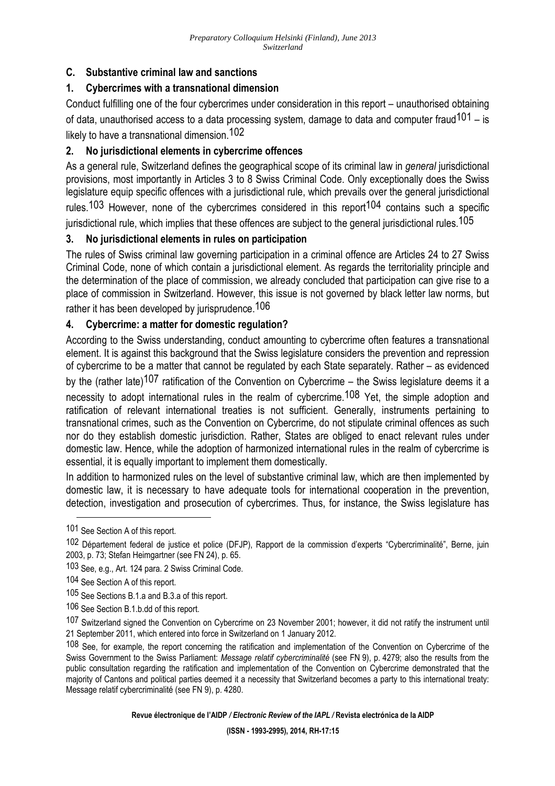## **C. Substantive criminal law and sanctions**

## **1. Cybercrimes with a transnational dimension**

Conduct fulfilling one of the four cybercrimes under consideration in this report – unauthorised obtaining of data, unauthorised access to a data processing system, damage to data and computer fraud<sup>101</sup> – is likely to have a transnational dimension.102

## **2. No jurisdictional elements in cybercrime offences**

As a general rule, Switzerland defines the geographical scope of its criminal law in *general* jurisdictional provisions, most importantly in Articles 3 to 8 Swiss Criminal Code. Only exceptionally does the Swiss legislature equip specific offences with a jurisdictional rule, which prevails over the general jurisdictional rules.<sup>103</sup> However, none of the cybercrimes considered in this report<sup>104</sup> contains such a specific jurisdictional rule, which implies that these offences are subject to the general jurisdictional rules. $105\,$ 

### **3. No jurisdictional elements in rules on participation**

The rules of Swiss criminal law governing participation in a criminal offence are Articles 24 to 27 Swiss Criminal Code, none of which contain a jurisdictional element. As regards the territoriality principle and the determination of the place of commission, we already concluded that participation can give rise to a place of commission in Switzerland. However, this issue is not governed by black letter law norms, but rather it has been developed by jurisprudence.<sup>106</sup>

## **4. Cybercrime: a matter for domestic regulation?**

According to the Swiss understanding, conduct amounting to cybercrime often features a transnational element. It is against this background that the Swiss legislature considers the prevention and repression of cybercrime to be a matter that cannot be regulated by each State separately. Rather – as evidenced

by the (rather late)<sup>107</sup> ratification of the Convention on Cybercrime – the Swiss legislature deems it a necessity to adopt international rules in the realm of cybercrime.<sup>108</sup> Yet, the simple adoption and ratification of relevant international treaties is not sufficient. Generally, instruments pertaining to transnational crimes, such as the Convention on Cybercrime, do not stipulate criminal offences as such nor do they establish domestic jurisdiction. Rather, States are obliged to enact relevant rules under domestic law. Hence, while the adoption of harmonized international rules in the realm of cybercrime is essential, it is equally important to implement them domestically.

In addition to harmonized rules on the level of substantive criminal law, which are then implemented by domestic law, it is necessary to have adequate tools for international cooperation in the prevention, detection, investigation and prosecution of cybercrimes. Thus, for instance, the Swiss legislature has

 $\overline{a}$ 

**Revue électronique de l'AIDP** */ Electronic Review of the IAPL /* **Revista electrónica de la AIDP** 

<sup>101</sup> See Section A of this report.

<sup>102</sup> Département federal de justice et police (DFJP), Rapport de la commission d'experts "Cybercriminalité", Berne, juin 2003, p. 73; Stefan Heimgartner (see FN 24), p. 65.

<sup>103</sup> See, e.g., Art. 124 para. 2 Swiss Criminal Code.

<sup>104</sup> See Section A of this report.

<sup>105</sup> See Sections B.1.a and B.3.a of this report.

<sup>106</sup> See Section B.1.b.dd of this report.

<sup>107</sup> Switzerland signed the Convention on Cybercrime on 23 November 2001; however, it did not ratify the instrument until 21 September 2011, which entered into force in Switzerland on 1 January 2012.

<sup>108</sup> See, for example, the report concerning the ratification and implementation of the Convention on Cybercrime of the Swiss Government to the Swiss Parliament: *Message relatif cybercriminalité* (see FN 9), p. 4279; also the results from the public consultation regarding the ratification and implementation of the Convention on Cybercrime demonstrated that the majority of Cantons and political parties deemed it a necessity that Switzerland becomes a party to this international treaty: Message relatif cybercriminalité (see FN 9), p. 4280.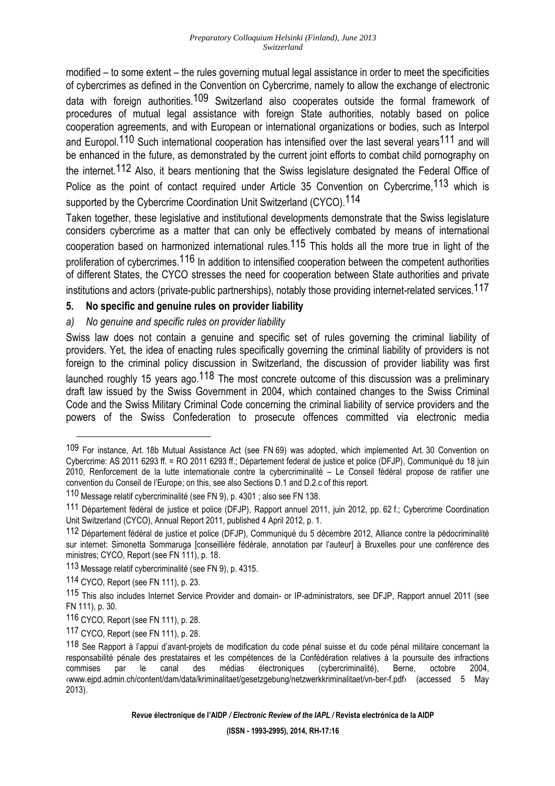modified – to some extent – the rules governing mutual legal assistance in order to meet the specificities of cybercrimes as defined in the Convention on Cybercrime, namely to allow the exchange of electronic data with foreign authorities.109 Switzerland also cooperates outside the formal framework of procedures of mutual legal assistance with foreign State authorities, notably based on police cooperation agreements, and with European or international organizations or bodies, such as Interpol and Europol.<sup>110</sup> Such international cooperation has intensified over the last several years<sup>111</sup> and will be enhanced in the future, as demonstrated by the current joint efforts to combat child pornography on the internet.112 Also, it bears mentioning that the Swiss legislature designated the Federal Office of Police as the point of contact required under Article 35 Convention on Cybercrime, <sup>113</sup> which is supported by the Cybercrime Coordination Unit Switzerland (CYCO).<sup>114</sup>

Taken together, these legislative and institutional developments demonstrate that the Swiss legislature considers cybercrime as a matter that can only be effectively combated by means of international cooperation based on harmonized international rules.<sup>115</sup> This holds all the more true in light of the proliferation of cybercrimes.<sup>116</sup> In addition to intensified cooperation between the competent authorities of different States, the CYCO stresses the need for cooperation between State authorities and private institutions and actors (private-public partnerships), notably those providing internet-related services.117

### **5. No specific and genuine rules on provider liability**

### *a) No genuine and specific rules on provider liability*

Swiss law does not contain a genuine and specific set of rules governing the criminal liability of providers. Yet, the idea of enacting rules specifically governing the criminal liability of providers is not foreign to the criminal policy discussion in Switzerland, the discussion of provider liability was first launched roughly 15 years ago.<sup>118</sup> The most concrete outcome of this discussion was a preliminary draft law issued by the Swiss Government in 2004, which contained changes to the Swiss Criminal Code and the Swiss Military Criminal Code concerning the criminal liability of service providers and the powers of the Swiss Confederation to prosecute offences committed via electronic media

 $\overline{a}$ 

**Revue électronique de l'AIDP** */ Electronic Review of the IAPL /* **Revista electrónica de la AIDP** 

<sup>109</sup> For instance, Art. 18b Mutual Assistance Act (see FN 69) was adopted, which implemented Art. 30 Convention on Cybercrime: AS 2011 6293 ff. = RO 2011 6293 ff.; Département federal de justice et police (DFJP), Communiqué du 18 juin 2010, Renforcement de la lutte internationale contre la cybercriminalité – Le Conseil fédéral propose de ratifier une convention du Conseil de l'Europe; on this, see also Sections D.1 and D.2.c of this report.

<sup>110</sup> Message relatif cybercriminalité (see FN 9), p. 4301 ; also see FN 138.

<sup>111</sup> Département fédéral de justice et police (DFJP), Rapport annuel 2011, juin 2012, pp. 62 f.; Cybercrime Coordination Unit Switzerland (CYCO), Annual Report 2011, published 4 April 2012, p. 1.

<sup>112</sup> Département fédéral de justice et police (DFJP), Communiqué du 5 décembre 2012, Alliance contre la pédocriminalité sur internet: Simonetta Sommaruga [conseillière fédérale, annotation par l'auteur] à Bruxelles pour une conférence des ministres; CYCO, Report (see FN 111), p. 18.

<sup>113</sup> Message relatif cybercriminalité (see FN 9), p. 4315.

<sup>114</sup> CYCO, Report (see FN 111), p. 23.

<sup>115</sup> This also includes Internet Service Provider and domain- or IP-administrators, see DFJP, Rapport annuel 2011 (see FN 111), p. 30.

<sup>116</sup> CYCO, Report (see FN 111), p. 28.

<sup>117</sup> CYCO, Report (see FN 111), p. 28.

<sup>118</sup> See Rapport à l'appui d'avant-projets de modification du code pénal suisse et du code pénal militaire concernant la responsabilité pénale des prestataires et les compétences de la Confédération relatives à la poursuite des infractions<br>
commises par le canal des médias électroniques (cybercriminalité), Berne, octobre 2004, commises par le canal des médias électroniques (cybercriminalité), Berne, octobre 2004, ‹www.ejpd.admin.ch/content/dam/data/kriminalitaet/gesetzgebung/netzwerkkriminalitaet/vn-ber-f.pdf› (accessed 5 May 2013).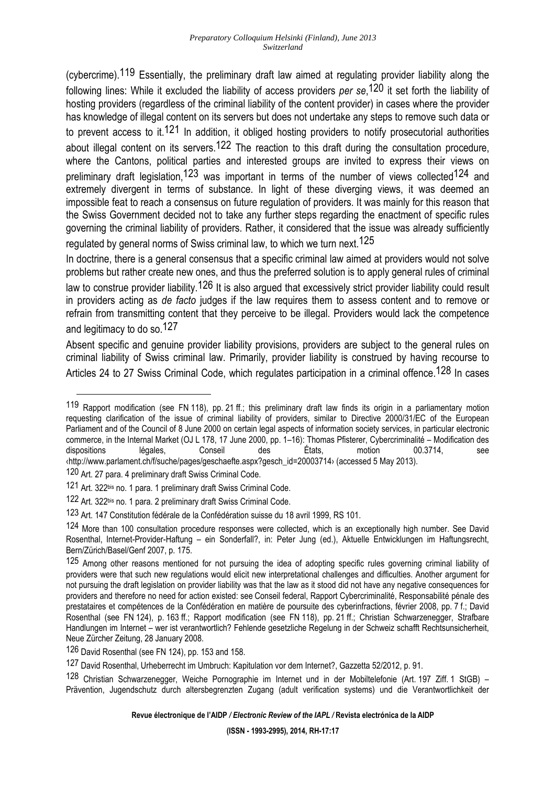(cybercrime).119 Essentially, the preliminary draft law aimed at regulating provider liability along the following lines: While it excluded the liability of access providers *per se*, 120 it set forth the liability of hosting providers (regardless of the criminal liability of the content provider) in cases where the provider has knowledge of illegal content on its servers but does not undertake any steps to remove such data or to prevent access to it.<sup>121</sup> In addition, it obliged hosting providers to notify prosecutorial authorities about illegal content on its servers.<sup>122</sup> The reaction to this draft during the consultation procedure, where the Cantons, political parties and interested groups are invited to express their views on preliminary draft legislation,<sup>123</sup> was important in terms of the number of views collected<sup>124</sup> and extremely divergent in terms of substance. In light of these diverging views, it was deemed an impossible feat to reach a consensus on future regulation of providers. It was mainly for this reason that the Swiss Government decided not to take any further steps regarding the enactment of specific rules governing the criminal liability of providers. Rather, it considered that the issue was already sufficiently regulated by general norms of Swiss criminal law, to which we turn next <sup>125</sup>

In doctrine, there is a general consensus that a specific criminal law aimed at providers would not solve problems but rather create new ones, and thus the preferred solution is to apply general rules of criminal law to construe provider liability.<sup>126</sup> It is also argued that excessively strict provider liability could result in providers acting as *de facto* judges if the law requires them to assess content and to remove or refrain from transmitting content that they perceive to be illegal. Providers would lack the competence and legitimacy to do so.127

Absent specific and genuine provider liability provisions, providers are subject to the general rules on criminal liability of Swiss criminal law. Primarily, provider liability is construed by having recourse to Articles 24 to 27 Swiss Criminal Code, which regulates participation in a criminal offence.<sup>128</sup> In cases

 $\overline{a}$ 

126 David Rosenthal (see FN 124), pp. 153 and 158.

127 David Rosenthal, Urheberrecht im Umbruch: Kapitulation vor dem Internet?, Gazzetta 52/2012, p. 91.

128 Christian Schwarzenegger, Weiche Pornographie im Internet und in der Mobiltelefonie (Art. 197 Ziff. 1 StGB) – Prävention, Jugendschutz durch altersbegrenzten Zugang (adult verification systems) und die Verantwortlichkeit der

**Revue électronique de l'AIDP** */ Electronic Review of the IAPL /* **Revista electrónica de la AIDP** 

<sup>119</sup> Rapport modification (see FN 118), pp. 21 ff.; this preliminary draft law finds its origin in a parliamentary motion requesting clarification of the issue of criminal liability of providers, similar to Directive 2000/31/EC of the European Parliament and of the Council of 8 June 2000 on certain legal aspects of information society services, in particular electronic commerce, in the Internal Market (OJ L 178, 17 June 2000, pp. 1–16): Thomas Pfisterer, Cybercriminalité – Modification des dispositions légales, Conseil des États, motion 00.3714, see ‹http://www.parlament.ch/f/suche/pages/geschaefte.aspx?gesch\_id=20003714› (accessed 5 May 2013).

<sup>120</sup> Art. 27 para. 4 preliminary draft Swiss Criminal Code.

<sup>121</sup> Art. 322<sup>bis</sup> no. 1 para. 1 preliminary draft Swiss Criminal Code.

<sup>122</sup> Art. 322bis no. 1 para. 2 preliminary draft Swiss Criminal Code.

<sup>123</sup> Art. 147 Constitution fédérale de la Confédération suisse du 18 avril 1999, RS 101.

<sup>124</sup> More than 100 consultation procedure responses were collected, which is an exceptionally high number. See David Rosenthal, Internet-Provider-Haftung – ein Sonderfall?, in: Peter Jung (ed.), Aktuelle Entwicklungen im Haftungsrecht, Bern/Zürich/Basel/Genf 2007, p. 175.

<sup>125</sup> Among other reasons mentioned for not pursuing the idea of adopting specific rules governing criminal liability of providers were that such new regulations would elicit new interpretational challenges and difficulties. Another argument for not pursuing the draft legislation on provider liability was that the law as it stood did not have any negative consequences for providers and therefore no need for action existed: see Conseil federal, Rapport Cybercriminalité, Responsabilité pénale des prestataires et compétences de la Confédération en matière de poursuite des cyberinfractions, février 2008, pp. 7 f.; David Rosenthal (see FN 124), p. 163 ff.; Rapport modification (see FN 118), pp. 21 ff.; Christian Schwarzenegger, Strafbare Handlungen im Internet – wer ist verantwortlich? Fehlende gesetzliche Regelung in der Schweiz schafft Rechtsunsicherheit, Neue Zürcher Zeitung, 28 January 2008.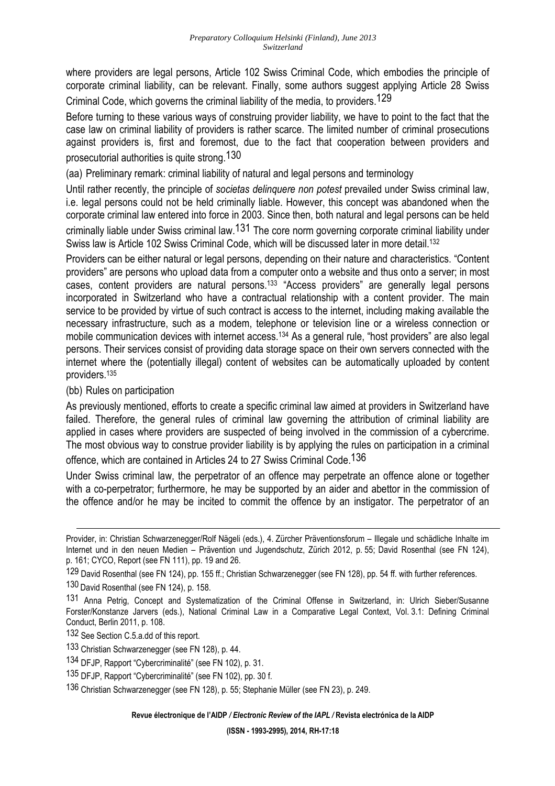where providers are legal persons, Article 102 Swiss Criminal Code, which embodies the principle of corporate criminal liability, can be relevant. Finally, some authors suggest applying Article 28 Swiss Criminal Code, which governs the criminal liability of the media, to providers.129

Before turning to these various ways of construing provider liability, we have to point to the fact that the case law on criminal liability of providers is rather scarce. The limited number of criminal prosecutions against providers is, first and foremost, due to the fact that cooperation between providers and prosecutorial authorities is quite strong.130

(aa) Preliminary remark: criminal liability of natural and legal persons and terminology

Until rather recently, the principle of *societas delinquere non potest* prevailed under Swiss criminal law, i.e. legal persons could not be held criminally liable. However, this concept was abandoned when the corporate criminal law entered into force in 2003. Since then, both natural and legal persons can be held criminally liable under Swiss criminal law.131 The core norm governing corporate criminal liability under Swiss law is Article 102 Swiss Criminal Code, which will be discussed later in more detail.<sup>132</sup>

Providers can be either natural or legal persons, depending on their nature and characteristics. "Content providers" are persons who upload data from a computer onto a website and thus onto a server; in most cases, content providers are natural persons.<sup>133</sup> "Access providers" are generally legal persons incorporated in Switzerland who have a contractual relationship with a content provider. The main service to be provided by virtue of such contract is access to the internet, including making available the necessary infrastructure, such as a modem, telephone or television line or a wireless connection or mobile communication devices with internet access.<sup>134</sup> As a general rule, "host providers" are also legal persons. Their services consist of providing data storage space on their own servers connected with the internet where the (potentially illegal) content of websites can be automatically uploaded by content providers.<sup>135</sup>

#### (bb) Rules on participation

l

As previously mentioned, efforts to create a specific criminal law aimed at providers in Switzerland have failed. Therefore, the general rules of criminal law governing the attribution of criminal liability are applied in cases where providers are suspected of being involved in the commission of a cybercrime. The most obvious way to construe provider liability is by applying the rules on participation in a criminal

offence, which are contained in Articles 24 to 27 Swiss Criminal Code.136

Under Swiss criminal law, the perpetrator of an offence may perpetrate an offence alone or together with a co-perpetrator; furthermore, he may be supported by an aider and abettor in the commission of the offence and/or he may be incited to commit the offence by an instigator. The perpetrator of an

**Revue électronique de l'AIDP** */ Electronic Review of the IAPL /* **Revista electrónica de la AIDP** 

Provider, in: Christian Schwarzenegger/Rolf Nägeli (eds.), 4. Zürcher Präventionsforum – Illegale und schädliche Inhalte im Internet und in den neuen Medien – Prävention und Jugendschutz, Zürich 2012, p. 55; David Rosenthal (see FN 124), p. 161; CYCO, Report (see FN 111), pp. 19 and 26.

<sup>129</sup> David Rosenthal (see FN 124), pp. 155 ff.; Christian Schwarzenegger (see FN 128), pp. 54 ff. with further references.

<sup>130</sup> David Rosenthal (see FN 124), p. 158.

<sup>131</sup> Anna Petrig, Concept and Systematization of the Criminal Offense in Switzerland, in: Ulrich Sieber/Susanne Forster/Konstanze Jarvers (eds.), National Criminal Law in a Comparative Legal Context, Vol. 3.1: Defining Criminal Conduct, Berlin 2011, p. 108.

<sup>132</sup> See Section C.5.a.dd of this report.

<sup>133</sup> Christian Schwarzenegger (see FN 128), p. 44.

<sup>134</sup> DFJP, Rapport "Cybercriminalité" (see FN 102), p. 31.

<sup>135</sup> DFJP, Rapport "Cybercriminalité" (see FN 102), pp. 30 f.

<sup>136</sup> Christian Schwarzenegger (see FN 128), p. 55; Stephanie Müller (see FN 23), p. 249.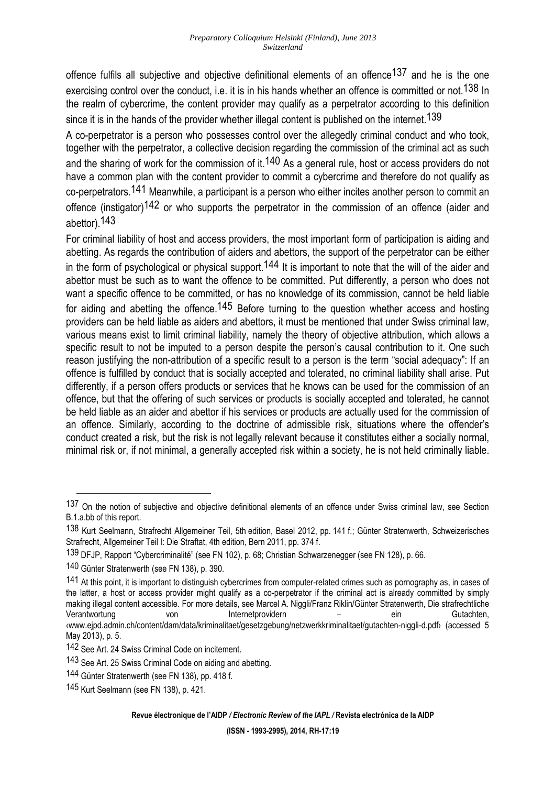offence fulfils all subjective and objective definitional elements of an offence<sup>137</sup> and he is the one exercising control over the conduct, i.e. it is in his hands whether an offence is committed or not.<sup>138</sup> In the realm of cybercrime, the content provider may qualify as a perpetrator according to this definition since it is in the hands of the provider whether illegal content is published on the internet.<sup>139</sup>

A co-perpetrator is a person who possesses control over the allegedly criminal conduct and who took, together with the perpetrator, a collective decision regarding the commission of the criminal act as such and the sharing of work for the commission of it.<sup>140</sup> As a general rule, host or access providers do not have a common plan with the content provider to commit a cybercrime and therefore do not qualify as co-perpetrators.141 Meanwhile, a participant is a person who either incites another person to commit an offence (instigator)<sup>142</sup> or who supports the perpetrator in the commission of an offence (aider and abettor).143

For criminal liability of host and access providers, the most important form of participation is aiding and abetting. As regards the contribution of aiders and abettors, the support of the perpetrator can be either in the form of psychological or physical support.<sup>144</sup> It is important to note that the will of the aider and abettor must be such as to want the offence to be committed. Put differently, a person who does not want a specific offence to be committed, or has no knowledge of its commission, cannot be held liable for aiding and abetting the offence.<sup>145</sup> Before turning to the question whether access and hosting providers can be held liable as aiders and abettors, it must be mentioned that under Swiss criminal law, various means exist to limit criminal liability, namely the theory of objective attribution, which allows a specific result to not be imputed to a person despite the person's causal contribution to it. One such reason justifying the non-attribution of a specific result to a person is the term "social adequacy": If an offence is fulfilled by conduct that is socially accepted and tolerated, no criminal liability shall arise. Put differently, if a person offers products or services that he knows can be used for the commission of an offence, but that the offering of such services or products is socially accepted and tolerated, he cannot be held liable as an aider and abettor if his services or products are actually used for the commission of an offence. Similarly, according to the doctrine of admissible risk, situations where the offender's conduct created a risk, but the risk is not legally relevant because it constitutes either a socially normal, minimal risk or, if not minimal, a generally accepted risk within a society, he is not held criminally liable.

<sup>137</sup> On the notion of subjective and objective definitional elements of an offence under Swiss criminal law, see Section B.1.a.bb of this report.

<sup>138</sup> Kurt Seelmann, Strafrecht Allgemeiner Teil, 5th edition, Basel 2012, pp. 141 f.; Günter Stratenwerth, Schweizerisches Strafrecht, Allgemeiner Teil I: Die Straftat, 4th edition, Bern 2011, pp. 374 f.

<sup>139</sup> DFJP, Rapport "Cybercriminalité" (see FN 102), p. 68; Christian Schwarzenegger (see FN 128), p. 66.

<sup>140</sup> Günter Stratenwerth (see FN 138), p. 390.

<sup>141</sup> At this point, it is important to distinguish cybercrimes from computer-related crimes such as pornography as, in cases of the latter, a host or access provider might qualify as a co-perpetrator if the criminal act is already committed by simply making illegal content accessible. For more details, see Marcel A. Niggli/Franz Riklin/Günter Stratenwerth, Die strafrechtliche<br>Verantwortung von lnternetprovidern - ein Gutachten, Verantwortung von Internetprovidern – ein ‹www.ejpd.admin.ch/content/dam/data/kriminalitaet/gesetzgebung/netzwerkkriminalitaet/gutachten-niggli-d.pdf› (accessed 5 May 2013), p. 5.

<sup>142</sup> See Art. 24 Swiss Criminal Code on incitement.

<sup>143</sup> See Art. 25 Swiss Criminal Code on aiding and abetting.

<sup>144</sup> Günter Stratenwerth (see FN 138), pp. 418 f.

<sup>145</sup> Kurt Seelmann (see FN 138), p. 421.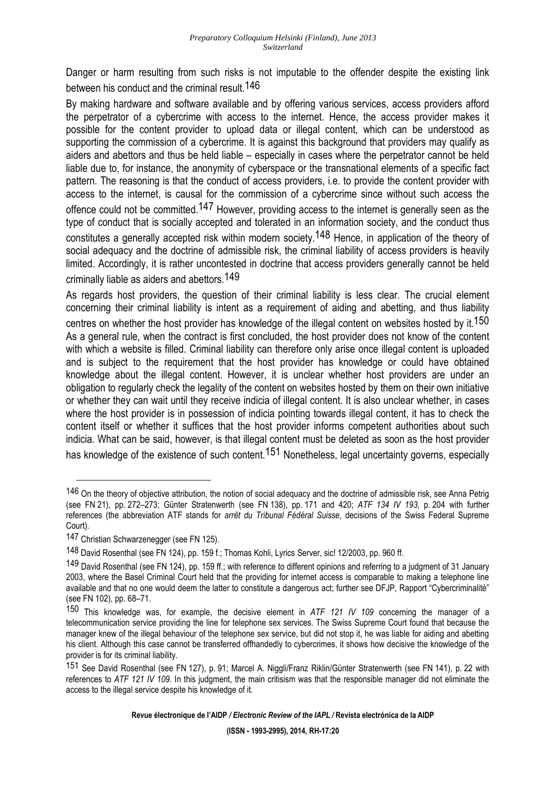Danger or harm resulting from such risks is not imputable to the offender despite the existing link between his conduct and the criminal result.146

By making hardware and software available and by offering various services, access providers afford the perpetrator of a cybercrime with access to the internet. Hence, the access provider makes it possible for the content provider to upload data or illegal content, which can be understood as supporting the commission of a cybercrime. It is against this background that providers may qualify as aiders and abettors and thus be held liable – especially in cases where the perpetrator cannot be held liable due to, for instance, the anonymity of cyberspace or the transnational elements of a specific fact pattern. The reasoning is that the conduct of access providers, i.e. to provide the content provider with access to the internet, is causal for the commission of a cybercrime since without such access the offence could not be committed.<sup>147</sup> However, providing access to the internet is generally seen as the type of conduct that is socially accepted and tolerated in an information society, and the conduct thus constitutes a generally accepted risk within modern society.148 Hence, in application of the theory of social adequacy and the doctrine of admissible risk, the criminal liability of access providers is heavily limited. Accordingly, it is rather uncontested in doctrine that access providers generally cannot be held criminally liable as aiders and abettors.149

As regards host providers, the question of their criminal liability is less clear. The crucial element concerning their criminal liability is intent as a requirement of aiding and abetting, and thus liability centres on whether the host provider has knowledge of the illegal content on websites hosted by it.<sup>150</sup> As a general rule, when the contract is first concluded, the host provider does not know of the content with which a website is filled. Criminal liability can therefore only arise once illegal content is uploaded and is subject to the requirement that the host provider has knowledge or could have obtained knowledge about the illegal content. However, it is unclear whether host providers are under an obligation to regularly check the legality of the content on websites hosted by them on their own initiative or whether they can wait until they receive indicia of illegal content. It is also unclear whether, in cases where the host provider is in possession of indicia pointing towards illegal content, it has to check the content itself or whether it suffices that the host provider informs competent authorities about such indicia. What can be said, however, is that illegal content must be deleted as soon as the host provider has knowledge of the existence of such content.<sup>151</sup> Nonetheless, legal uncertainty governs, especially

l

<sup>146</sup> On the theory of objective attribution, the notion of social adequacy and the doctrine of admissible risk, see Anna Petrig (see FN 21), pp. 272–273; Günter Stratenwerth (see FN 138), pp. 171 and 420; *ATF 134 IV 193*, p. 204 with further references (the abbreviation ATF stands for *arrêt du Tribunal Fédéral Suisse*, decisions of the Swiss Federal Supreme Court).

<sup>147</sup> Christian Schwarzenegger (see FN 125).

<sup>148</sup> David Rosenthal (see FN 124), pp. 159 f.; Thomas Kohli, Lyrics Server, sic! 12/2003, pp. 960 ff.

<sup>149</sup> David Rosenthal (see FN 124), pp. 159 ff.; with reference to different opinions and referring to a judgment of 31 January 2003, where the Basel Criminal Court held that the providing for internet access is comparable to making a telephone line available and that no one would deem the latter to constitute a dangerous act; further see DFJP, Rapport "Cybercriminalité" (see FN 102), pp. 68–71.

<sup>150</sup> This knowledge was, for example, the decisive element in *ATF 121 IV 109* concerning the manager of a telecommunication service providing the line for telephone sex services. The Swiss Supreme Court found that because the manager knew of the illegal behaviour of the telephone sex service, but did not stop it, he was liable for aiding and abetting his client. Although this case cannot be transferred offhandedly to cybercrimes, it shows how decisive the knowledge of the provider is for its criminal liability.

<sup>151</sup> See David Rosenthal (see FN 127), p. 91; Marcel A. Niggli/Franz Riklin/Günter Stratenwerth (see FN 141), p. 22 with references to *ATF 121 IV 109*. In this judgment, the main critisism was that the responsible manager did not eliminate the access to the illegal service despite his knowledge of it.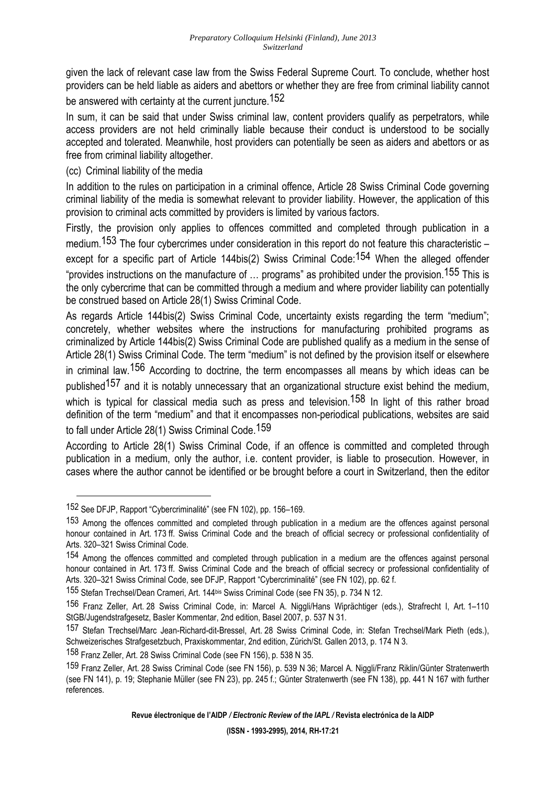given the lack of relevant case law from the Swiss Federal Supreme Court. To conclude, whether host providers can be held liable as aiders and abettors or whether they are free from criminal liability cannot

be answered with certainty at the current juncture.<sup>152</sup>

In sum, it can be said that under Swiss criminal law, content providers qualify as perpetrators, while access providers are not held criminally liable because their conduct is understood to be socially accepted and tolerated. Meanwhile, host providers can potentially be seen as aiders and abettors or as free from criminal liability altogether.

## (cc) Criminal liability of the media

In addition to the rules on participation in a criminal offence, Article 28 Swiss Criminal Code governing criminal liability of the media is somewhat relevant to provider liability. However, the application of this provision to criminal acts committed by providers is limited by various factors.

Firstly, the provision only applies to offences committed and completed through publication in a medium.<sup>153</sup> The four cybercrimes under consideration in this report do not feature this characteristic – except for a specific part of Article 144bis(2) Swiss Criminal Code:<sup>154</sup> When the alleged offender "provides instructions on the manufacture of … programs" as prohibited under the provision.155 This is the only cybercrime that can be committed through a medium and where provider liability can potentially be construed based on Article 28(1) Swiss Criminal Code.

As regards Article 144bis(2) Swiss Criminal Code, uncertainty exists regarding the term "medium"; concretely, whether websites where the instructions for manufacturing prohibited programs as criminalized by Article 144bis(2) Swiss Criminal Code are published qualify as a medium in the sense of Article 28(1) Swiss Criminal Code. The term "medium" is not defined by the provision itself or elsewhere in criminal law.<sup>156</sup> According to doctrine, the term encompasses all means by which ideas can be published<sup>157</sup> and it is notably unnecessary that an organizational structure exist behind the medium, which is typical for classical media such as press and television.<sup>158</sup> In light of this rather broad definition of the term "medium" and that it encompasses non-periodical publications, websites are said to fall under Article 28(1) Swiss Criminal Code.<sup>159</sup>

According to Article 28(1) Swiss Criminal Code, if an offence is committed and completed through publication in a medium, only the author, i.e. content provider, is liable to prosecution. However, in cases where the author cannot be identified or be brought before a court in Switzerland, then the editor

<sup>152</sup> See DFJP, Rapport "Cybercriminalité" (see FN 102), pp. 156–169.

<sup>153</sup> Among the offences committed and completed through publication in a medium are the offences against personal honour contained in Art. 173 ff. Swiss Criminal Code and the breach of official secrecy or professional confidentiality of Arts. 320–321 Swiss Criminal Code.

<sup>154</sup> Among the offences committed and completed through publication in a medium are the offences against personal honour contained in Art. 173 ff. Swiss Criminal Code and the breach of official secrecy or professional confidentiality of Arts. 320–321 Swiss Criminal Code, see DFJP, Rapport "Cybercriminalité" (see FN 102), pp. 62 f.

<sup>155</sup> Stefan Trechsel/Dean Crameri, Art. 144bis Swiss Criminal Code (see FN 35), p. 734 N 12.

<sup>156</sup> Franz Zeller, Art. 28 Swiss Criminal Code, in: Marcel A. Niggli/Hans Wiprächtiger (eds.), Strafrecht I, Art. 1–110 StGB/Jugendstrafgesetz, Basler Kommentar, 2nd edition, Basel 2007, p. 537 N 31.

<sup>157</sup> Stefan Trechsel/Marc Jean-Richard-dit-Bressel, Art. 28 Swiss Criminal Code, in: Stefan Trechsel/Mark Pieth (eds.), Schweizerisches Strafgesetzbuch, Praxiskommentar, 2nd edition, Zürich/St. Gallen 2013, p. 174 N 3.

<sup>158</sup> Franz Zeller, Art. 28 Swiss Criminal Code (see FN 156), p. 538 N 35.

<sup>159</sup> Franz Zeller, Art. 28 Swiss Criminal Code (see FN 156), p. 539 N 36; Marcel A. Niggli/Franz Riklin/Günter Stratenwerth (see FN 141), p. 19; Stephanie Müller (see FN 23), pp. 245 f.; Günter Stratenwerth (see FN 138), pp. 441 N 167 with further references.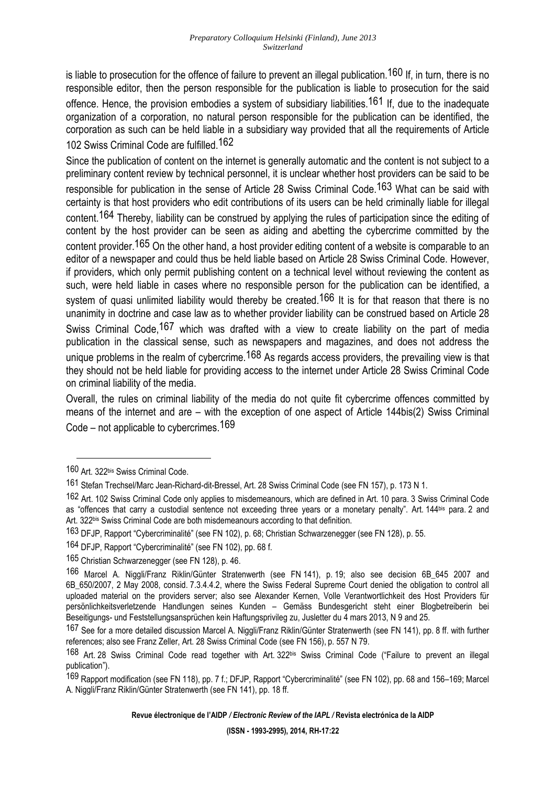is liable to prosecution for the offence of failure to prevent an illegal publication.<sup>160</sup> If, in turn, there is no responsible editor, then the person responsible for the publication is liable to prosecution for the said offence. Hence, the provision embodies a system of subsidiary liabilities.<sup>161</sup> If, due to the inadequate organization of a corporation, no natural person responsible for the publication can be identified, the corporation as such can be held liable in a subsidiary way provided that all the requirements of Article 102 Swiss Criminal Code are fulfilled.162

Since the publication of content on the internet is generally automatic and the content is not subject to a preliminary content review by technical personnel, it is unclear whether host providers can be said to be responsible for publication in the sense of Article 28 Swiss Criminal Code.<sup>163</sup> What can be said with certainty is that host providers who edit contributions of its users can be held criminally liable for illegal content.164 Thereby, liability can be construed by applying the rules of participation since the editing of content by the host provider can be seen as aiding and abetting the cybercrime committed by the content provider.<sup>165</sup> On the other hand, a host provider editing content of a website is comparable to an editor of a newspaper and could thus be held liable based on Article 28 Swiss Criminal Code. However, if providers, which only permit publishing content on a technical level without reviewing the content as such, were held liable in cases where no responsible person for the publication can be identified, a system of quasi unlimited liability would thereby be created.<sup>166</sup> It is for that reason that there is no unanimity in doctrine and case law as to whether provider liability can be construed based on Article 28 Swiss Criminal Code, <sup>167</sup> which was drafted with a view to create liability on the part of media publication in the classical sense, such as newspapers and magazines, and does not address the unique problems in the realm of cybercrime.<sup>168</sup> As regards access providers, the prevailing view is that they should not be held liable for providing access to the internet under Article 28 Swiss Criminal Code on criminal liability of the media.

Overall, the rules on criminal liability of the media do not quite fit cybercrime offences committed by means of the internet and are – with the exception of one aspect of Article 144bis(2) Swiss Criminal Code – not applicable to cybercrimes.169

<sup>160</sup> Art. 322bis Swiss Criminal Code.

<sup>161</sup> Stefan Trechsel/Marc Jean-Richard-dit-Bressel, Art. 28 Swiss Criminal Code (see FN 157), p. 173 N 1.

<sup>162</sup> Art. 102 Swiss Criminal Code only applies to misdemeanours, which are defined in Art. 10 para. 3 Swiss Criminal Code as "offences that carry a custodial sentence not exceeding three years or a monetary penalty". Art. 144 bis para. 2 and Art. 322bis Swiss Criminal Code are both misdemeanours according to that definition.

<sup>163</sup> DFJP, Rapport "Cybercriminalité" (see FN 102), p. 68; Christian Schwarzenegger (see FN 128), p. 55.

<sup>164</sup> DFJP, Rapport "Cybercriminalité" (see FN 102), pp. 68 f.

<sup>165</sup> Christian Schwarzenegger (see FN 128), p. 46.

<sup>166</sup> Marcel A. Niggli/Franz Riklin/Günter Stratenwerth (see FN 141), p. 19; also see decision 6B\_645 2007 and 6B\_650/2007, 2 May 2008, consid. 7.3.4.4.2, where the Swiss Federal Supreme Court denied the obligation to control all uploaded material on the providers server; also see Alexander Kernen, Volle Verantwortlichkeit des Host Providers für persönlichkeitsverletzende Handlungen seines Kunden – Gemäss Bundesgericht steht einer Blogbetreiberin bei Beseitigungs- und Feststellungsansprüchen kein Haftungsprivileg zu, Jusletter du 4 mars 2013, N 9 and 25.

<sup>167</sup> See for a more detailed discussion Marcel A. Niggli/Franz Riklin/Günter Stratenwerth (see FN 141), pp. 8 ff. with further references; also see Franz Zeller, Art. 28 Swiss Criminal Code (see FN 156), p. 557 N 79.

<sup>168</sup> Art. 28 Swiss Criminal Code read together with Art. 322<sup>bis</sup> Swiss Criminal Code ("Failure to prevent an illegal publication").

<sup>169</sup> Rapport modification (see FN 118), pp. 7 f.; DFJP, Rapport "Cybercriminalité" (see FN 102), pp. 68 and 156–169; Marcel A. Niggli/Franz Riklin/Günter Stratenwerth (see FN 141), pp. 18 ff.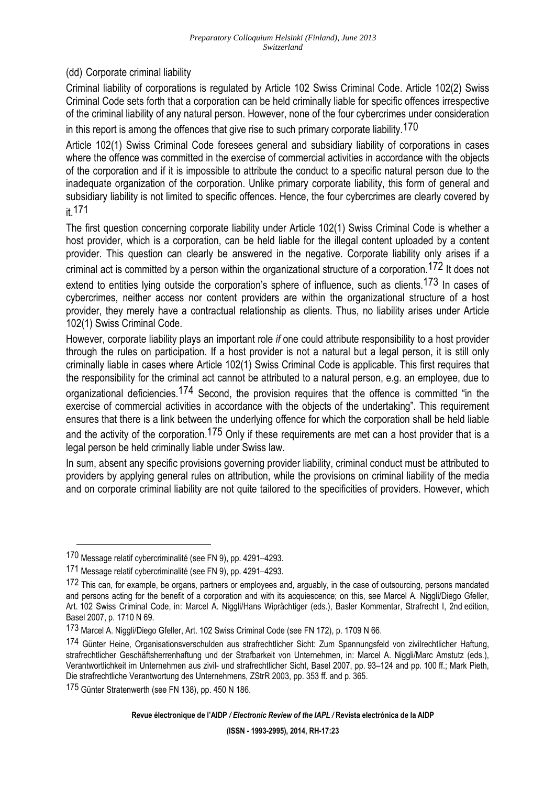(dd) Corporate criminal liability

Criminal liability of corporations is regulated by Article 102 Swiss Criminal Code. Article 102(2) Swiss Criminal Code sets forth that a corporation can be held criminally liable for specific offences irrespective of the criminal liability of any natural person. However, none of the four cybercrimes under consideration in this report is among the offences that give rise to such primary corporate liability.<sup>170</sup>

Article 102(1) Swiss Criminal Code foresees general and subsidiary liability of corporations in cases where the offence was committed in the exercise of commercial activities in accordance with the objects of the corporation and if it is impossible to attribute the conduct to a specific natural person due to the inadequate organization of the corporation. Unlike primary corporate liability, this form of general and subsidiary liability is not limited to specific offences. Hence, the four cybercrimes are clearly covered by it.171

The first question concerning corporate liability under Article 102(1) Swiss Criminal Code is whether a host provider, which is a corporation, can be held liable for the illegal content uploaded by a content provider. This question can clearly be answered in the negative. Corporate liability only arises if a criminal act is committed by a person within the organizational structure of a corporation.172 It does not

extend to entities lying outside the corporation's sphere of influence, such as clients.<sup>173</sup> In cases of cybercrimes, neither access nor content providers are within the organizational structure of a host provider, they merely have a contractual relationship as clients. Thus, no liability arises under Article 102(1) Swiss Criminal Code.

However, corporate liability plays an important role *if* one could attribute responsibility to a host provider through the rules on participation. If a host provider is not a natural but a legal person, it is still only criminally liable in cases where Article 102(1) Swiss Criminal Code is applicable. This first requires that the responsibility for the criminal act cannot be attributed to a natural person, e.g. an employee, due to

organizational deficiencies.174 Second, the provision requires that the offence is committed "in the exercise of commercial activities in accordance with the objects of the undertaking". This requirement ensures that there is a link between the underlying offence for which the corporation shall be held liable

and the activity of the corporation.<sup>175</sup> Only if these requirements are met can a host provider that is a legal person be held criminally liable under Swiss law.

In sum, absent any specific provisions governing provider liability, criminal conduct must be attributed to providers by applying general rules on attribution, while the provisions on criminal liability of the media and on corporate criminal liability are not quite tailored to the specificities of providers. However, which

 $\overline{a}$ 

<sup>170</sup> Message relatif cybercriminalité (see FN 9), pp. 4291–4293.

<sup>171</sup> Message relatif cybercriminalité (see FN 9), pp. 4291–4293.

<sup>172</sup> This can, for example, be organs, partners or employees and, arguably, in the case of outsourcing, persons mandated and persons acting for the benefit of a corporation and with its acquiescence; on this, see Marcel A. Niggli/Diego Gfeller, Art. 102 Swiss Criminal Code, in: Marcel A. Niggli/Hans Wiprächtiger (eds.), Basler Kommentar, Strafrecht I, 2nd edition, Basel 2007, p. 1710 N 69.

<sup>173</sup> Marcel A. Niggli/Diego Gfeller, Art. 102 Swiss Criminal Code (see FN 172), p. 1709 N 66.

<sup>174</sup> Günter Heine, Organisationsverschulden aus strafrechtlicher Sicht: Zum Spannungsfeld von zivilrechtlicher Haftung, strafrechtlicher Geschäftsherrenhaftung und der Strafbarkeit von Unternehmen, in: Marcel A. Niggli/Marc Amstutz (eds.), Verantwortlichkeit im Unternehmen aus zivil- und strafrechtlicher Sicht, Basel 2007, pp. 93–124 and pp. 100 ff.; Mark Pieth, Die strafrechtliche Verantwortung des Unternehmens, ZStrR 2003, pp. 353 ff. and p. 365.

<sup>175</sup> Günter Stratenwerth (see FN 138), pp. 450 N 186.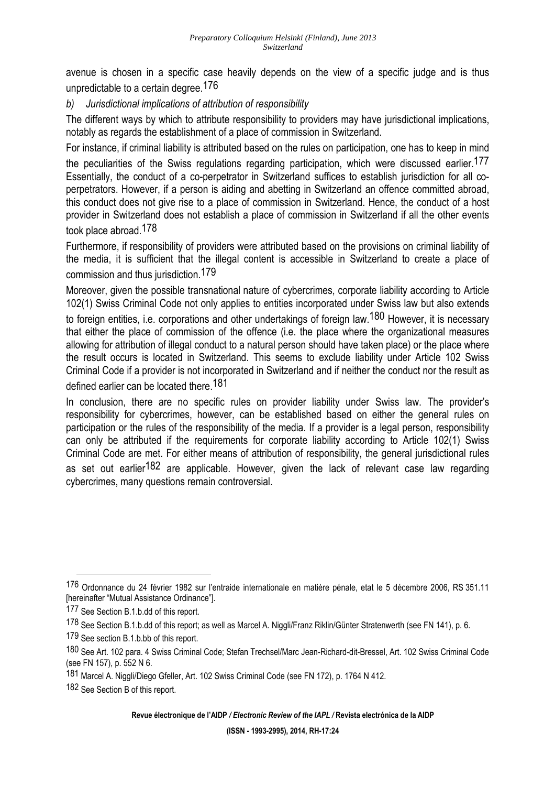avenue is chosen in a specific case heavily depends on the view of a specific judge and is thus unpredictable to a certain degree.176

*b) Jurisdictional implications of attribution of responsibility* 

The different ways by which to attribute responsibility to providers may have jurisdictional implications, notably as regards the establishment of a place of commission in Switzerland.

For instance, if criminal liability is attributed based on the rules on participation, one has to keep in mind the peculiarities of the Swiss regulations regarding participation, which were discussed earlier.<sup>177</sup> Essentially, the conduct of a co-perpetrator in Switzerland suffices to establish jurisdiction for all coperpetrators. However, if a person is aiding and abetting in Switzerland an offence committed abroad, this conduct does not give rise to a place of commission in Switzerland. Hence, the conduct of a host provider in Switzerland does not establish a place of commission in Switzerland if all the other events took place abroad.178

Furthermore, if responsibility of providers were attributed based on the provisions on criminal liability of the media, it is sufficient that the illegal content is accessible in Switzerland to create a place of commission and thus jurisdiction.179

Moreover, given the possible transnational nature of cybercrimes, corporate liability according to Article 102(1) Swiss Criminal Code not only applies to entities incorporated under Swiss law but also extends to foreign entities, i.e. corporations and other undertakings of foreign law.<sup>180</sup> However, it is necessary that either the place of commission of the offence (i.e. the place where the organizational measures allowing for attribution of illegal conduct to a natural person should have taken place) or the place where the result occurs is located in Switzerland. This seems to exclude liability under Article 102 Swiss Criminal Code if a provider is not incorporated in Switzerland and if neither the conduct nor the result as defined earlier can be located there.181

In conclusion, there are no specific rules on provider liability under Swiss law. The provider's responsibility for cybercrimes, however, can be established based on either the general rules on participation or the rules of the responsibility of the media. If a provider is a legal person, responsibility can only be attributed if the requirements for corporate liability according to Article 102(1) Swiss Criminal Code are met. For either means of attribution of responsibility, the general jurisdictional rules as set out earlier<sup>182</sup> are applicable. However, given the lack of relevant case law regarding cybercrimes, many questions remain controversial.

<sup>176</sup> Ordonnance du 24 février 1982 sur l'entraide internationale en matière pénale, etat le 5 décembre 2006, RS 351.11 [hereinafter "Mutual Assistance Ordinance"].

<sup>177</sup> See Section B.1.b.dd of this report.

<sup>178</sup> See Section B.1.b.dd of this report; as well as Marcel A. Niggli/Franz Riklin/Günter Stratenwerth (see FN 141), p. 6.

<sup>179</sup> See section B.1.b.bb of this report.

<sup>180</sup> See Art. 102 para. 4 Swiss Criminal Code; Stefan Trechsel/Marc Jean-Richard-dit-Bressel, Art. 102 Swiss Criminal Code (see FN 157), p. 552 N 6.

<sup>181</sup> Marcel A. Niggli/Diego Gfeller, Art. 102 Swiss Criminal Code (see FN 172), p. 1764 N 412.

<sup>182</sup> See Section B of this report.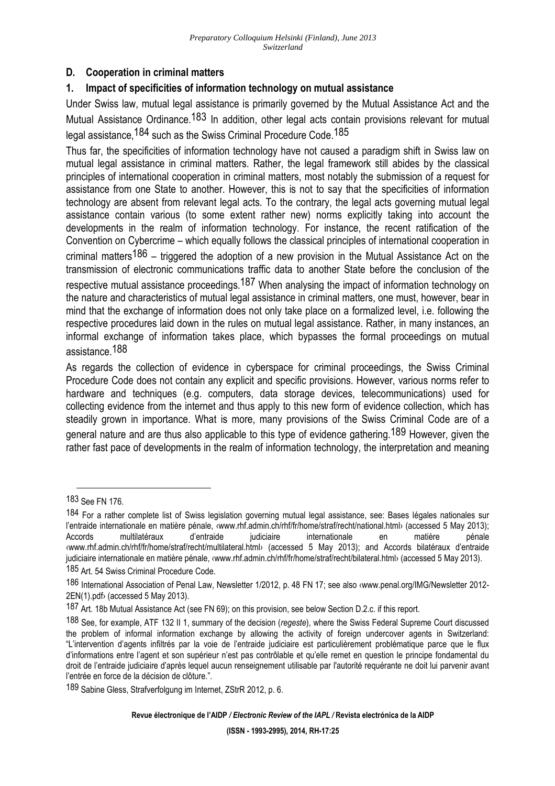### **D. Cooperation in criminal matters**

### **1. Impact of specificities of information technology on mutual assistance**

Under Swiss law, mutual legal assistance is primarily governed by the Mutual Assistance Act and the Mutual Assistance Ordinance.<sup>183</sup> In addition, other legal acts contain provisions relevant for mutual legal assistance, <sup>184</sup> such as the Swiss Criminal Procedure Code, <sup>185</sup>

Thus far, the specificities of information technology have not caused a paradigm shift in Swiss law on mutual legal assistance in criminal matters. Rather, the legal framework still abides by the classical principles of international cooperation in criminal matters, most notably the submission of a request for assistance from one State to another. However, this is not to say that the specificities of information technology are absent from relevant legal acts. To the contrary, the legal acts governing mutual legal assistance contain various (to some extent rather new) norms explicitly taking into account the developments in the realm of information technology. For instance, the recent ratification of the Convention on Cybercrime – which equally follows the classical principles of international cooperation in criminal matters<sup>186</sup> – triggered the adoption of a new provision in the Mutual Assistance Act on the transmission of electronic communications traffic data to another State before the conclusion of the

respective mutual assistance proceedings.<sup>187</sup> When analysing the impact of information technology on the nature and characteristics of mutual legal assistance in criminal matters, one must, however, bear in mind that the exchange of information does not only take place on a formalized level, i.e. following the respective procedures laid down in the rules on mutual legal assistance. Rather, in many instances, an informal exchange of information takes place, which bypasses the formal proceedings on mutual assistance.188

As regards the collection of evidence in cyberspace for criminal proceedings, the Swiss Criminal Procedure Code does not contain any explicit and specific provisions. However, various norms refer to hardware and techniques (e.g. computers, data storage devices, telecommunications) used for collecting evidence from the internet and thus apply to this new form of evidence collection, which has steadily grown in importance. What is more, many provisions of the Swiss Criminal Code are of a general nature and are thus also applicable to this type of evidence gathering.<sup>189</sup> However, given the rather fast pace of developments in the realm of information technology, the interpretation and meaning

<sup>183</sup> See FN 176.

<sup>184</sup> For a rather complete list of Swiss legislation governing mutual legal assistance, see: Bases légales nationales sur l'entraide internationale en matière pénale, «www.rhf.admin.ch/rhf/fr/home/straf/recht/national.html› (accessed 5 May 2013);<br>Accords multilatéraux d'entraide judiciaire internationale en matière pénale Accords multilatéraux d'entraide judiciaire internationale en matière pénale ‹www.rhf.admin.ch/rhf/fr/home/straf/recht/multilateral.html› (accessed 5 May 2013); and Accords bilatéraux d'entraide judiciaire internationale en matière pénale, ‹www.rhf.admin.ch/rhf/fr/home/straf/recht/bilateral.html› (accessed 5 May 2013).

<sup>185</sup> Art. 54 Swiss Criminal Procedure Code.

<sup>186</sup> International Association of Penal Law, Newsletter 1/2012, p. 48 FN 17; see also ‹www.penal.org/IMG/Newsletter 2012- 2EN(1).pdf› (accessed 5 May 2013).

<sup>187</sup> Art. 18b Mutual Assistance Act (see FN 69); on this provision, see below Section D.2.c. if this report.

<sup>188</sup> See, for example, ATF 132 II 1, summary of the decision (*regeste*), where the Swiss Federal Supreme Court discussed the problem of informal information exchange by allowing the activity of foreign undercover agents in Switzerland: "L'intervention d'agents infiltrés par la voie de l'entraide judiciaire est particulièrement problématique parce que le flux d'informations entre l'agent et son supérieur n'est pas contrôlable et qu'elle remet en question le principe fondamental du droit de l'entraide judiciaire d'après lequel aucun renseignement utilisable par l'autorité requérante ne doit lui parvenir avant l'entrée en force de la décision de clôture.".

<sup>189</sup> Sabine Gless, Strafverfolgung im Internet, ZStrR 2012, p. 6.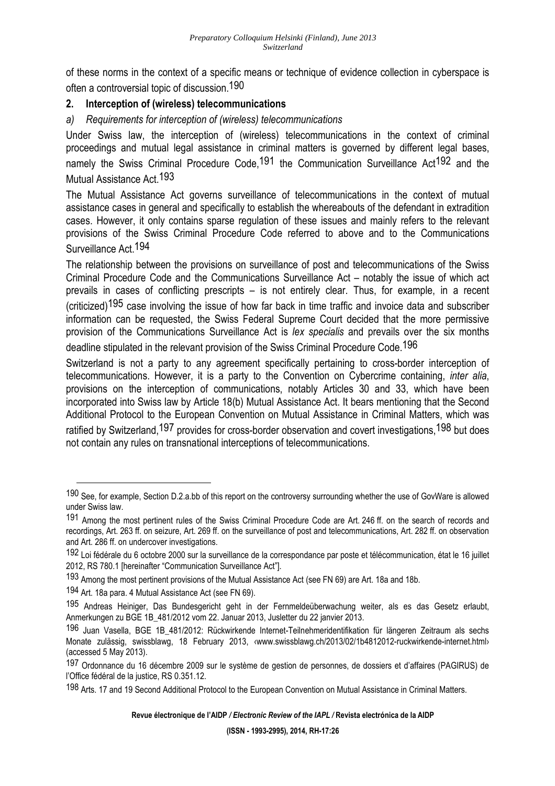of these norms in the context of a specific means or technique of evidence collection in cyberspace is often a controversial topic of discussion.190

## **2. Interception of (wireless) telecommunications**

*a) Requirements for interception of (wireless) telecommunications* 

Under Swiss law, the interception of (wireless) telecommunications in the context of criminal proceedings and mutual legal assistance in criminal matters is governed by different legal bases, namely the Swiss Criminal Procedure Code,<sup>191</sup> the Communication Surveillance Act<sup>192</sup> and the Mutual Assistance Act.193

The Mutual Assistance Act governs surveillance of telecommunications in the context of mutual assistance cases in general and specifically to establish the whereabouts of the defendant in extradition cases. However, it only contains sparse regulation of these issues and mainly refers to the relevant provisions of the Swiss Criminal Procedure Code referred to above and to the Communications Surveillance Act.194

The relationship between the provisions on surveillance of post and telecommunications of the Swiss Criminal Procedure Code and the Communications Surveillance Act – notably the issue of which act prevails in cases of conflicting prescripts – is not entirely clear. Thus, for example, in a recent (criticized)195 case involving the issue of how far back in time traffic and invoice data and subscriber information can be requested, the Swiss Federal Supreme Court decided that the more permissive provision of the Communications Surveillance Act is *lex specialis* and prevails over the six months deadline stipulated in the relevant provision of the Swiss Criminal Procedure Code.<sup>196</sup>

Switzerland is not a party to any agreement specifically pertaining to cross-border interception of telecommunications. However, it is a party to the Convention on Cybercrime containing, *inter alia*, provisions on the interception of communications, notably Articles 30 and 33, which have been incorporated into Swiss law by Article 18(b) Mutual Assistance Act. It bears mentioning that the Second Additional Protocol to the European Convention on Mutual Assistance in Criminal Matters, which was ratified by Switzerland, <sup>197</sup> provides for cross-border observation and covert investigations, <sup>198</sup> but does not contain any rules on transnational interceptions of telecommunications.

<sup>190</sup> See, for example, Section D.2.a.bb of this report on the controversy surrounding whether the use of GovWare is allowed under Swiss law.

<sup>191</sup> Among the most pertinent rules of the Swiss Criminal Procedure Code are Art. 246 ff. on the search of records and recordings, Art. 263 ff. on seizure, Art. 269 ff. on the surveillance of post and telecommunications, Art. 282 ff. on observation and Art. 286 ff. on undercover investigations.

<sup>192</sup> Loi fédérale du 6 octobre 2000 sur la surveillance de la correspondance par poste et télécommunication, état le 16 juillet 2012, RS 780.1 [hereinafter "Communication Surveillance Act"].

<sup>193</sup> Among the most pertinent provisions of the Mutual Assistance Act (see FN 69) are Art. 18a and 18b.

<sup>194</sup> Art. 18a para. 4 Mutual Assistance Act (see FN 69).

<sup>195</sup> Andreas Heiniger, Das Bundesgericht geht in der Fernmeldeüberwachung weiter, als es das Gesetz erlaubt, Anmerkungen zu BGE 1B\_481/2012 vom 22. Januar 2013, Jusletter du 22 janvier 2013.

<sup>196</sup> Juan Vasella, BGE 1B\_481/2012: Rückwirkende Internet-Teilnehmeridentifikation für längeren Zeitraum als sechs Monate zulässig, swissblawg, 18 February 2013, ‹www.swissblawg.ch/2013/02/1b4812012-ruckwirkende-internet.html› (accessed 5 May 2013).

<sup>197</sup> Ordonnance du 16 décembre 2009 sur le système de gestion de personnes, de dossiers et d'affaires (PAGIRUS) de l'Office fédéral de la justice, RS 0.351.12.

<sup>198</sup> Arts. 17 and 19 Second Additional Protocol to the European Convention on Mutual Assistance in Criminal Matters.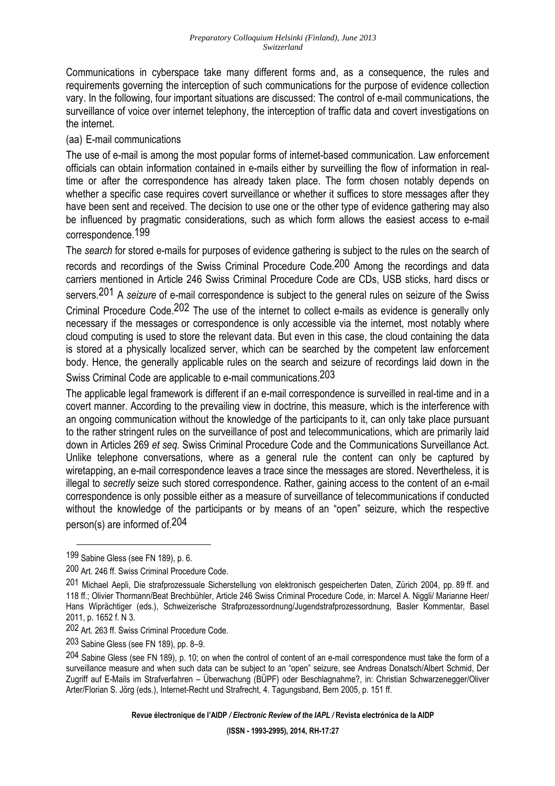Communications in cyberspace take many different forms and, as a consequence, the rules and requirements governing the interception of such communications for the purpose of evidence collection vary. In the following, four important situations are discussed: The control of e-mail communications, the surveillance of voice over internet telephony, the interception of traffic data and covert investigations on the internet.

### (aa) E-mail communications

The use of e-mail is among the most popular forms of internet-based communication. Law enforcement officials can obtain information contained in e-mails either by surveilling the flow of information in realtime or after the correspondence has already taken place. The form chosen notably depends on whether a specific case requires covert surveillance or whether it suffices to store messages after they have been sent and received. The decision to use one or the other type of evidence gathering may also be influenced by pragmatic considerations, such as which form allows the easiest access to e-mail correspondence.199

The *search* for stored e-mails for purposes of evidence gathering is subject to the rules on the search of records and recordings of the Swiss Criminal Procedure Code.<sup>200</sup> Among the recordings and data carriers mentioned in Article 246 Swiss Criminal Procedure Code are CDs, USB sticks, hard discs or servers.201 A *seizure* of e-mail correspondence is subject to the general rules on seizure of the Swiss Criminal Procedure Code.202 The use of the internet to collect e-mails as evidence is generally only necessary if the messages or correspondence is only accessible via the internet, most notably where cloud computing is used to store the relevant data. But even in this case, the cloud containing the data is stored at a physically localized server, which can be searched by the competent law enforcement body. Hence, the generally applicable rules on the search and seizure of recordings laid down in the Swiss Criminal Code are applicable to e-mail communications.203

The applicable legal framework is different if an e-mail correspondence is surveilled in real-time and in a covert manner. According to the prevailing view in doctrine, this measure, which is the interference with an ongoing communication without the knowledge of the participants to it, can only take place pursuant to the rather stringent rules on the surveillance of post and telecommunications, which are primarily laid down in Articles 269 *et seq.* Swiss Criminal Procedure Code and the Communications Surveillance Act. Unlike telephone conversations, where as a general rule the content can only be captured by wiretapping, an e-mail correspondence leaves a trace since the messages are stored. Nevertheless, it is illegal to *secretly* seize such stored correspondence. Rather, gaining access to the content of an e-mail correspondence is only possible either as a measure of surveillance of telecommunications if conducted without the knowledge of the participants or by means of an "open" seizure, which the respective person(s) are informed of.204

 $\overline{a}$ 

**Revue électronique de l'AIDP** */ Electronic Review of the IAPL /* **Revista electrónica de la AIDP** 

<sup>199</sup> Sabine Gless (see FN 189), p. 6.

<sup>200</sup> Art. 246 ff. Swiss Criminal Procedure Code.

<sup>201</sup> Michael Aepli, Die strafprozessuale Sicherstellung von elektronisch gespeicherten Daten, Zürich 2004, pp. 89 ff. and 118 ff.; Olivier Thormann/Beat Brechbühler, Article 246 Swiss Criminal Procedure Code, in: Marcel A. Niggli/ Marianne Heer/ Hans Wiprächtiger (eds.), Schweizerische Strafprozessordnung/Jugendstrafprozessordnung, Basler Kommentar, Basel 2011, p. 1652 f. N 3.

<sup>202</sup> Art. 263 ff. Swiss Criminal Procedure Code.

<sup>203</sup> Sabine Gless (see FN 189), pp. 8–9.

 $204$  Sabine Gless (see FN 189), p. 10; on when the control of content of an e-mail correspondence must take the form of a surveillance measure and when such data can be subject to an "open" seizure, see Andreas Donatsch/Albert Schmid, Der Zugriff auf E-Mails im Strafverfahren – Überwachung (BÜPF) oder Beschlagnahme?, in: Christian Schwarzenegger/Oliver Arter/Florian S. Jörg (eds.), Internet-Recht und Strafrecht, 4. Tagungsband, Bern 2005, p. 151 ff.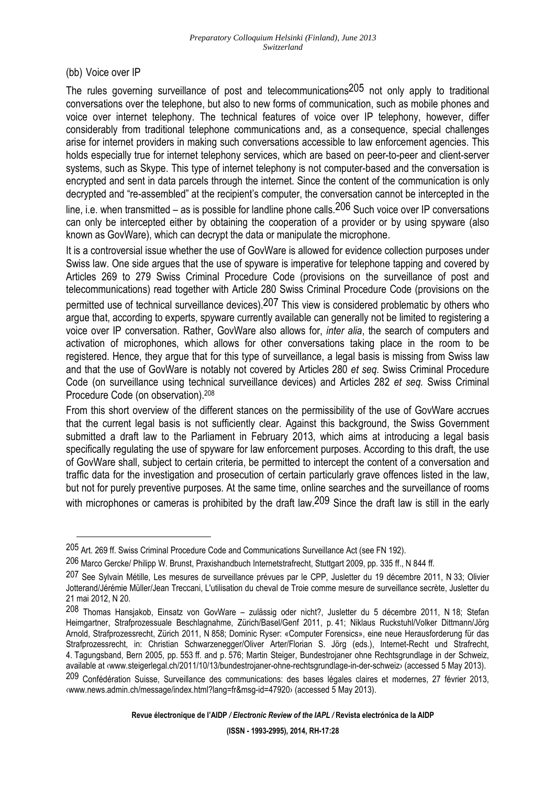(bb) Voice over IP

 $\overline{a}$ 

The rules governing surveillance of post and telecommunications<sup>205</sup> not only apply to traditional conversations over the telephone, but also to new forms of communication, such as mobile phones and voice over internet telephony. The technical features of voice over IP telephony, however, differ considerably from traditional telephone communications and, as a consequence, special challenges arise for internet providers in making such conversations accessible to law enforcement agencies. This holds especially true for internet telephony services, which are based on peer-to-peer and client-server systems, such as Skype. This type of internet telephony is not computer-based and the conversation is encrypted and sent in data parcels through the internet. Since the content of the communication is only decrypted and "re-assembled" at the recipient's computer, the conversation cannot be intercepted in the

line, i.e. when transmitted – as is possible for landline phone calls.  $206$  Such voice over IP conversations can only be intercepted either by obtaining the cooperation of a provider or by using spyware (also known as GovWare), which can decrypt the data or manipulate the microphone.

It is a controversial issue whether the use of GovWare is allowed for evidence collection purposes under Swiss law. One side argues that the use of spyware is imperative for telephone tapping and covered by Articles 269 to 279 Swiss Criminal Procedure Code (provisions on the surveillance of post and telecommunications) read together with Article 280 Swiss Criminal Procedure Code (provisions on the permitted use of technical surveillance devices).207 This view is considered problematic by others who argue that, according to experts, spyware currently available can generally not be limited to registering a voice over IP conversation. Rather, GovWare also allows for, *inter alia*, the search of computers and activation of microphones, which allows for other conversations taking place in the room to be registered. Hence, they argue that for this type of surveillance, a legal basis is missing from Swiss law and that the use of GovWare is notably not covered by Articles 280 *et seq.* Swiss Criminal Procedure Code (on surveillance using technical surveillance devices) and Articles 282 *et seq.* Swiss Criminal Procedure Code (on observation).<sup>208</sup>

From this short overview of the different stances on the permissibility of the use of GovWare accrues that the current legal basis is not sufficiently clear. Against this background, the Swiss Government submitted a draft law to the Parliament in February 2013, which aims at introducing a legal basis specifically regulating the use of spyware for law enforcement purposes. According to this draft, the use of GovWare shall, subject to certain criteria, be permitted to intercept the content of a conversation and traffic data for the investigation and prosecution of certain particularly grave offences listed in the law, but not for purely preventive purposes. At the same time, online searches and the surveillance of rooms with microphones or cameras is prohibited by the draft law. <sup>209</sup> Since the draft law is still in the early

<sup>205</sup> Art. 269 ff. Swiss Criminal Procedure Code and Communications Surveillance Act (see FN 192).

<sup>206</sup> Marco Gercke/ Philipp W. Brunst, Praxishandbuch Internetstrafrecht, Stuttgart 2009, pp. 335 ff., N 844 ff.

<sup>207</sup> See Sylvain Métille, Les mesures de surveillance prévues par le CPP, Jusletter du 19 décembre 2011, N 33; Olivier Jotterand/Jérémie Müller/Jean Treccani, L'utilisation du cheval de Troie comme mesure de surveillance secrète, Jusletter du 21 mai 2012, N 20.

<sup>208</sup> Thomas Hansjakob, Einsatz von GovWare – zulässig oder nicht?, Jusletter du 5 décembre 2011, N 18; Stefan Heimgartner, Strafprozessuale Beschlagnahme, Zürich/Basel/Genf 2011, p. 41; Niklaus Ruckstuhl/Volker Dittmann/Jörg Arnold, Strafprozessrecht, Zürich 2011, N 858; Dominic Ryser: «Computer Forensics», eine neue Herausforderung für das Strafprozessrecht, in: Christian Schwarzenegger/Oliver Arter/Florian S. Jörg (eds.), Internet-Recht und Strafrecht, 4. Tagungsband, Bern 2005, pp. 553 ff. and p. 576; Martin Steiger, Bundestrojaner ohne Rechtsgrundlage in der Schweiz, available at ‹www.steigerlegal.ch/2011/10/13/bundestrojaner-ohne-rechtsgrundlage-in-der-schweiz› (accessed 5 May 2013).

<sup>209</sup> Confédération Suisse, Surveillance des communications: des bases légales claires et modernes, 27 février 2013, ‹www.news.admin.ch/message/index.html?lang=fr&msg-id=47920› (accessed 5 May 2013).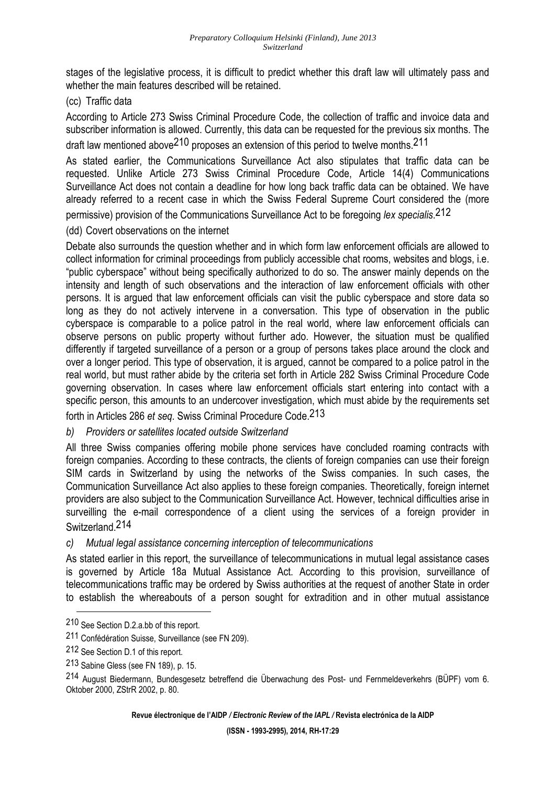stages of the legislative process, it is difficult to predict whether this draft law will ultimately pass and whether the main features described will be retained.

## (cc) Traffic data

According to Article 273 Swiss Criminal Procedure Code, the collection of traffic and invoice data and subscriber information is allowed. Currently, this data can be requested for the previous six months. The draft law mentioned above<sup>210</sup> proposes an extension of this period to twelve months.<sup>211</sup>

As stated earlier, the Communications Surveillance Act also stipulates that traffic data can be requested. Unlike Article 273 Swiss Criminal Procedure Code, Article 14(4) Communications Surveillance Act does not contain a deadline for how long back traffic data can be obtained. We have already referred to a recent case in which the Swiss Federal Supreme Court considered the (more permissive) provision of the Communications Surveillance Act to be foregoing *lex specialis*. 212

### (dd) Covert observations on the internet

Debate also surrounds the question whether and in which form law enforcement officials are allowed to collect information for criminal proceedings from publicly accessible chat rooms, websites and blogs, i.e. "public cyberspace" without being specifically authorized to do so. The answer mainly depends on the intensity and length of such observations and the interaction of law enforcement officials with other persons. It is argued that law enforcement officials can visit the public cyberspace and store data so long as they do not actively intervene in a conversation. This type of observation in the public cyberspace is comparable to a police patrol in the real world, where law enforcement officials can observe persons on public property without further ado. However, the situation must be qualified differently if targeted surveillance of a person or a group of persons takes place around the clock and over a longer period. This type of observation, it is argued, cannot be compared to a police patrol in the real world, but must rather abide by the criteria set forth in Article 282 Swiss Criminal Procedure Code governing observation. In cases where law enforcement officials start entering into contact with a specific person, this amounts to an undercover investigation, which must abide by the requirements set

forth in Articles 286 *et seq.* Swiss Criminal Procedure Code.213

### *b) Providers or satellites located outside Switzerland*

All three Swiss companies offering mobile phone services have concluded roaming contracts with foreign companies. According to these contracts, the clients of foreign companies can use their foreign SIM cards in Switzerland by using the networks of the Swiss companies. In such cases, the Communication Surveillance Act also applies to these foreign companies. Theoretically, foreign internet providers are also subject to the Communication Surveillance Act. However, technical difficulties arise in surveilling the e-mail correspondence of a client using the services of a foreign provider in Switzerland.214

### *c) Mutual legal assistance concerning interception of telecommunications*

As stated earlier in this report, the surveillance of telecommunications in mutual legal assistance cases is governed by Article 18a Mutual Assistance Act. According to this provision, surveillance of telecommunications traffic may be ordered by Swiss authorities at the request of another State in order to establish the whereabouts of a person sought for extradition and in other mutual assistance

 $\overline{a}$ 

**Revue électronique de l'AIDP** */ Electronic Review of the IAPL /* **Revista electrónica de la AIDP** 

<sup>210</sup> See Section D.2.a.bb of this report.

<sup>211</sup> Confédération Suisse, Surveillance (see FN 209).

<sup>212</sup> See Section D.1 of this report.

<sup>213</sup> Sabine Gless (see FN 189), p. 15.

<sup>214</sup> August Biedermann, Bundesgesetz betreffend die Überwachung des Post- und Fernmeldeverkehrs (BÜPF) vom 6. Oktober 2000, ZStrR 2002, p. 80.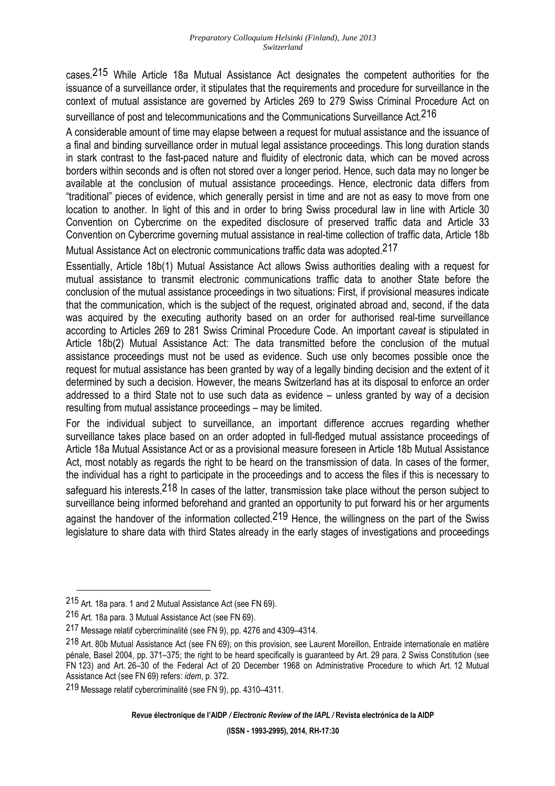cases.215 While Article 18a Mutual Assistance Act designates the competent authorities for the issuance of a surveillance order, it stipulates that the requirements and procedure for surveillance in the context of mutual assistance are governed by Articles 269 to 279 Swiss Criminal Procedure Act on surveillance of post and telecommunications and the Communications Surveillance Act.<sup>216</sup>

A considerable amount of time may elapse between a request for mutual assistance and the issuance of a final and binding surveillance order in mutual legal assistance proceedings. This long duration stands in stark contrast to the fast-paced nature and fluidity of electronic data, which can be moved across borders within seconds and is often not stored over a longer period. Hence, such data may no longer be available at the conclusion of mutual assistance proceedings. Hence, electronic data differs from "traditional" pieces of evidence, which generally persist in time and are not as easy to move from one location to another. In light of this and in order to bring Swiss procedural law in line with Article 30 Convention on Cybercrime on the expedited disclosure of preserved traffic data and Article 33 Convention on Cybercrime governing mutual assistance in real-time collection of traffic data, Article 18b

Mutual Assistance Act on electronic communications traffic data was adopted.217

Essentially, Article 18b(1) Mutual Assistance Act allows Swiss authorities dealing with a request for mutual assistance to transmit electronic communications traffic data to another State before the conclusion of the mutual assistance proceedings in two situations: First, if provisional measures indicate that the communication, which is the subject of the request, originated abroad and, second, if the data was acquired by the executing authority based on an order for authorised real-time surveillance according to Articles 269 to 281 Swiss Criminal Procedure Code. An important *caveat* is stipulated in Article 18b(2) Mutual Assistance Act: The data transmitted before the conclusion of the mutual assistance proceedings must not be used as evidence. Such use only becomes possible once the request for mutual assistance has been granted by way of a legally binding decision and the extent of it determined by such a decision. However, the means Switzerland has at its disposal to enforce an order addressed to a third State not to use such data as evidence – unless granted by way of a decision resulting from mutual assistance proceedings – may be limited.

For the individual subject to surveillance, an important difference accrues regarding whether surveillance takes place based on an order adopted in full-fledged mutual assistance proceedings of Article 18a Mutual Assistance Act or as a provisional measure foreseen in Article 18b Mutual Assistance Act, most notably as regards the right to be heard on the transmission of data. In cases of the former, the individual has a right to participate in the proceedings and to access the files if this is necessary to safeguard his interests.<sup>218</sup> In cases of the latter, transmission take place without the person subject to surveillance being informed beforehand and granted an opportunity to put forward his or her arguments against the handover of the information collected.<sup>219</sup> Hence, the willingness on the part of the Swiss legislature to share data with third States already in the early stages of investigations and proceedings

<sup>215</sup> Art. 18a para. 1 and 2 Mutual Assistance Act (see FN 69).

<sup>216</sup> Art. 18a para. 3 Mutual Assistance Act (see FN 69).

<sup>217</sup> Message relatif cybercriminalité (see FN 9), pp. 4276 and 4309–4314.

<sup>218</sup> Art. 80b Mutual Assistance Act (see FN 69); on this provision, see Laurent Moreillon, Entraide internationale en matière pénale, Basel 2004, pp. 371–375; the right to be heard specifically is guaranteed by Art. 29 para. 2 Swiss Constitution (see FN 123) and Art. 26–30 of the Federal Act of 20 December 1968 on Administrative Procedure to which Art. 12 Mutual Assistance Act (see FN 69) refers: *idem*, p. 372.

<sup>219</sup> Message relatif cybercriminalité (see FN 9), pp. 4310–4311.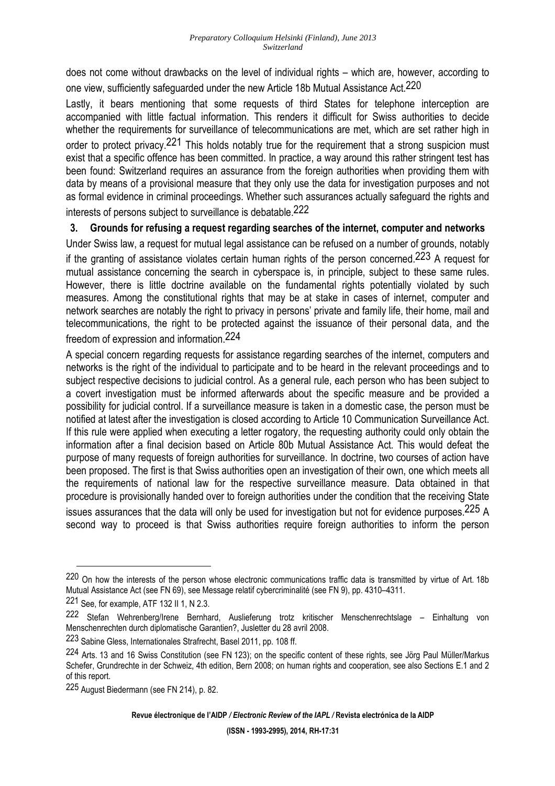does not come without drawbacks on the level of individual rights – which are, however, according to one view, sufficiently safeguarded under the new Article 18b Mutual Assistance Act.220

Lastly, it bears mentioning that some requests of third States for telephone interception are accompanied with little factual information. This renders it difficult for Swiss authorities to decide whether the requirements for surveillance of telecommunications are met, which are set rather high in order to protect privacy.<sup>221</sup> This holds notably true for the requirement that a strong suspicion must exist that a specific offence has been committed. In practice, a way around this rather stringent test has been found: Switzerland requires an assurance from the foreign authorities when providing them with data by means of a provisional measure that they only use the data for investigation purposes and not as formal evidence in criminal proceedings. Whether such assurances actually safeguard the rights and interests of persons subject to surveillance is debatable.222

### **3. Grounds for refusing a request regarding searches of the internet, computer and networks**

Under Swiss law, a request for mutual legal assistance can be refused on a number of grounds, notably if the granting of assistance violates certain human rights of the person concerned.<sup>223</sup> A request for mutual assistance concerning the search in cyberspace is, in principle, subject to these same rules. However, there is little doctrine available on the fundamental rights potentially violated by such measures. Among the constitutional rights that may be at stake in cases of internet, computer and network searches are notably the right to privacy in persons' private and family life, their home, mail and telecommunications, the right to be protected against the issuance of their personal data, and the freedom of expression and information.224

A special concern regarding requests for assistance regarding searches of the internet, computers and networks is the right of the individual to participate and to be heard in the relevant proceedings and to subject respective decisions to judicial control. As a general rule, each person who has been subject to a covert investigation must be informed afterwards about the specific measure and be provided a possibility for judicial control. If a surveillance measure is taken in a domestic case, the person must be notified at latest after the investigation is closed according to Article 10 Communication Surveillance Act. If this rule were applied when executing a letter rogatory, the requesting authority could only obtain the information after a final decision based on Article 80b Mutual Assistance Act. This would defeat the purpose of many requests of foreign authorities for surveillance. In doctrine, two courses of action have been proposed. The first is that Swiss authorities open an investigation of their own, one which meets all the requirements of national law for the respective surveillance measure. Data obtained in that procedure is provisionally handed over to foreign authorities under the condition that the receiving State issues assurances that the data will only be used for investigation but not for evidence purposes.<sup>225</sup> A second way to proceed is that Swiss authorities require foreign authorities to inform the person

<sup>220</sup> On how the interests of the person whose electronic communications traffic data is transmitted by virtue of Art. 18b Mutual Assistance Act (see FN 69), see Message relatif cybercriminalité (see FN 9), pp. 4310–4311.

<sup>221</sup> See, for example, ATF 132 II 1, N 2.3.

<sup>222</sup> Stefan Wehrenberg/Irene Bernhard, Auslieferung trotz kritischer Menschenrechtslage – Einhaltung von Menschenrechten durch diplomatische Garantien?, Jusletter du 28 avril 2008.

<sup>223</sup> Sabine Gless, Internationales Strafrecht, Basel 2011, pp. 108 ff.

<sup>224</sup> Arts. 13 and 16 Swiss Constitution (see FN 123); on the specific content of these rights, see Jörg Paul Müller/Markus Schefer, Grundrechte in der Schweiz, 4th edition, Bern 2008; on human rights and cooperation, see also Sections E.1 and 2 of this report.

<sup>225</sup> August Biedermann (see FN 214), p. 82.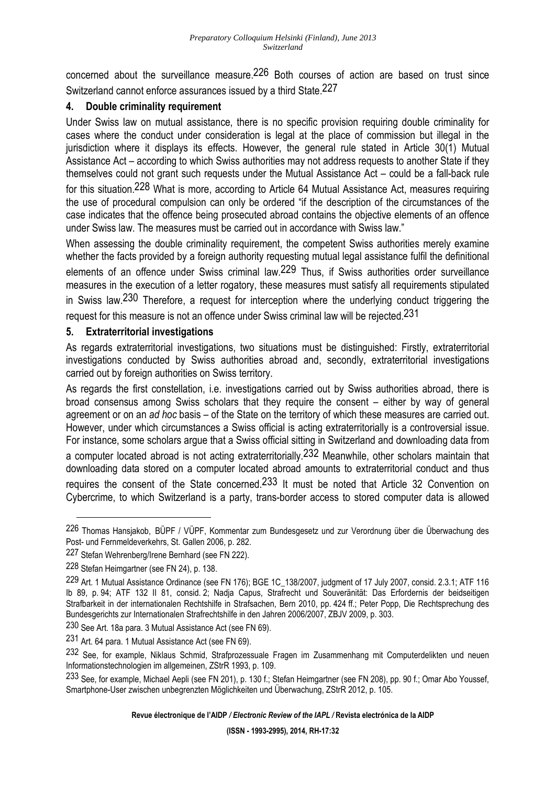concerned about the surveillance measure.226 Both courses of action are based on trust since Switzerland cannot enforce assurances issued by a third State.227

### **4. Double criminality requirement**

Under Swiss law on mutual assistance, there is no specific provision requiring double criminality for cases where the conduct under consideration is legal at the place of commission but illegal in the jurisdiction where it displays its effects. However, the general rule stated in Article 30(1) Mutual Assistance Act – according to which Swiss authorities may not address requests to another State if they themselves could not grant such requests under the Mutual Assistance Act – could be a fall-back rule for this situation.228 What is more, according to Article 64 Mutual Assistance Act, measures requiring the use of procedural compulsion can only be ordered "if the description of the circumstances of the case indicates that the offence being prosecuted abroad contains the objective elements of an offence under Swiss law. The measures must be carried out in accordance with Swiss law."

When assessing the double criminality requirement, the competent Swiss authorities merely examine whether the facts provided by a foreign authority requesting mutual legal assistance fulfil the definitional elements of an offence under Swiss criminal law.<sup>229</sup> Thus, if Swiss authorities order surveillance measures in the execution of a letter rogatory, these measures must satisfy all requirements stipulated in Swiss law.<sup>230</sup> Therefore, a request for interception where the underlying conduct triggering the request for this measure is not an offence under Swiss criminal law will be rejected.231

### **5. Extraterritorial investigations**

As regards extraterritorial investigations, two situations must be distinguished: Firstly, extraterritorial investigations conducted by Swiss authorities abroad and, secondly, extraterritorial investigations carried out by foreign authorities on Swiss territory.

As regards the first constellation, i.e. investigations carried out by Swiss authorities abroad, there is broad consensus among Swiss scholars that they require the consent – either by way of general agreement or on an *ad hoc* basis – of the State on the territory of which these measures are carried out. However, under which circumstances a Swiss official is acting extraterritorially is a controversial issue. For instance, some scholars argue that a Swiss official sitting in Switzerland and downloading data from a computer located abroad is not acting extraterritorially.232 Meanwhile, other scholars maintain that downloading data stored on a computer located abroad amounts to extraterritorial conduct and thus requires the consent of the State concerned.<sup>233</sup> It must be noted that Article 32 Convention on Cybercrime, to which Switzerland is a party, trans-border access to stored computer data is allowed

 $\overline{a}$ 

<sup>226</sup> Thomas Hansjakob, BÜPF / VÜPF, Kommentar zum Bundesgesetz und zur Verordnung über die Überwachung des Post- und Fernmeldeverkehrs, St. Gallen 2006, p. 282.

<sup>227</sup> Stefan Wehrenberg/Irene Bernhard (see FN 222).

<sup>228</sup> Stefan Heimgartner (see FN 24), p. 138.

<sup>229</sup> Art. 1 Mutual Assistance Ordinance (see FN 176); BGE 1C\_138/2007, judgment of 17 July 2007, consid. 2.3.1; ATF 116 Ib 89, p. 94; ATF 132 II 81, consid. 2; Nadja Capus, Strafrecht und Souveränität: Das Erfordernis der beidseitigen Strafbarkeit in der internationalen Rechtshilfe in Strafsachen, Bern 2010, pp. 424 ff.; Peter Popp, Die Rechtsprechung des Bundesgerichts zur Internationalen Strafrechtshilfe in den Jahren 2006/2007, ZBJV 2009, p. 303.

<sup>230</sup> See Art. 18a para. 3 Mutual Assistance Act (see FN 69).

<sup>231</sup> Art. 64 para. 1 Mutual Assistance Act (see FN 69).

<sup>232</sup> See, for example, Niklaus Schmid, Strafprozessuale Fragen im Zusammenhang mit Computerdelikten und neuen Informationstechnologien im allgemeinen, ZStrR 1993, p. 109.

<sup>233</sup> See, for example, Michael Aepli (see FN 201), p. 130 f.; Stefan Heimgartner (see FN 208), pp. 90 f.; Omar Abo Youssef, Smartphone-User zwischen unbegrenzten Möglichkeiten und Überwachung, ZStrR 2012, p. 105.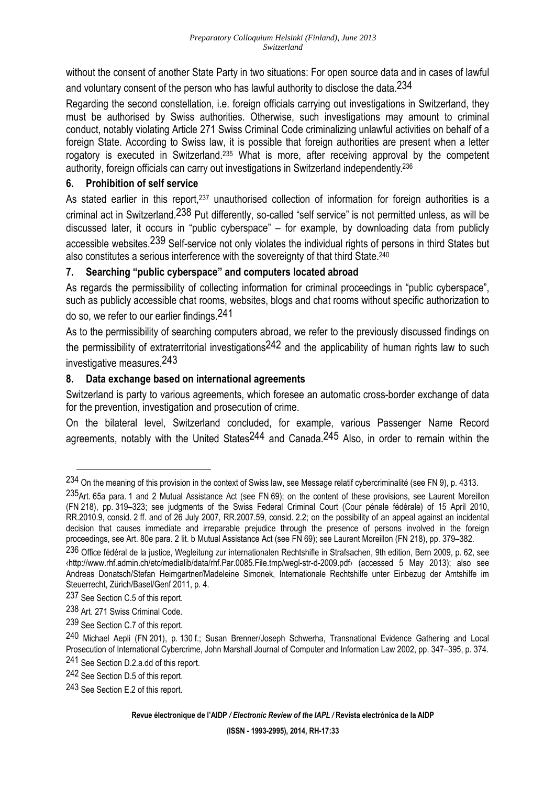without the consent of another State Party in two situations: For open source data and in cases of lawful and voluntary consent of the person who has lawful authority to disclose the data.<sup>234</sup>

Regarding the second constellation, i.e. foreign officials carrying out investigations in Switzerland, they must be authorised by Swiss authorities. Otherwise, such investigations may amount to criminal conduct, notably violating Article 271 Swiss Criminal Code criminalizing unlawful activities on behalf of a foreign State. According to Swiss law, it is possible that foreign authorities are present when a letter rogatory is executed in Switzerland.<sup>235</sup> What is more, after receiving approval by the competent authority, foreign officials can carry out investigations in Switzerland independently.<sup>236</sup>

## **6. Prohibition of self service**

As stated earlier in this report.<sup>237</sup> unauthorised collection of information for foreign authorities is a criminal act in Switzerland.238 Put differently, so-called "self service" is not permitted unless, as will be discussed later, it occurs in "public cyberspace" – for example, by downloading data from publicly accessible websites.<sup>239</sup> Self-service not only violates the individual rights of persons in third States but also constitutes a serious interference with the sovereignty of that third State.<sup>240</sup>

## **7. Searching "public cyberspace" and computers located abroad**

As regards the permissibility of collecting information for criminal proceedings in "public cyberspace", such as publicly accessible chat rooms, websites, blogs and chat rooms without specific authorization to do so, we refer to our earlier findings.241

As to the permissibility of searching computers abroad, we refer to the previously discussed findings on the permissibility of extraterritorial investigations<sup>242</sup> and the applicability of human rights law to such investigative measures.243

## **8. Data exchange based on international agreements**

Switzerland is party to various agreements, which foresee an automatic cross-border exchange of data for the prevention, investigation and prosecution of crime.

On the bilateral level, Switzerland concluded, for example, various Passenger Name Record agreements, notably with the United States<sup>244</sup> and Canada.<sup>245</sup> Also, in order to remain within the

<sup>234</sup> On the meaning of this provision in the context of Swiss law, see Message relatif cybercriminalité (see FN 9), p. 4313.

<sup>235</sup>Art. 65a para. 1 and 2 Mutual Assistance Act (see FN 69); on the content of these provisions, see Laurent Moreillon (FN 218), pp. 319–323; see judgments of the Swiss Federal Criminal Court (Cour pénale fédérale) of 15 April 2010, RR.2010.9, consid. 2 ff. and of 26 July 2007, RR.2007.59, consid. 2.2; on the possibility of an appeal against an incidental decision that causes immediate and irreparable prejudice through the presence of persons involved in the foreign proceedings, see Art. 80e para. 2 lit. b Mutual Assistance Act (see FN 69); see Laurent Moreillon (FN 218), pp. 379–382.

<sup>236</sup> Office fédéral de la justice, Wegleitung zur internationalen Rechtshifle in Strafsachen, 9th edition, Bern 2009, p. 62, see ‹http://www.rhf.admin.ch/etc/medialib/data/rhf.Par.0085.File.tmp/wegl-str-d-2009.pdf› (accessed 5 May 2013); also see Andreas Donatsch/Stefan Heimgartner/Madeleine Simonek, Internationale Rechtshilfe unter Einbezug der Amtshilfe im Steuerrecht, Zürich/Basel/Genf 2011, p. 4.

<sup>237</sup> See Section C.5 of this report.

<sup>238</sup> Art. 271 Swiss Criminal Code.

<sup>239</sup> See Section C.7 of this report.

<sup>240</sup> Michael Aepli (FN 201), p. 130 f.; Susan Brenner/Joseph Schwerha, Transnational Evidence Gathering and Local Prosecution of International Cybercrime, John Marshall Journal of Computer and Information Law 2002, pp. 347–395, p. 374.

<sup>241</sup> See Section D.2.a.dd of this report.

<sup>242</sup> See Section D.5 of this report.

<sup>243</sup> See Section E.2 of this report.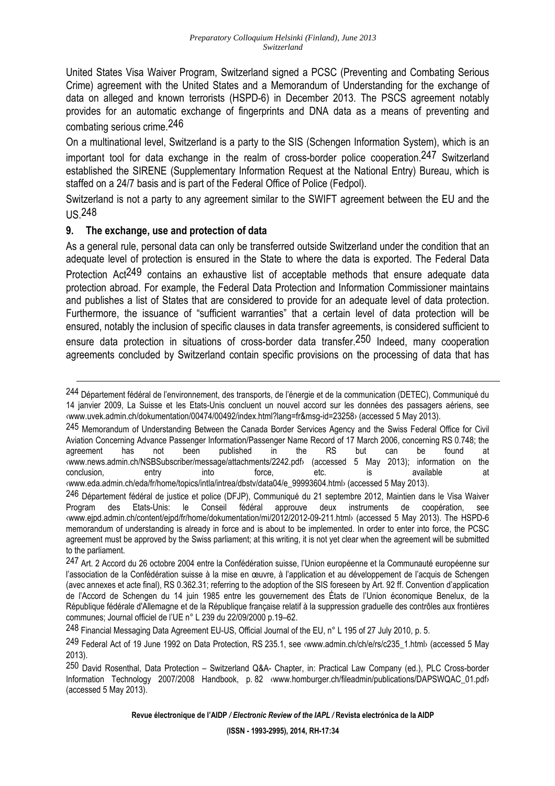United States Visa Waiver Program, Switzerland signed a PCSC (Preventing and Combating Serious Crime) agreement with the United States and a Memorandum of Understanding for the exchange of data on alleged and known terrorists (HSPD-6) in December 2013. The PSCS agreement notably provides for an automatic exchange of fingerprints and DNA data as a means of preventing and combating serious crime.246

On a multinational level, Switzerland is a party to the SIS (Schengen Information System), which is an important tool for data exchange in the realm of cross-border police cooperation.247 Switzerland established the SIRENE (Supplementary Information Request at the National Entry) Bureau, which is staffed on a 24/7 basis and is part of the Federal Office of Police (Fedpol).

Switzerland is not a party to any agreement similar to the SWIFT agreement between the EU and the US.248

### **9. The exchange, use and protection of data**

 $\overline{a}$ 

As a general rule, personal data can only be transferred outside Switzerland under the condition that an adequate level of protection is ensured in the State to where the data is exported. The Federal Data Protection Act<sup>249</sup> contains an exhaustive list of acceptable methods that ensure adequate data protection abroad. For example, the Federal Data Protection and Information Commissioner maintains and publishes a list of States that are considered to provide for an adequate level of data protection. Furthermore, the issuance of "sufficient warranties" that a certain level of data protection will be ensured, notably the inclusion of specific clauses in data transfer agreements, is considered sufficient to ensure data protection in situations of cross-border data transfer.<sup>250</sup> Indeed, many cooperation agreements concluded by Switzerland contain specific provisions on the processing of data that has

<sup>244</sup> Département fédéral de l'environnement, des transports, de l'énergie et de la communication (DETEC), Communiqué du 14 janvier 2009, La Suisse et les Etats-Unis concluent un nouvel accord sur les données des passagers aériens, see ‹www.uvek.admin.ch/dokumentation/00474/00492/index.html?lang=fr&msg-id=23258› (accessed 5 May 2013).

<sup>245</sup> Memorandum of Understanding Between the Canada Border Services Agency and the Swiss Federal Office for Civil Aviation Concerning Advance Passenger Information/Passenger Name Record of 17 March 2006, concerning RS 0.748; the agreement has not been published in the RS but can be found at agreement has not been published in the RS but can be found at ‹www.news.admin.ch/NSBSubscriber/message/attachments/2242.pdf› (accessed 5 May 2013); information on the conclusion, entry into force, etc. is available at ‹www.eda.admin.ch/eda/fr/home/topics/intla/intrea/dbstv/data04/e\_99993604.html› (accessed 5 May 2013).

<sup>246</sup> Département fédéral de justice et police (DFJP), Communiqué du 21 septembre 2012, Maintien dans le Visa Waiver Program des Etats-Unis: le Conseil fédéral approuve deux instruments de coopération, see ‹www.ejpd.admin.ch/content/ejpd/fr/home/dokumentation/mi/2012/2012-09-211.html› (accessed 5 May 2013). The HSPD-6 memorandum of understanding is already in force and is about to be implemented. In order to enter into force, the PCSC agreement must be approved by the Swiss parliament; at this writing, it is not yet clear when the agreement will be submitted to the parliament.

<sup>247</sup> Art. 2 Accord du 26 octobre 2004 entre la Confédération suisse, l'Union européenne et la Communauté européenne sur l'association de la Confédération suisse à la mise en œuvre, à l'application et au développement de l'acquis de Schengen (avec annexes et acte final), RS 0.362.31; referring to the adoption of the SIS foreseen by Art. 92 ff. Convention d'application de l'Accord de Schengen du 14 juin 1985 entre les gouvernement des États de l'Union économique Benelux, de la République fédérale d'Allemagne et de la République française relatif à la suppression graduelle des contrôles aux frontières communes; Journal officiel de l'UE n° L 239 du 22/09/2000 p.19–62.

<sup>248</sup> Financial Messaging Data Agreement EU-US, Official Journal of the EU, n° L 195 of 27 July 2010, p. 5.

<sup>249</sup> Federal Act of 19 June 1992 on Data Protection, RS 235.1, see ‹www.admin.ch/ch/e/rs/c235\_1.html› (accessed 5 May 2013).

<sup>250</sup> David Rosenthal, Data Protection – Switzerland Q&A- Chapter, in: Practical Law Company (ed.), PLC Cross-border Information Technology 2007/2008 Handbook, p. 82 ‹www.homburger.ch/fileadmin/publications/DAPSWQAC\_01.pdf› (accessed 5 May 2013).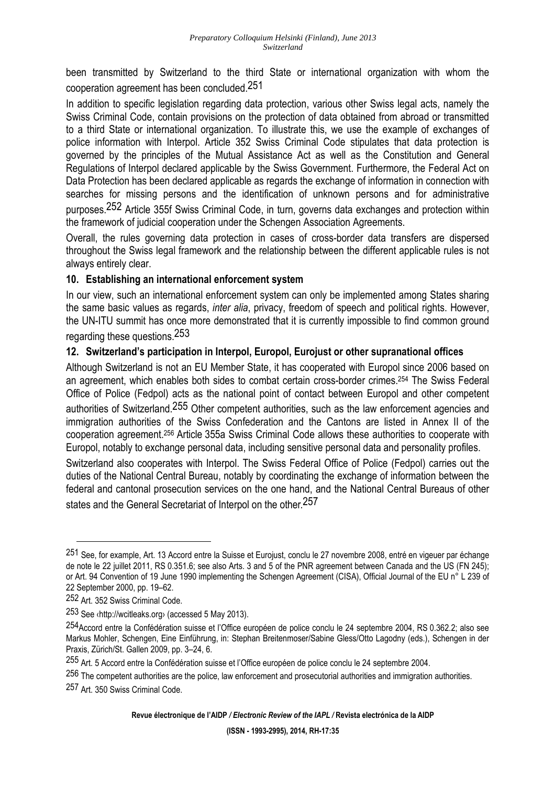been transmitted by Switzerland to the third State or international organization with whom the cooperation agreement has been concluded.251

In addition to specific legislation regarding data protection, various other Swiss legal acts, namely the Swiss Criminal Code, contain provisions on the protection of data obtained from abroad or transmitted to a third State or international organization. To illustrate this, we use the example of exchanges of police information with Interpol. Article 352 Swiss Criminal Code stipulates that data protection is governed by the principles of the Mutual Assistance Act as well as the Constitution and General Regulations of Interpol declared applicable by the Swiss Government. Furthermore, the Federal Act on Data Protection has been declared applicable as regards the exchange of information in connection with searches for missing persons and the identification of unknown persons and for administrative purposes.252 Article 355f Swiss Criminal Code, in turn, governs data exchanges and protection within the framework of judicial cooperation under the Schengen Association Agreements.

Overall, the rules governing data protection in cases of cross-border data transfers are dispersed throughout the Swiss legal framework and the relationship between the different applicable rules is not always entirely clear.

## **10. Establishing an international enforcement system**

In our view, such an international enforcement system can only be implemented among States sharing the same basic values as regards, *inter alia*, privacy, freedom of speech and political rights. However, the UN-ITU summit has once more demonstrated that it is currently impossible to find common ground regarding these questions.253

## **12. Switzerland's participation in Interpol, Europol, Eurojust or other supranational offices**

Although Switzerland is not an EU Member State, it has cooperated with Europol since 2006 based on an agreement, which enables both sides to combat certain cross-border crimes.254 The Swiss Federal Office of Police (Fedpol) acts as the national point of contact between Europol and other competent authorities of Switzerland.<sup>255</sup> Other competent authorities, such as the law enforcement agencies and immigration authorities of the Swiss Confederation and the Cantons are listed in Annex II of the cooperation agreement.256 Article 355a Swiss Criminal Code allows these authorities to cooperate with Europol, notably to exchange personal data, including sensitive personal data and personality profiles.

Switzerland also cooperates with Interpol. The Swiss Federal Office of Police (Fedpol) carries out the duties of the National Central Bureau, notably by coordinating the exchange of information between the federal and cantonal prosecution services on the one hand, and the National Central Bureaus of other states and the General Secretariat of Interpol on the other 257

<sup>251</sup> See, for example, Art. 13 Accord entre la Suisse et Eurojust, conclu le 27 novembre 2008, entré en vigeuer par échange de note le 22 juillet 2011, RS 0.351.6; see also Arts. 3 and 5 of the PNR agreement between Canada and the US (FN 245); or Art. 94 Convention of 19 June 1990 implementing the Schengen Agreement (CISA), Official Journal of the EU n° L 239 of 22 September 2000, pp. 19–62.

<sup>252</sup> Art. 352 Swiss Criminal Code.

<sup>253</sup> See ‹http://wcitleaks.org› (accessed 5 May 2013).

<sup>254</sup>Accord entre la Confédération suisse et l'Office européen de police conclu le 24 septembre 2004, RS 0.362.2; also see Markus Mohler, Schengen, Eine Einführung, in: Stephan Breitenmoser/Sabine Gless/Otto Lagodny (eds.), Schengen in der Praxis, Zürich/St. Gallen 2009, pp. 3–24, 6.

<sup>255</sup> Art. 5 Accord entre la Confédération suisse et l'Office européen de police conclu le 24 septembre 2004.

<sup>256</sup> The competent authorities are the police, law enforcement and prosecutorial authorities and immigration authorities.

<sup>257</sup> Art. 350 Swiss Criminal Code.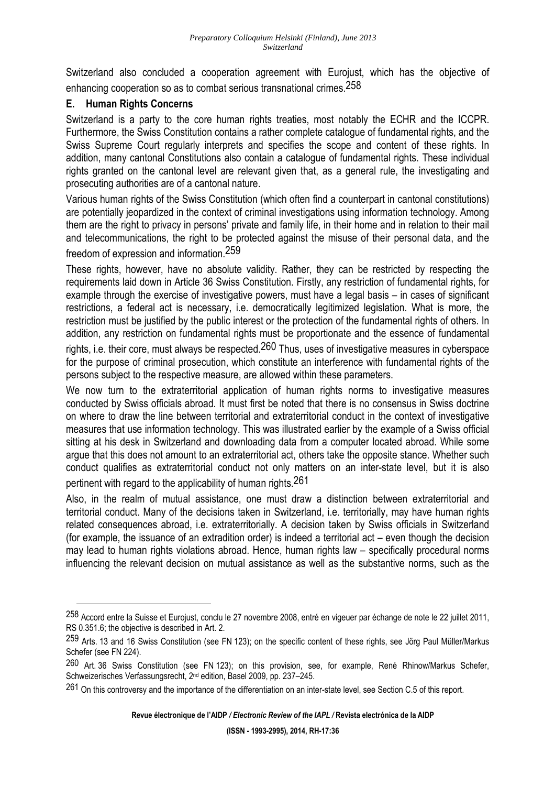Switzerland also concluded a cooperation agreement with Eurojust, which has the objective of enhancing cooperation so as to combat serious transnational crimes.258

## **E. Human Rights Concerns**

Switzerland is a party to the core human rights treaties, most notably the ECHR and the ICCPR. Furthermore, the Swiss Constitution contains a rather complete catalogue of fundamental rights, and the Swiss Supreme Court regularly interprets and specifies the scope and content of these rights. In addition, many cantonal Constitutions also contain a catalogue of fundamental rights. These individual rights granted on the cantonal level are relevant given that, as a general rule, the investigating and prosecuting authorities are of a cantonal nature.

Various human rights of the Swiss Constitution (which often find a counterpart in cantonal constitutions) are potentially jeopardized in the context of criminal investigations using information technology. Among them are the right to privacy in persons' private and family life, in their home and in relation to their mail and telecommunications, the right to be protected against the misuse of their personal data, and the

freedom of expression and information.259

 $\overline{a}$ 

These rights, however, have no absolute validity. Rather, they can be restricted by respecting the requirements laid down in Article 36 Swiss Constitution. Firstly, any restriction of fundamental rights, for example through the exercise of investigative powers, must have a legal basis – in cases of significant restrictions, a federal act is necessary, i.e. democratically legitimized legislation. What is more, the restriction must be justified by the public interest or the protection of the fundamental rights of others. In addition, any restriction on fundamental rights must be proportionate and the essence of fundamental rights, i.e. their core, must always be respected.<sup>260</sup> Thus, uses of investigative measures in cyberspace for the purpose of criminal prosecution, which constitute an interference with fundamental rights of the persons subject to the respective measure, are allowed within these parameters.

We now turn to the extraterritorial application of human rights norms to investigative measures conducted by Swiss officials abroad. It must first be noted that there is no consensus in Swiss doctrine on where to draw the line between territorial and extraterritorial conduct in the context of investigative measures that use information technology. This was illustrated earlier by the example of a Swiss official sitting at his desk in Switzerland and downloading data from a computer located abroad. While some argue that this does not amount to an extraterritorial act, others take the opposite stance. Whether such conduct qualifies as extraterritorial conduct not only matters on an inter-state level, but it is also pertinent with regard to the applicability of human rights.<sup>261</sup>

Also, in the realm of mutual assistance, one must draw a distinction between extraterritorial and territorial conduct. Many of the decisions taken in Switzerland, i.e. territorially, may have human rights related consequences abroad, i.e. extraterritorially. A decision taken by Swiss officials in Switzerland (for example, the issuance of an extradition order) is indeed a territorial act – even though the decision may lead to human rights violations abroad. Hence, human rights law – specifically procedural norms influencing the relevant decision on mutual assistance as well as the substantive norms, such as the

<sup>&</sup>lt;sup>258</sup> Accord entre la Suisse et Eurojust, conclu le 27 novembre 2008, entré en vigeuer par échange de note le 22 juillet 2011, RS 0.351.6; the objective is described in Art. 2.

<sup>259</sup> Arts. 13 and 16 Swiss Constitution (see FN 123); on the specific content of these rights, see Jörg Paul Müller/Markus Schefer (see FN 224).

<sup>260</sup> Art. 36 Swiss Constitution (see FN 123); on this provision, see, for example, René Rhinow/Markus Schefer, Schweizerisches Verfassungsrecht, 2nd edition, Basel 2009, pp. 237–245.

<sup>261</sup> On this controversv and the importance of the differentiation on an inter-state level, see Section C.5 of this report.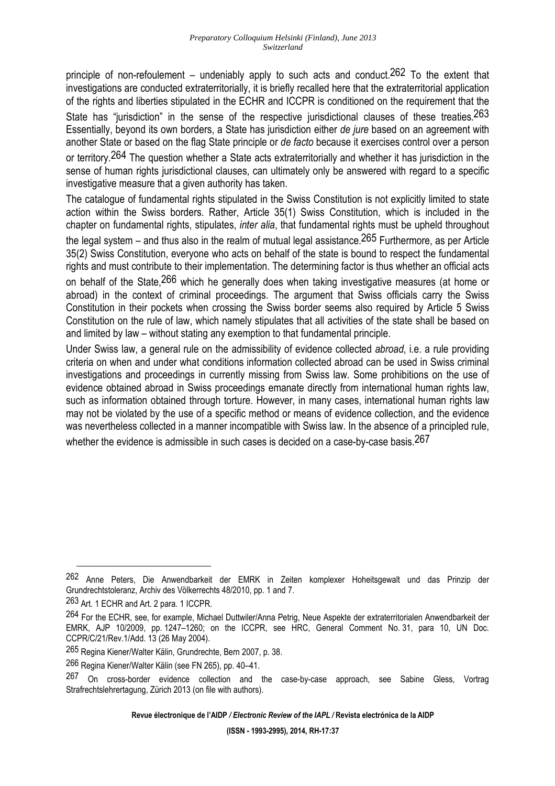principle of non-refoulement – undeniably apply to such acts and conduct.<sup>262</sup> To the extent that investigations are conducted extraterritorially, it is briefly recalled here that the extraterritorial application of the rights and liberties stipulated in the ECHR and ICCPR is conditioned on the requirement that the State has "jurisdiction" in the sense of the respective jurisdictional clauses of these treaties. 263 Essentially, beyond its own borders, a State has jurisdiction either *de jure* based on an agreement with another State or based on the flag State principle or *de facto* because it exercises control over a person or territory.264 The question whether a State acts extraterritorially and whether it has jurisdiction in the sense of human rights jurisdictional clauses, can ultimately only be answered with regard to a specific investigative measure that a given authority has taken.

The catalogue of fundamental rights stipulated in the Swiss Constitution is not explicitly limited to state action within the Swiss borders. Rather, Article 35(1) Swiss Constitution, which is included in the chapter on fundamental rights, stipulates, *inter alia*, that fundamental rights must be upheld throughout the legal system – and thus also in the realm of mutual legal assistance.<sup>265</sup> Furthermore, as per Article 35(2) Swiss Constitution, everyone who acts on behalf of the state is bound to respect the fundamental rights and must contribute to their implementation. The determining factor is thus whether an official acts

on behalf of the State, 266 which he generally does when taking investigative measures (at home or abroad) in the context of criminal proceedings. The argument that Swiss officials carry the Swiss Constitution in their pockets when crossing the Swiss border seems also required by Article 5 Swiss Constitution on the rule of law, which namely stipulates that all activities of the state shall be based on and limited by law – without stating any exemption to that fundamental principle.

Under Swiss law, a general rule on the admissibility of evidence collected *abroad*, i.e. a rule providing criteria on when and under what conditions information collected abroad can be used in Swiss criminal investigations and proceedings in currently missing from Swiss law. Some prohibitions on the use of evidence obtained abroad in Swiss proceedings emanate directly from international human rights law, such as information obtained through torture. However, in many cases, international human rights law may not be violated by the use of a specific method or means of evidence collection, and the evidence was nevertheless collected in a manner incompatible with Swiss law. In the absence of a principled rule, whether the evidence is admissible in such cases is decided on a case-by-case basis.<sup>267</sup>

 $\overline{a}$ 

**Revue électronique de l'AIDP** */ Electronic Review of the IAPL /* **Revista electrónica de la AIDP** 

<sup>262</sup> Anne Peters, Die Anwendbarkeit der EMRK in Zeiten komplexer Hoheitsgewalt und das Prinzip der Grundrechtstoleranz, Archiv des Völkerrechts 48/2010, pp. 1 and 7.

<sup>263</sup> Art. 1 ECHR and Art. 2 para. 1 ICCPR.

<sup>&</sup>lt;sup>264</sup> For the ECHR, see, for example, Michael Duttwiler/Anna Petrig, Neue Aspekte der extraterritorialen Anwendbarkeit der EMRK, AJP 10/2009, pp. 1247–1260; on the ICCPR, see HRC, General Comment No. 31, para 10, UN Doc. CCPR/C/21/Rev.1/Add. 13 (26 May 2004).

<sup>265</sup> Regina Kiener/Walter Kälin, Grundrechte, Bern 2007, p. 38.

<sup>266</sup> Regina Kiener/Walter Kälin (see FN 265), pp. 40–41.

<sup>267</sup> On cross-border evidence collection and the case-by-case approach, see Sabine Gless, Vortrag Strafrechtslehrertagung, Zürich 2013 (on file with authors).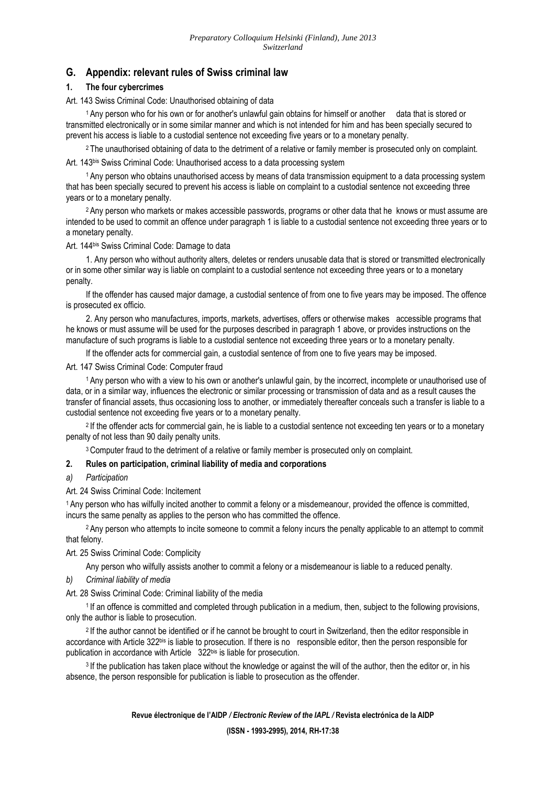#### **G. Appendix: relevant rules of Swiss criminal law**

#### **1. The four cybercrimes**

Art. 143 Swiss Criminal Code: Unauthorised obtaining of data

<sup>1</sup>Any person who for his own or for another's unlawful gain obtains for himself or another data that is stored or transmitted electronically or in some similar manner and which is not intended for him and has been specially secured to prevent his access is liable to a custodial sentence not exceeding five years or to a monetary penalty.

<sup>2</sup>The unauthorised obtaining of data to the detriment of a relative or family member is prosecuted only on complaint. Art. 143bis Swiss Criminal Code: Unauthorised access to a data processing system

<sup>1</sup>Any person who obtains unauthorised access by means of data transmission equipment to a data processing system that has been specially secured to prevent his access is liable on complaint to a custodial sentence not exceeding three years or to a monetary penalty.

<sup>2</sup>Any person who markets or makes accessible passwords, programs or other data that he knows or must assume are intended to be used to commit an offence under paragraph 1 is liable to a custodial sentence not exceeding three years or to a monetary penalty.

Art. 144bis Swiss Criminal Code: Damage to data

 1. Any person who without authority alters, deletes or renders unusable data that is stored or transmitted electronically or in some other similar way is liable on complaint to a custodial sentence not exceeding three years or to a monetary penalty.

 If the offender has caused major damage, a custodial sentence of from one to five years may be imposed. The offence is prosecuted ex officio.

 2. Any person who manufactures, imports, markets, advertises, offers or otherwise makes accessible programs that he knows or must assume will be used for the purposes described in paragraph 1 above, or provides instructions on the manufacture of such programs is liable to a custodial sentence not exceeding three years or to a monetary penalty.

If the offender acts for commercial gain, a custodial sentence of from one to five years may be imposed.

#### Art. 147 Swiss Criminal Code: Computer fraud

<sup>1</sup>Any person who with a view to his own or another's unlawful gain, by the incorrect, incomplete or unauthorised use of data, or in a similar way, influences the electronic or similar processing or transmission of data and as a result causes the transfer of financial assets, thus occasioning loss to another, or immediately thereafter conceals such a transfer is liable to a custodial sentence not exceeding five years or to a monetary penalty.

<sup>2</sup>If the offender acts for commercial gain, he is liable to a custodial sentence not exceeding ten years or to a monetary penalty of not less than 90 daily penalty units.

<sup>3</sup> Computer fraud to the detriment of a relative or family member is prosecuted only on complaint.

#### **2. Rules on participation, criminal liability of media and corporations**

#### *a) Participation*

#### Art. 24 Swiss Criminal Code: Incitement

<sup>1</sup>Any person who has wilfully incited another to commit a felony or a misdemeanour, provided the offence is committed, incurs the same penalty as applies to the person who has committed the offence.

<sup>2</sup> Any person who attempts to incite someone to commit a felony incurs the penalty applicable to an attempt to commit that felony.

#### Art. 25 Swiss Criminal Code: Complicity

Any person who wilfully assists another to commit a felony or a misdemeanour is liable to a reduced penalty.

#### *b) Criminal liability of media*

Art. 28 Swiss Criminal Code: Criminal liability of the media

<sup>1</sup> If an offence is committed and completed through publication in a medium, then, subject to the following provisions, only the author is liable to prosecution.

<sup>2</sup>If the author cannot be identified or if he cannot be brought to court in Switzerland, then the editor responsible in accordance with Article 322bis is liable to prosecution. If there is no responsible editor, then the person responsible for publication in accordance with Article 322<sup>bis</sup> is liable for prosecution.

<sup>3</sup> If the publication has taken place without the knowledge or against the will of the author, then the editor or, in his absence, the person responsible for publication is liable to prosecution as the offender.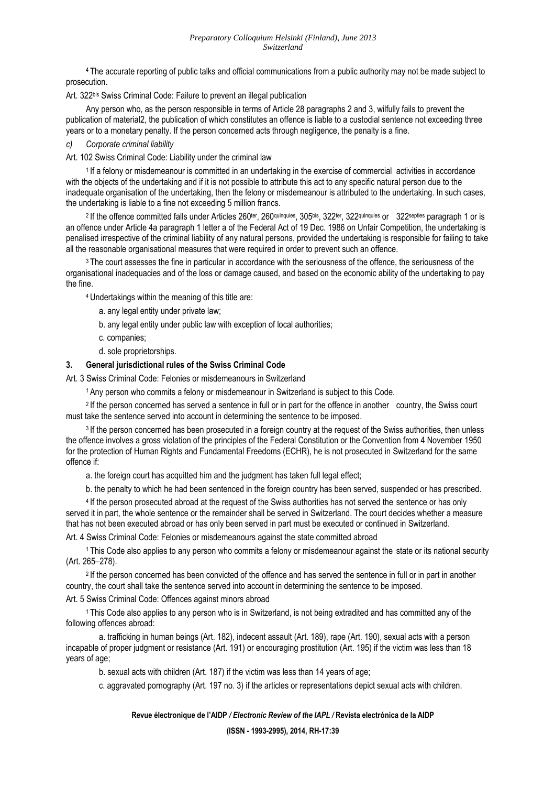#### *Preparatory Colloquium Helsinki (Finland), June 2013 Switzerland*

<sup>4</sup>The accurate reporting of public talks and official communications from a public authority may not be made subject to prosecution.

Art. 322<sup>bis</sup> Swiss Criminal Code: Failure to prevent an illegal publication

Any person who, as the person responsible in terms of Article 28 paragraphs 2 and 3, wilfully fails to prevent the publication of material2, the publication of which constitutes an offence is liable to a custodial sentence not exceeding three years or to a monetary penalty. If the person concerned acts through negligence, the penalty is a fine.

*c) Corporate criminal liability* 

Art. 102 Swiss Criminal Code: Liability under the criminal law

<sup>1</sup> If a felony or misdemeanour is committed in an undertaking in the exercise of commercial activities in accordance with the objects of the undertaking and if it is not possible to attribute this act to any specific natural person due to the inadequate organisation of the undertaking, then the felony or misdemeanour is attributed to the undertaking. In such cases, the undertaking is liable to a fine not exceeding 5 million francs.

<sup>2</sup> If the offence committed falls under Articles 260<sup>ter</sup>, 260<sup>quinquies</sup>, 305<sup>bis</sup>, 322<sup>ter</sup>, 322<sup>quinquies</sup> or 322<sup>septies</sup> paragraph 1 or is an offence under Article 4a paragraph 1 letter a of the Federal Act of 19 Dec. 1986 on Unfair Competition, the undertaking is penalised irrespective of the criminal liability of any natural persons, provided the undertaking is responsible for failing to take all the reasonable organisational measures that were required in order to prevent such an offence.

<sup>3</sup>The court assesses the fine in particular in accordance with the seriousness of the offence, the seriousness of the organisational inadequacies and of the loss or damage caused, and based on the economic ability of the undertaking to pay the fine.

<sup>4</sup>Undertakings within the meaning of this title are:

- a. any legal entity under private law;
- b. any legal entity under public law with exception of local authorities;
- c. companies;
- d. sole proprietorships.

#### **3. General jurisdictional rules of the Swiss Criminal Code**

Art. 3 Swiss Criminal Code: Felonies or misdemeanours in Switzerland

<sup>1</sup>Any person who commits a felony or misdemeanour in Switzerland is subject to this Code.

<sup>2</sup>If the person concerned has served a sentence in full or in part for the offence in another country, the Swiss court must take the sentence served into account in determining the sentence to be imposed.

<sup>3</sup> If the person concerned has been prosecuted in a foreign country at the request of the Swiss authorities, then unless the offence involves a gross violation of the principles of the Federal Constitution or the Convention from 4 November 1950 for the protection of Human Rights and Fundamental Freedoms (ECHR), he is not prosecuted in Switzerland for the same offence if:

a. the foreign court has acquitted him and the judgment has taken full legal effect;

b. the penalty to which he had been sentenced in the foreign country has been served, suspended or has prescribed.

<sup>4</sup>If the person prosecuted abroad at the request of the Swiss authorities has not served the sentence or has only served it in part, the whole sentence or the remainder shall be served in Switzerland. The court decides whether a measure that has not been executed abroad or has only been served in part must be executed or continued in Switzerland.

Art. 4 Swiss Criminal Code: Felonies or misdemeanours against the state committed abroad

<sup>1</sup>This Code also applies to any person who commits a felony or misdemeanour against the state or its national security (Art. 265–278).

<sup>2</sup>If the person concerned has been convicted of the offence and has served the sentence in full or in part in another country, the court shall take the sentence served into account in determining the sentence to be imposed.

Art. 5 Swiss Criminal Code: Offences against minors abroad

<sup>1</sup>This Code also applies to any person who is in Switzerland, is not being extradited and has committed any of the following offences abroad:

 a. trafficking in human beings (Art. 182), indecent assault (Art. 189), rape (Art. 190), sexual acts with a person incapable of proper judgment or resistance (Art. 191) or encouraging prostitution (Art. 195) if the victim was less than 18 years of age;

b. sexual acts with children (Art. 187) if the victim was less than 14 years of age;

c. aggravated pornography (Art. 197 no. 3) if the articles or representations depict sexual acts with children.

**Revue électronique de l'AIDP** */ Electronic Review of the IAPL /* **Revista electrónica de la AIDP**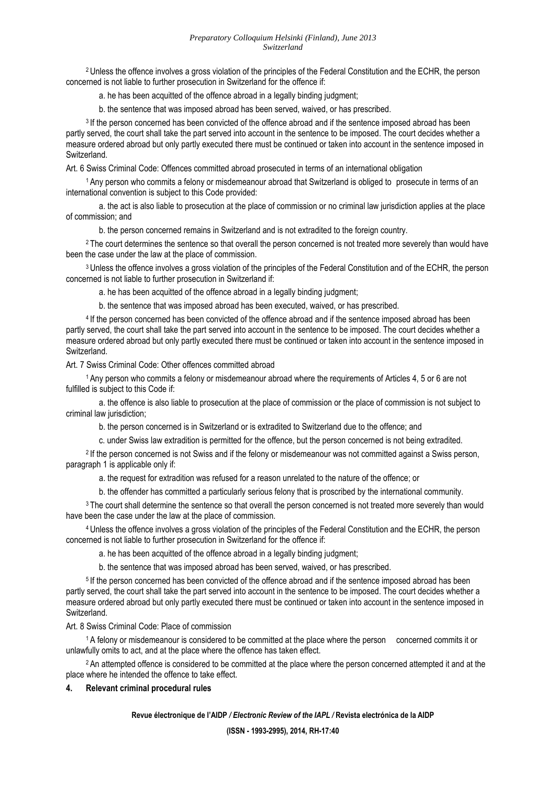<sup>2</sup>Unless the offence involves a gross violation of the principles of the Federal Constitution and the ECHR, the person concerned is not liable to further prosecution in Switzerland for the offence if:

a. he has been acquitted of the offence abroad in a legally binding judgment;

b. the sentence that was imposed abroad has been served, waived, or has prescribed.

<sup>3</sup>If the person concerned has been convicted of the offence abroad and if the sentence imposed abroad has been partly served, the court shall take the part served into account in the sentence to be imposed. The court decides whether a measure ordered abroad but only partly executed there must be continued or taken into account in the sentence imposed in Switzerland.

Art. 6 Swiss Criminal Code: Offences committed abroad prosecuted in terms of an international obligation

<sup>1</sup>Any person who commits a felony or misdemeanour abroad that Switzerland is obliged to prosecute in terms of an international convention is subject to this Code provided:

 a. the act is also liable to prosecution at the place of commission or no criminal law jurisdiction applies at the place of commission; and

b. the person concerned remains in Switzerland and is not extradited to the foreign country.

<sup>2</sup>The court determines the sentence so that overall the person concerned is not treated more severely than would have been the case under the law at the place of commission.

<sup>3</sup>Unless the offence involves a gross violation of the principles of the Federal Constitution and of the ECHR, the person concerned is not liable to further prosecution in Switzerland if:

a. he has been acquitted of the offence abroad in a legally binding judgment;

b. the sentence that was imposed abroad has been executed, waived, or has prescribed.

<sup>4</sup>If the person concerned has been convicted of the offence abroad and if the sentence imposed abroad has been partly served, the court shall take the part served into account in the sentence to be imposed. The court decides whether a measure ordered abroad but only partly executed there must be continued or taken into account in the sentence imposed in Switzerland.

Art. 7 Swiss Criminal Code: Other offences committed abroad

<sup>1</sup>Any person who commits a felony or misdemeanour abroad where the requirements of Articles 4, 5 or 6 are not fulfilled is subject to this Code if:

 a. the offence is also liable to prosecution at the place of commission or the place of commission is not subject to criminal law jurisdiction;

b. the person concerned is in Switzerland or is extradited to Switzerland due to the offence; and

c. under Swiss law extradition is permitted for the offence, but the person concerned is not being extradited.

<sup>2</sup>If the person concerned is not Swiss and if the felony or misdemeanour was not committed against a Swiss person, paragraph 1 is applicable only if:

a. the request for extradition was refused for a reason unrelated to the nature of the offence; or

b. the offender has committed a particularly serious felony that is proscribed by the international community.

<sup>3</sup>The court shall determine the sentence so that overall the person concerned is not treated more severely than would have been the case under the law at the place of commission.

<sup>4</sup>Unless the offence involves a gross violation of the principles of the Federal Constitution and the ECHR, the person concerned is not liable to further prosecution in Switzerland for the offence if:

a. he has been acquitted of the offence abroad in a legally binding judgment;

b. the sentence that was imposed abroad has been served, waived, or has prescribed.

<sup>5</sup>If the person concerned has been convicted of the offence abroad and if the sentence imposed abroad has been partly served, the court shall take the part served into account in the sentence to be imposed. The court decides whether a measure ordered abroad but only partly executed there must be continued or taken into account in the sentence imposed in Switzerland.

#### Art. 8 Swiss Criminal Code: Place of commission

<sup>1</sup>A felony or misdemeanour is considered to be committed at the place where the person concerned commits it or unlawfully omits to act, and at the place where the offence has taken effect.

<sup>2</sup>An attempted offence is considered to be committed at the place where the person concerned attempted it and at the place where he intended the offence to take effect.

#### **4. Relevant criminal procedural rules**

#### **Revue électronique de l'AIDP** */ Electronic Review of the IAPL /* **Revista electrónica de la AIDP**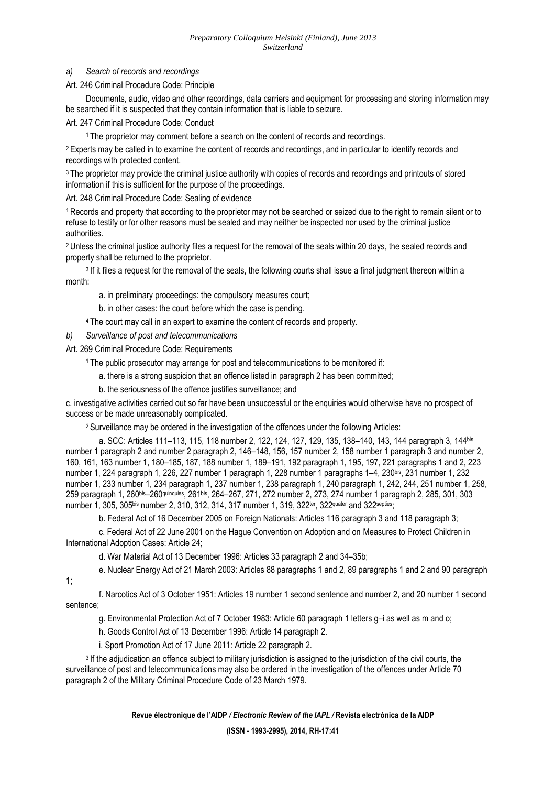#### *Preparatory Colloquium Helsinki (Finland), June 2013 Switzerland*

#### *a) Search of records and recordings*

Art. 246 Criminal Procedure Code: Principle

 Documents, audio, video and other recordings, data carriers and equipment for processing and storing information may be searched if it is suspected that they contain information that is liable to seizure.

Art. 247 Criminal Procedure Code: Conduct

<sup>1</sup>The proprietor may comment before a search on the content of records and recordings.

<sup>2</sup> Experts may be called in to examine the content of records and recordings, and in particular to identify records and recordings with protected content.

<sup>3</sup>The proprietor may provide the criminal justice authority with copies of records and recordings and printouts of stored information if this is sufficient for the purpose of the proceedings.

Art. 248 Criminal Procedure Code: Sealing of evidence

<sup>1</sup>Records and property that according to the proprietor may not be searched or seized due to the right to remain silent or to refuse to testify or for other reasons must be sealed and may neither be inspected nor used by the criminal justice authorities.

<sup>2</sup> Unless the criminal justice authority files a request for the removal of the seals within 20 days, the sealed records and property shall be returned to the proprietor.

<sup>3</sup> If it files a request for the removal of the seals, the following courts shall issue a final judgment thereon within a month:

a. in preliminary proceedings: the compulsory measures court;

b. in other cases: the court before which the case is pending.

<sup>4</sup>The court may call in an expert to examine the content of records and property.

*b) Surveillance of post and telecommunications* 

Art. 269 Criminal Procedure Code: Requirements

<sup>1</sup>The public prosecutor may arrange for post and telecommunications to be monitored if:

a. there is a strong suspicion that an offence listed in paragraph 2 has been committed;

b. the seriousness of the offence justifies surveillance; and

c. investigative activities carried out so far have been unsuccessful or the enquiries would otherwise have no prospect of success or be made unreasonably complicated.

<sup>2</sup>Surveillance may be ordered in the investigation of the offences under the following Articles:

 a. SCC: Articles 111–113, 115, 118 number 2, 122, 124, 127, 129, 135, 138–140, 143, 144 paragraph 3, 144bis number 1 paragraph 2 and number 2 paragraph 2, 146–148, 156, 157 number 2, 158 number 1 paragraph 3 and number 2, 160, 161, 163 number 1, 180–185, 187, 188 number 1, 189–191, 192 paragraph 1, 195, 197, 221 paragraphs 1 and 2, 223 number 1, 224 paragraph 1, 226, 227 number 1 paragraph 1, 228 number 1 paragraphs 1–4, 230bis, 231 number 1, 232 number 1, 233 number 1, 234 paragraph 1, 237 number 1, 238 paragraph 1, 240 paragraph 1, 242, 244, 251 number 1, 258, 259 paragraph 1, 260bis–260quinquies, 261bis, 264–267, 271, 272 number 2, 273, 274 number 1 paragraph 2, 285, 301, 303 number 1, 305, 305bis number 2, 310, 312, 314, 317 number 1, 319, 322<sup>ter</sup>, 322quater and 322septies;

b. Federal Act of 16 December 2005 on Foreign Nationals: Articles 116 paragraph 3 and 118 paragraph 3;

 c. Federal Act of 22 June 2001 on the Hague Convention on Adoption and on Measures to Protect Children in International Adoption Cases: Article 24;

d. War Material Act of 13 December 1996: Articles 33 paragraph 2 and 34–35b;

e. Nuclear Energy Act of 21 March 2003: Articles 88 paragraphs 1 and 2, 89 paragraphs 1 and 2 and 90 paragraph

1;

 f. Narcotics Act of 3 October 1951: Articles 19 number 1 second sentence and number 2, and 20 number 1 second sentence;

g. Environmental Protection Act of 7 October 1983: Article 60 paragraph 1 letters g–i as well as m and o;

h. Goods Control Act of 13 December 1996: Article 14 paragraph 2.

i. Sport Promotion Act of 17 June 2011: Article 22 paragraph 2.

<sup>3</sup> If the adjudication an offence subject to military jurisdiction is assigned to the jurisdiction of the civil courts, the surveillance of post and telecommunications may also be ordered in the investigation of the offences under Article 70 paragraph 2 of the Military Criminal Procedure Code of 23 March 1979.

**Revue électronique de l'AIDP** */ Electronic Review of the IAPL /* **Revista electrónica de la AIDP**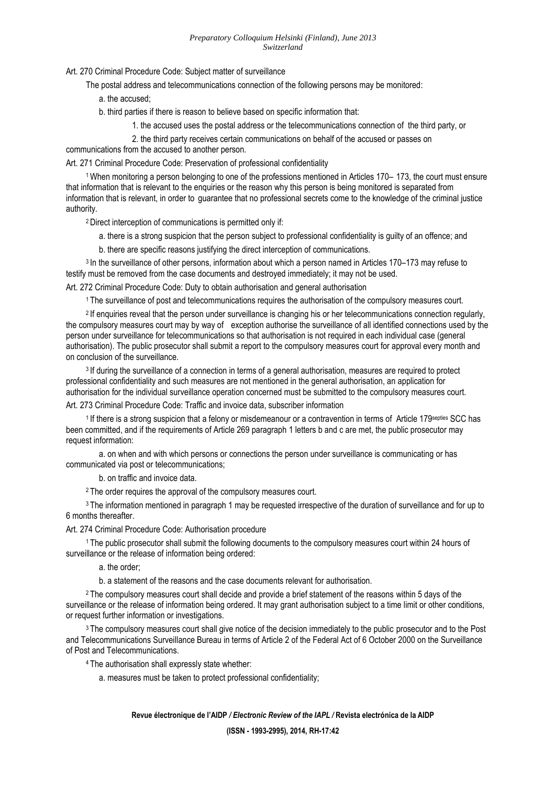Art. 270 Criminal Procedure Code: Subject matter of surveillance

The postal address and telecommunications connection of the following persons may be monitored:

a. the accused;

b. third parties if there is reason to believe based on specific information that:

1. the accused uses the postal address or the telecommunications connection of the third party, or

2. the third party receives certain communications on behalf of the accused or passes on

communications from the accused to another person.

Art. 271 Criminal Procedure Code: Preservation of professional confidentiality

<sup>1</sup>When monitoring a person belonging to one of the professions mentioned in Articles 170– 173, the court must ensure that information that is relevant to the enquiries or the reason why this person is being monitored is separated from information that is relevant, in order to guarantee that no professional secrets come to the knowledge of the criminal justice authority.

<sup>2</sup>Direct interception of communications is permitted only if:

a. there is a strong suspicion that the person subject to professional confidentiality is guilty of an offence; and

b. there are specific reasons justifying the direct interception of communications.

<sup>3</sup>In the surveillance of other persons, information about which a person named in Articles 170–173 may refuse to testify must be removed from the case documents and destroyed immediately; it may not be used.

Art. 272 Criminal Procedure Code: Duty to obtain authorisation and general authorisation

<sup>1</sup>The surveillance of post and telecommunications requires the authorisation of the compulsory measures court.

<sup>2</sup> If enquiries reveal that the person under surveillance is changing his or her telecommunications connection regularly, the compulsory measures court may by way of exception authorise the surveillance of all identified connections used by the person under surveillance for telecommunications so that authorisation is not required in each individual case (general authorisation). The public prosecutor shall submit a report to the compulsory measures court for approval every month and on conclusion of the surveillance.

<sup>3</sup>If during the surveillance of a connection in terms of a general authorisation, measures are required to protect professional confidentiality and such measures are not mentioned in the general authorisation, an application for authorisation for the individual surveillance operation concerned must be submitted to the compulsory measures court.

Art. 273 Criminal Procedure Code: Traffic and invoice data, subscriber information

<sup>1</sup>If there is a strong suspicion that a felony or misdemeanour or a contravention in terms of Article 179septies SCC has been committed, and if the requirements of Article 269 paragraph 1 letters b and c are met, the public prosecutor may request information:

 a. on when and with which persons or connections the person under surveillance is communicating or has communicated via post or telecommunications;

b. on traffic and invoice data.

<sup>2</sup>The order requires the approval of the compulsory measures court.

<sup>3</sup>The information mentioned in paragraph 1 may be requested irrespective of the duration of surveillance and for up to 6 months thereafter.

Art. 274 Criminal Procedure Code: Authorisation procedure

<sup>1</sup>The public prosecutor shall submit the following documents to the compulsory measures court within 24 hours of surveillance or the release of information being ordered:

a. the order;

b. a statement of the reasons and the case documents relevant for authorisation.

<sup>2</sup>The compulsory measures court shall decide and provide a brief statement of the reasons within 5 days of the surveillance or the release of information being ordered. It may grant authorisation subject to a time limit or other conditions, or request further information or investigations.

<sup>3</sup>The compulsory measures court shall give notice of the decision immediately to the public prosecutor and to the Post and Telecommunications Surveillance Bureau in terms of Article 2 of the Federal Act of 6 October 2000 on the Surveillance of Post and Telecommunications.

<sup>4</sup>The authorisation shall expressly state whether:

a. measures must be taken to protect professional confidentiality;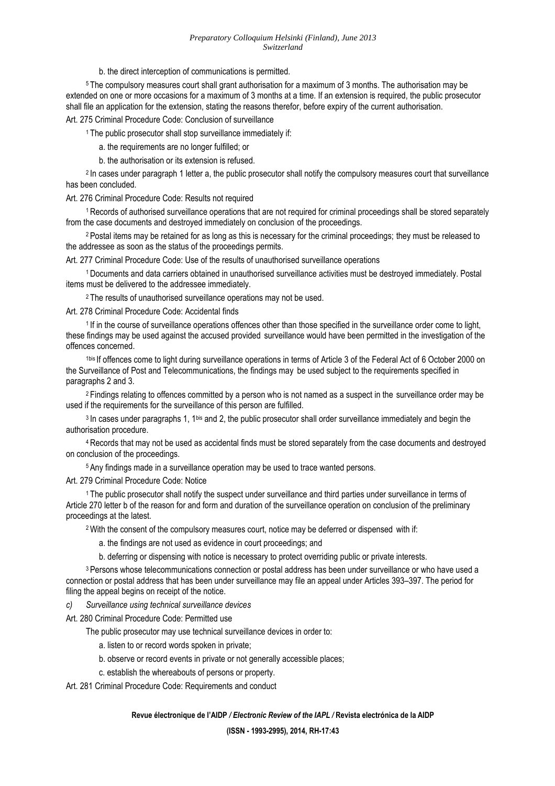b. the direct interception of communications is permitted.

<sup>5</sup>The compulsory measures court shall grant authorisation for a maximum of 3 months. The authorisation may be extended on one or more occasions for a maximum of 3 months at a time. If an extension is required, the public prosecutor shall file an application for the extension, stating the reasons therefor, before expiry of the current authorisation.

#### Art. 275 Criminal Procedure Code: Conclusion of surveillance

<sup>1</sup>The public prosecutor shall stop surveillance immediately if:

- a. the requirements are no longer fulfilled; or
- b. the authorisation or its extension is refused.

<sup>2</sup> In cases under paragraph 1 letter a, the public prosecutor shall notify the compulsory measures court that surveillance has been concluded.

#### Art. 276 Criminal Procedure Code: Results not required

<sup>1</sup>Records of authorised surveillance operations that are not required for criminal proceedings shall be stored separately from the case documents and destroyed immediately on conclusion of the proceedings.

<sup>2</sup>Postal items may be retained for as long as this is necessary for the criminal proceedings; they must be released to the addressee as soon as the status of the proceedings permits.

Art. 277 Criminal Procedure Code: Use of the results of unauthorised surveillance operations

<sup>1</sup>Documents and data carriers obtained in unauthorised surveillance activities must be destroyed immediately. Postal items must be delivered to the addressee immediately.

<sup>2</sup>The results of unauthorised surveillance operations may not be used.

#### Art. 278 Criminal Procedure Code: Accidental finds

<sup>1</sup>If in the course of surveillance operations offences other than those specified in the surveillance order come to light, these findings may be used against the accused provided surveillance would have been permitted in the investigation of the offences concerned.

 1bis If offences come to light during surveillance operations in terms of Article 3 of the Federal Act of 6 October 2000 on the Surveillance of Post and Telecommunications, the findings may be used subject to the requirements specified in paragraphs 2 and 3.

<sup>2</sup>Findings relating to offences committed by a person who is not named as a suspect in the surveillance order may be used if the requirements for the surveillance of this person are fulfilled.

<sup>3</sup> In cases under paragraphs 1, 1<sup>bis</sup> and 2, the public prosecutor shall order surveillance immediately and begin the authorisation procedure.

<sup>4</sup>Records that may not be used as accidental finds must be stored separately from the case documents and destroyed on conclusion of the proceedings.

<sup>5</sup>Any findings made in a surveillance operation may be used to trace wanted persons.

#### Art. 279 Criminal Procedure Code: Notice

<sup>1</sup>The public prosecutor shall notify the suspect under surveillance and third parties under surveillance in terms of Article 270 letter b of the reason for and form and duration of the surveillance operation on conclusion of the preliminary proceedings at the latest.

<sup>2</sup>With the consent of the compulsory measures court, notice may be deferred or dispensed with if:

a. the findings are not used as evidence in court proceedings; and

b. deferring or dispensing with notice is necessary to protect overriding public or private interests.

<sup>3</sup> Persons whose telecommunications connection or postal address has been under surveillance or who have used a connection or postal address that has been under surveillance may file an appeal under Articles 393–397. The period for filing the appeal begins on receipt of the notice.

*c) Surveillance using technical surveillance devices* 

Art. 280 Criminal Procedure Code: Permitted use

The public prosecutor may use technical surveillance devices in order to:

a. listen to or record words spoken in private;

- b. observe or record events in private or not generally accessible places;
- c. establish the whereabouts of persons or property.

Art. 281 Criminal Procedure Code: Requirements and conduct

#### **Revue électronique de l'AIDP** */ Electronic Review of the IAPL /* **Revista electrónica de la AIDP**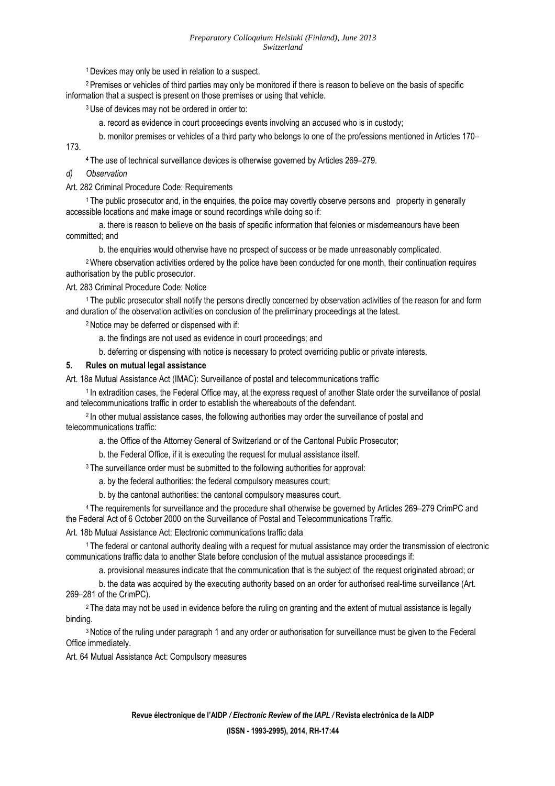<sup>1</sup>Devices may only be used in relation to a suspect.

<sup>2</sup> Premises or vehicles of third parties may only be monitored if there is reason to believe on the basis of specific information that a suspect is present on those premises or using that vehicle.

<sup>3</sup>Use of devices may not be ordered in order to:

a. record as evidence in court proceedings events involving an accused who is in custody;

b. monitor premises or vehicles of a third party who belongs to one of the professions mentioned in Articles 170–

<sup>4</sup>The use of technical surveillance devices is otherwise governed by Articles 269–279.

#### *d) Observation*

173.

Art. 282 Criminal Procedure Code: Requirements

<sup>1</sup>The public prosecutor and, in the enquiries, the police may covertly observe persons and property in generally accessible locations and make image or sound recordings while doing so if:

 a. there is reason to believe on the basis of specific information that felonies or misdemeanours have been committed; and

b. the enquiries would otherwise have no prospect of success or be made unreasonably complicated.

<sup>2</sup>Where observation activities ordered by the police have been conducted for one month, their continuation requires authorisation by the public prosecutor.

#### Art. 283 Criminal Procedure Code: Notice

1 The public prosecutor shall notify the persons directly concerned by observation activities of the reason for and form and duration of the observation activities on conclusion of the preliminary proceedings at the latest.

<sup>2</sup>Notice may be deferred or dispensed with if:

- a. the findings are not used as evidence in court proceedings; and
- b. deferring or dispensing with notice is necessary to protect overriding public or private interests.

#### **5. Rules on mutual legal assistance**

Art. 18a Mutual Assistance Act (IMAC): Surveillance of postal and telecommunications traffic

<sup>1</sup>In extradition cases, the Federal Office may, at the express request of another State order the surveillance of postal and telecommunications traffic in order to establish the whereabouts of the defendant.

<sup>2</sup> In other mutual assistance cases, the following authorities may order the surveillance of postal and telecommunications traffic:

a. the Office of the Attorney General of Switzerland or of the Cantonal Public Prosecutor;

b. the Federal Office, if it is executing the request for mutual assistance itself.

<sup>3</sup>The surveillance order must be submitted to the following authorities for approval:

a. by the federal authorities: the federal compulsory measures court;

b. by the cantonal authorities: the cantonal compulsory measures court.

<sup>4</sup>The requirements for surveillance and the procedure shall otherwise be governed by Articles 269–279 CrimPC and the Federal Act of 6 October 2000 on the Surveillance of Postal and Telecommunications Traffic.

#### Art. 18b Mutual Assistance Act: Electronic communications traffic data

<sup>1</sup>The federal or cantonal authority dealing with a request for mutual assistance may order the transmission of electronic communications traffic data to another State before conclusion of the mutual assistance proceedings if:

a. provisional measures indicate that the communication that is the subject of the request originated abroad; or

 b. the data was acquired by the executing authority based on an order for authorised real-time surveillance (Art. 269–281 of the CrimPC).

<sup>2</sup>The data may not be used in evidence before the ruling on granting and the extent of mutual assistance is legally binding.

3 Notice of the ruling under paragraph 1 and any order or authorisation for surveillance must be given to the Federal Office immediately.

Art. 64 Mutual Assistance Act: Compulsory measures